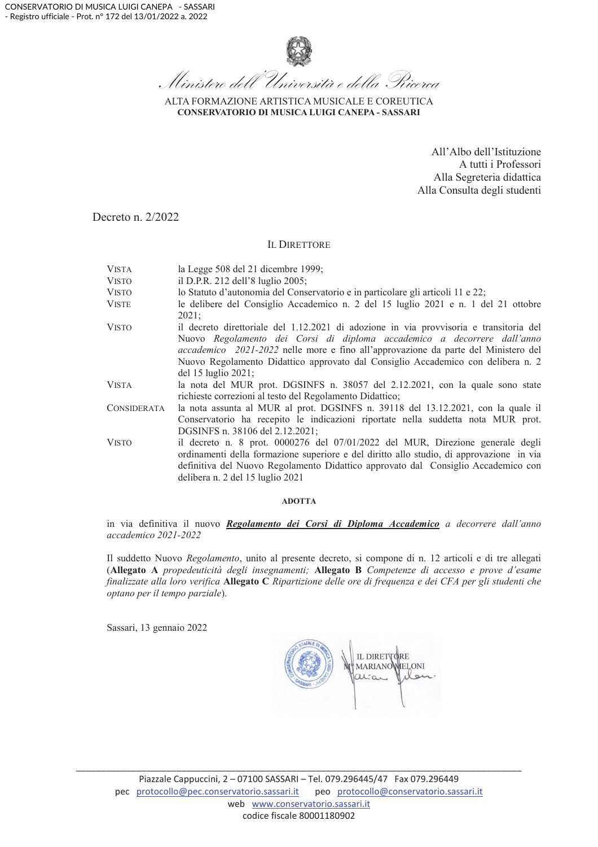

ALTA FORMAZIONE ARTISTICA MUSICALE E COREUTICA CONSERVATORIO DI MUSICA LUIGI CANEPA - SASSARI

> All'Albo dell'Istituzione A tutti i Professori Alla Segreteria didattica Alla Consulta degli studenti

Decreto n. 2/2022

#### **IL DIRETTORE**

**VISTA** la Legge 508 del 21 dicembre 1999; **VISTO** il D.P.R. 212 dell'8 luglio 2005; **VISTO** lo Statuto d'autonomia del Conservatorio e in particolare gli articoli 11 e 22; le delibere del Consiglio Accademico n. 2 del 15 luglio 2021 e n. 1 del 21 ottobre **VISTE**  $2021:$ **VISTO** il decreto direttoriale del 1.12.2021 di adozione in via provvisoria e transitoria del Nuovo Regolamento dei Corsi di diploma accademico a decorrere dall'anno accademico 2021-2022 nelle more e fino all'approvazione da parte del Ministero del Nuovo Regolamento Didattico approvato dal Consiglio Accademico con delibera n. 2 del 15 luglio 2021: **VISTA** la nota del MUR prot. DGSINFS n. 38057 del 2.12.2021, con la quale sono state richieste correzioni al testo del Regolamento Didattico; la nota assunta al MUR al prot. DGSINFS n. 39118 del 13.12.2021, con la quale il **CONSIDERATA** Conservatorio ha recepito le indicazioni riportate nella suddetta nota MUR prot. DGSINFS n. 38106 del 2.12.2021; **VISTO** il decreto n. 8 prot. 0000276 del 07/01/2022 del MUR, Direzione generale degli ordinamenti della formazione superiore e del diritto allo studio, di approvazione in via definitiva del Nuovo Regolamento Didattico approvato dal Consiglio Accademico con delibera n. 2 del 15 luglio 2021

#### **ADOTTA**

in via definitiva il nuovo Regolamento dei Corsi di Diploma Accademico a decorrere dall'anno accademico 2021-2022

Il suddetto Nuovo Regolamento, unito al presente decreto, si compone di n. 12 articoli e di tre allegati (Allegato A propedeuticità degli insegnamenti; Allegato B Competenze di accesso e prove d'esame finalizzate alla loro verifica Allegato C Ripartizione delle ore di frequenza e dei CFA per gli studenti che optano per il tempo parziale).

Sassari, 13 gennaio 2022

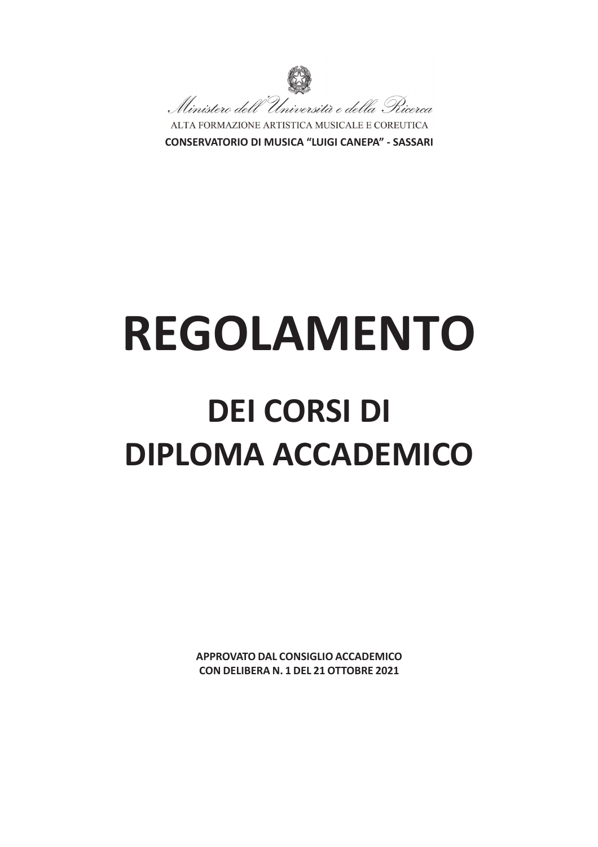

**CONSERVATORIO DI MUSICA "LUIGI CANEPA" - SASSARI** 

# **REGOLAMENTO**

## **DEI CORSI DI DIPLOMA ACCADEMICO**

APPROVATO DAL CONSIGLIO ACCADEMICO CON DELIBERA N. 1 DEL 21 OTTOBRE 2021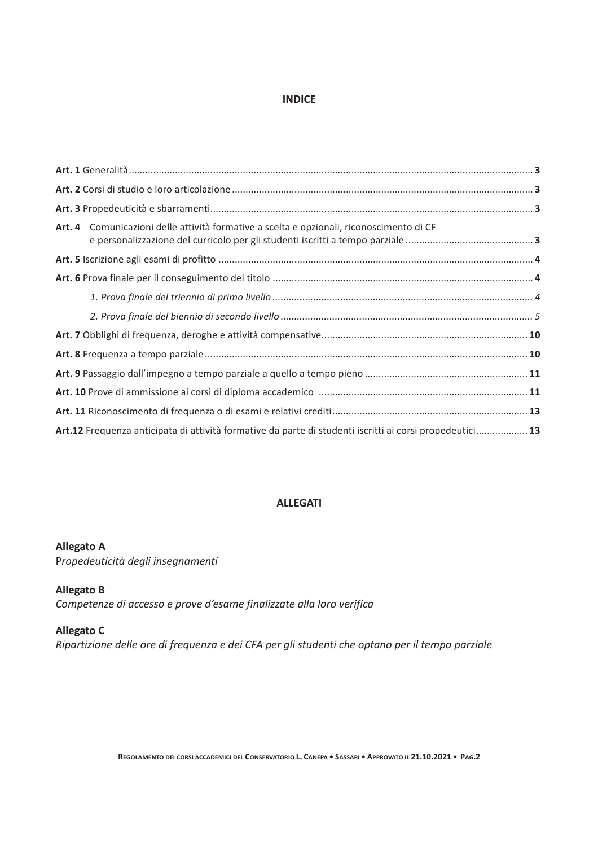#### **INDICE**

| Art. 4 Comunicazioni delle attività formative a scelta e opzionali, riconoscimento di CF                 |  |
|----------------------------------------------------------------------------------------------------------|--|
|                                                                                                          |  |
|                                                                                                          |  |
|                                                                                                          |  |
|                                                                                                          |  |
|                                                                                                          |  |
|                                                                                                          |  |
|                                                                                                          |  |
|                                                                                                          |  |
|                                                                                                          |  |
| Art.12 Frequenza anticipata di attività formative da parte di studenti iscritti ai corsi propedeutici 13 |  |

#### **ALLEGATI**

#### **Allegato A**

Propedeuticità degli insegnamenti

#### **Allegato B**

Competenze di accesso e prove d'esame finalizzate alla loro verifica

#### **Allegato C**

Ripartizione delle ore di frequenza e dei CFA per gli studenti che optano per il tempo parziale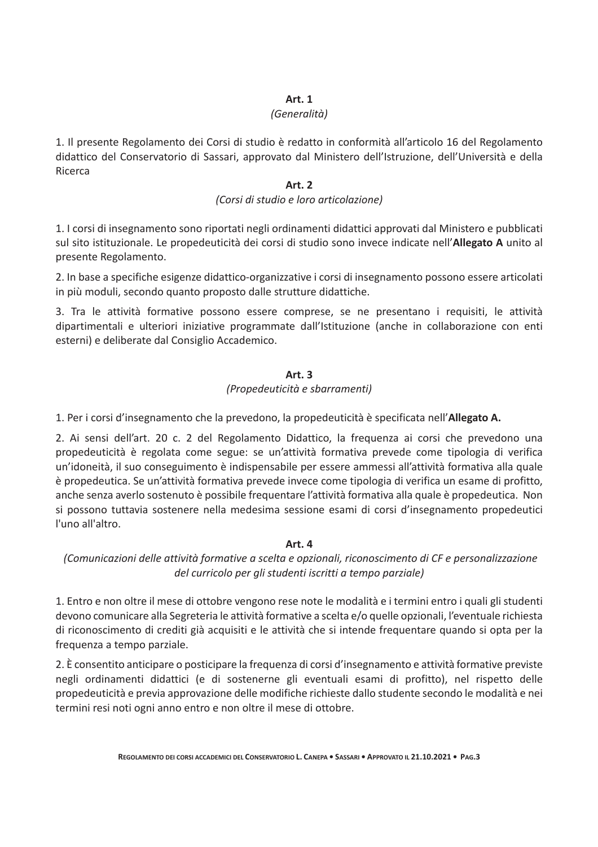#### Art. 1

#### (Generalità)

1. Il presente Regolamento dei Corsi di studio è redatto in conformità all'articolo 16 del Regolamento didattico del Conservatorio di Sassari, approvato dal Ministero dell'Istruzione, dell'Università e della Ricerca

#### **Art. 2**

#### (Corsi di studio e loro articolazione)

1. I corsi di insegnamento sono riportati negli ordinamenti didattici approvati dal Ministero e pubblicati sul sito istituzionale. Le propedeuticità dei corsi di studio sono invece indicate nell'Allegato A unito al presente Regolamento.

2. In base a specifiche esigenze didattico-organizzative i corsi di insegnamento possono essere articolati in più moduli, secondo quanto proposto dalle strutture didattiche.

3. Tra le attività formative possono essere comprese, se ne presentano i requisiti, le attività dipartimentali e ulteriori iniziative programmate dall'Istituzione (anche in collaborazione con enti esterni) e deliberate dal Consiglio Accademico.

#### **Art. 3**

#### (Propedeuticità e sbarramenti)

1. Per i corsi d'insegnamento che la prevedono, la propedeuticità è specificata nell'Allegato A.

2. Ai sensi dell'art. 20 c. 2 del Regolamento Didattico, la frequenza ai corsi che prevedono una propedeuticità è regolata come segue: se un'attività formativa prevede come tipologia di verifica un'idoneità, il suo conseguimento è indispensabile per essere ammessi all'attività formativa alla quale è propedeutica. Se un'attività formativa prevede invece come tipologia di verifica un esame di profitto, anche senza averlo sostenuto è possibile frequentare l'attività formativa alla quale è propedeutica. Non si possono tuttavia sostenere nella medesima sessione esami di corsi d'insegnamento propedeutici l'uno all'altro.

#### Art. 4

(Comunicazioni delle attività formative a scelta e opzionali, riconoscimento di CF e personalizzazione del curricolo per gli studenti iscritti a tempo parziale)

1. Entro e non oltre il mese di ottobre vengono rese note le modalità e i termini entro i quali gli studenti devono comunicare alla Segreteria le attività formative a scelta e/o quelle opzionali, l'eventuale richiesta di riconoscimento di crediti già acquisiti e le attività che si intende frequentare quando si opta per la frequenza a tempo parziale.

2. È consentito anticipare o posticipare la frequenza di corsi d'insegnamento e attività formative previste negli ordinamenti didattici (e di sostenerne gli eventuali esami di profitto), nel rispetto delle propedeuticità e previa approvazione delle modifiche richieste dallo studente secondo le modalità e nei termini resi noti ogni anno entro e non oltre il mese di ottobre.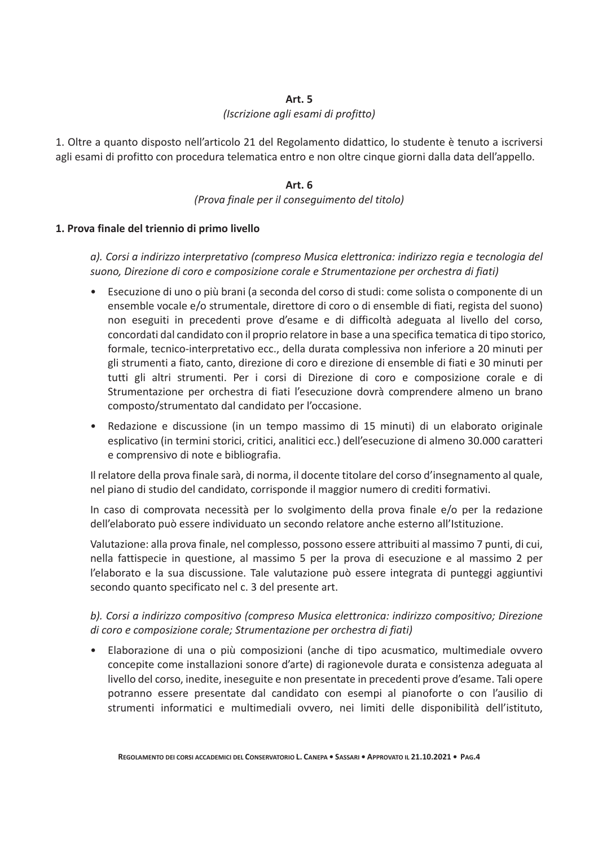#### **Art. 5**

#### (Iscrizione agli esami di profitto)

1. Oltre a quanto disposto nell'articolo 21 del Regolamento didattico, lo studente è tenuto a iscriversi agli esami di profitto con procedura telematica entro e non oltre cinque giorni dalla data dell'appello.

#### Art. 6

#### (Prova finale per il conseguimento del titolo)

#### 1. Prova finale del triennio di primo livello

a). Corsi a indirizzo interpretativo (compreso Musica elettronica: indirizzo regia e tecnologia del suono, Direzione di coro e composizione corale e Strumentazione per orchestra di fiati)

- Esecuzione di uno o più brani (a seconda del corso di studi: come solista o componente di un ensemble vocale e/o strumentale, direttore di coro o di ensemble di fiati, regista del suono) non eseguiti in precedenti prove d'esame e di difficoltà adeguata al livello del corso, concordati dal candidato con il proprio relatore in base a una specifica tematica di tipo storico, formale, tecnico-interpretativo ecc., della durata complessiva non inferiore a 20 minuti per gli strumenti a fiato, canto, direzione di coro e direzione di ensemble di fiati e 30 minuti per tutti gli altri strumenti. Per i corsi di Direzione di coro e composizione corale e di Strumentazione per orchestra di fiati l'esecuzione dovrà comprendere almeno un brano composto/strumentato dal candidato per l'occasione.
- Redazione e discussione (in un tempo massimo di 15 minuti) di un elaborato originale esplicativo (in termini storici, critici, analitici ecc.) dell'esecuzione di almeno 30.000 caratteri e comprensivo di note e bibliografia.

Il relatore della prova finale sarà, di norma, il docente titolare del corso d'insegnamento al quale, nel piano di studio del candidato, corrisponde il maggior numero di crediti formativi.

In caso di comprovata necessità per lo svolgimento della prova finale e/o per la redazione dell'elaborato può essere individuato un secondo relatore anche esterno all'Istituzione.

Valutazione: alla prova finale, nel complesso, possono essere attribuiti al massimo 7 punti, di cui, nella fattispecie in questione, al massimo 5 per la prova di esecuzione e al massimo 2 per l'elaborato e la sua discussione. Tale valutazione può essere integrata di punteggi aggiuntivi secondo quanto specificato nel c. 3 del presente art.

b). Corsi a indirizzo compositivo (compreso Musica elettronica: indirizzo compositivo; Direzione di coro e composizione corale; Strumentazione per orchestra di fiati)

Elaborazione di una o più composizioni (anche di tipo acusmatico, multimediale ovvero  $\bullet$ concepite come installazioni sonore d'arte) di ragionevole durata e consistenza adeguata al livello del corso, inedite, ineseguite e non presentate in precedenti prove d'esame. Tali opere potranno essere presentate dal candidato con esempi al pianoforte o con l'ausilio di strumenti informatici e multimediali ovvero, nei limiti delle disponibilità dell'istituto,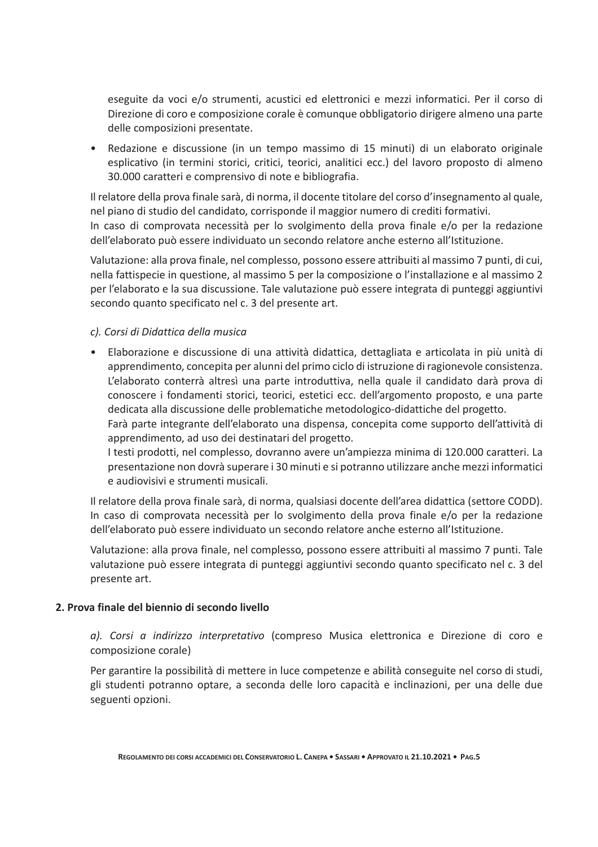eseguite da voci e/o strumenti, acustici ed elettronici e mezzi informatici. Per il corso di Direzione di coro e composizione corale è comunque obbligatorio dirigere almeno una parte delle composizioni presentate.

• Redazione e discussione (in un tempo massimo di 15 minuti) di un elaborato originale esplicativo (in termini storici, critici, teorici, analitici ecc.) del lavoro proposto di almeno 30.000 caratteri e comprensivo di note e bibliografia.

Il relatore della prova finale sarà, di norma, il docente titolare del corso d'insegnamento al quale, nel piano di studio del candidato, corrisponde il maggior numero di crediti formativi. In caso di comprovata necessità per lo svolgimento della prova finale e/o per la redazione dell'elaborato può essere individuato un secondo relatore anche esterno all'Istituzione.

Valutazione: alla prova finale, nel complesso, possono essere attribuiti al massimo 7 punti, di cui, nella fattispecie in questione, al massimo 5 per la composizione o l'installazione e al massimo 2 per l'elaborato e la sua discussione. Tale valutazione può essere integrata di punteggi aggiuntivi secondo quanto specificato nel c. 3 del presente art.

#### c). Corsi di Didattica della musica

· Elaborazione e discussione di una attività didattica, dettagliata e articolata in più unità di apprendimento, concepita per alunni del primo ciclo di istruzione di ragionevole consistenza. L'elaborato conterrà altresì una parte introduttiva, nella quale il candidato darà prova di conoscere i fondamenti storici, teorici, estetici ecc. dell'argomento proposto, e una parte dedicata alla discussione delle problematiche metodologico-didattiche del progetto. Farà parte integrante dell'elaborato una dispensa, concepita come supporto dell'attività di

apprendimento, ad uso dei destinatari del progetto.

I testi prodotti, nel complesso, dovranno avere un'ampiezza minima di 120.000 caratteri. La presentazione non dovrà superare i 30 minuti e si potranno utilizzare anche mezzi informatici e audiovisivi e strumenti musicali.

Il relatore della prova finale sarà, di norma, qualsiasi docente dell'area didattica (settore CODD). In caso di comprovata necessità per lo svolgimento della prova finale e/o per la redazione dell'elaborato può essere individuato un secondo relatore anche esterno all'Istituzione.

Valutazione: alla prova finale, nel complesso, possono essere attribuiti al massimo 7 punti. Tale valutazione può essere integrata di punteggi aggiuntivi secondo quanto specificato nel c. 3 del presente art.

#### 2. Prova finale del biennio di secondo livello

a). Corsi a indirizzo interpretativo (compreso Musica elettronica e Direzione di coro e composizione corale)

Per garantire la possibilità di mettere in luce competenze e abilità conseguite nel corso di studi, gli studenti potranno optare, a seconda delle loro capacità e inclinazioni, per una delle due seguenti opzioni.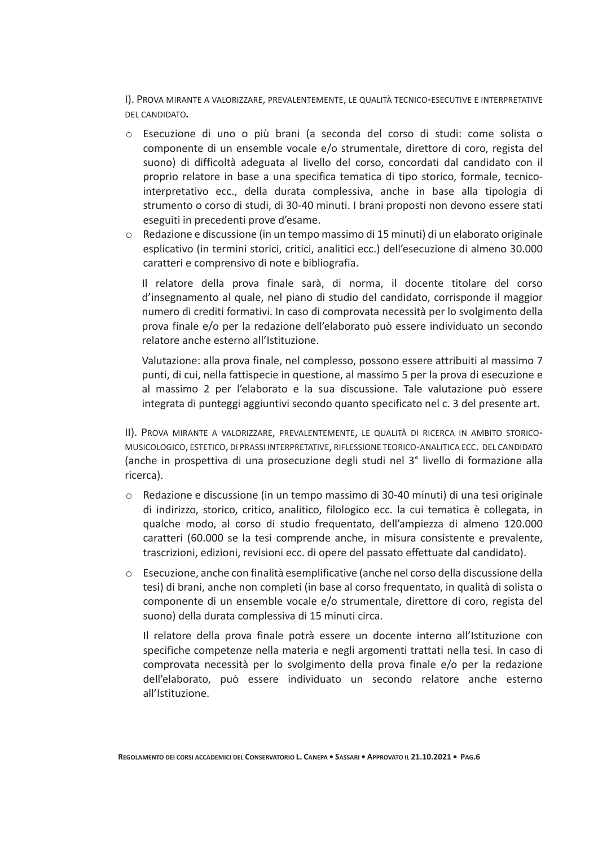I). PROVA MIRANTE A VALORIZZARE, PREVALENTEMENTE, LE QUALITÀ TECNICO-ESECUTIVE E INTERPRETATIVE DEL CANDIDATO.

- o Esecuzione di uno o più brani (a seconda del corso di studi: come solista o componente di un ensemble vocale e/o strumentale, direttore di coro, regista del suono) di difficoltà adeguata al livello del corso, concordati dal candidato con il proprio relatore in base a una specifica tematica di tipo storico, formale, tecnicointerpretativo ecc., della durata complessiva, anche in base alla tipologia di strumento o corso di studi, di 30-40 minuti. I brani proposti non devono essere stati eseguiti in precedenti prove d'esame.
- Redazione e discussione (in un tempo massimo di 15 minuti) di un elaborato originale esplicativo (in termini storici, critici, analitici ecc.) dell'esecuzione di almeno 30.000 caratteri e comprensivo di note e bibliografia.

Il relatore della prova finale sarà, di norma, il docente titolare del corso d'insegnamento al quale, nel piano di studio del candidato, corrisponde il maggior numero di crediti formativi. In caso di comprovata necessità per lo svolgimento della prova finale e/o per la redazione dell'elaborato può essere individuato un secondo relatore anche esterno all'Istituzione.

Valutazione: alla prova finale, nel complesso, possono essere attribuiti al massimo 7 punti, di cui, nella fattispecie in questione, al massimo 5 per la prova di esecuzione e al massimo 2 per l'elaborato e la sua discussione. Tale valutazione può essere integrata di punteggi aggiuntivi secondo quanto specificato nel c. 3 del presente art.

II). PROVA MIRANTE A VALORIZZARE, PREVALENTEMENTE, LE QUALITÀ DI RICERCA IN AMBITO STORICO-MUSICOLOGICO, ESTETICO, DI PRASSI INTERPRETATIVE, RIFLESSIONE TEORICO-ANALITICA ECC. DEL CANDIDATO (anche in prospettiva di una prosecuzione degli studi nel 3° livello di formazione alla ricerca).

- Redazione e discussione (in un tempo massimo di 30-40 minuti) di una tesi originale  $\circ$ di indirizzo, storico, critico, analitico, filologico ecc. la cui tematica è collegata, in qualche modo, al corso di studio frequentato, dell'ampiezza di almeno 120.000 caratteri (60.000 se la tesi comprende anche, in misura consistente e prevalente, trascrizioni, edizioni, revisioni ecc. di opere del passato effettuate dal candidato).
- $\circ$  Esecuzione, anche con finalità esemplificative (anche nel corso della discussione della tesi) di brani, anche non completi (in base al corso frequentato, in qualità di solista o componente di un ensemble vocale e/o strumentale, direttore di coro, regista del suono) della durata complessiva di 15 minuti circa.

Il relatore della prova finale potrà essere un docente interno all'Istituzione con specifiche competenze nella materia e negli argomenti trattati nella tesi. In caso di comprovata necessità per lo svolgimento della prova finale e/o per la redazione dell'elaborato, può essere individuato un secondo relatore anche esterno all'Istituzione.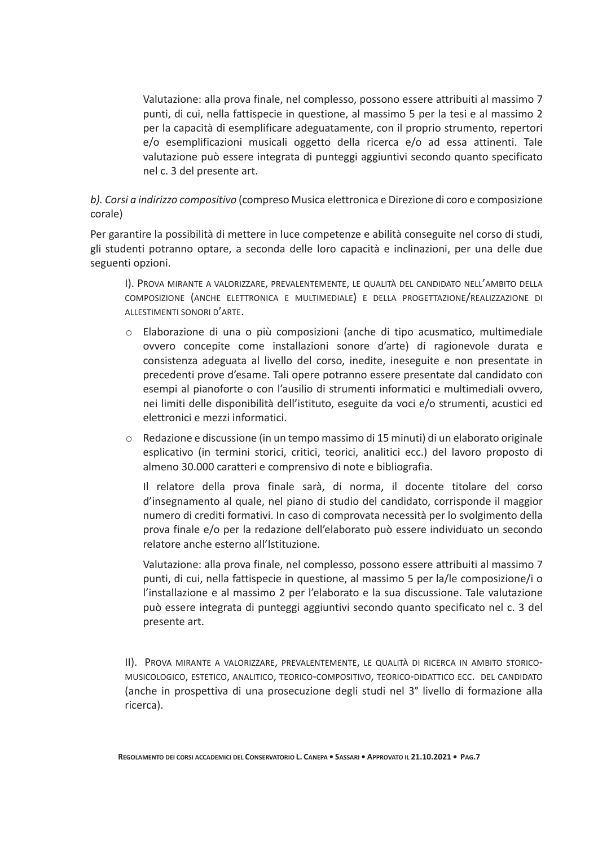Valutazione: alla prova finale, nel complesso, possono essere attribuiti al massimo 7 punti, di cui, nella fattispecie in questione, al massimo 5 per la tesi e al massimo 2 per la capacità di esemplificare adeguatamente, con il proprio strumento, repertori e/o esemplificazioni musicali oggetto della ricerca e/o ad essa attinenti. Tale valutazione può essere integrata di punteggi aggiuntivi secondo quanto specificato nel c. 3 del presente art.

#### b). Corsi a indirizzo compositivo (compreso Musica elettronica e Direzione di coro e composizione corale)

Per garantire la possibilità di mettere in luce competenze e abilità conseguite nel corso di studi, gli studenti potranno optare, a seconda delle loro capacità e inclinazioni, per una delle due seguenti opzioni.

I). PROVA MIRANTE A VALORIZZARE, PREVALENTEMENTE, LE QUALITÀ DEL CANDIDATO NELL'AMBITO DELLA COMPOSIZIONE (ANCHE ELETTRONICA E MULTIMEDIALE) E DELLA PROGETTAZIONE/REALIZZAZIONE DI ALLESTIMENTI SONORI D'ARTE.

- o Elaborazione di una o più composizioni (anche di tipo acusmatico, multimediale ovvero concepite come installazioni sonore d'arte) di ragionevole durata e consistenza adeguata al livello del corso, inedite, ineseguite e non presentate in precedenti prove d'esame. Tali opere potranno essere presentate dal candidato con esempi al pianoforte o con l'ausilio di strumenti informatici e multimediali ovvero, nei limiti delle disponibilità dell'istituto, eseguite da voci e/o strumenti, acustici ed elettronici e mezzi informatici.
- Redazione e discussione (in un tempo massimo di 15 minuti) di un elaborato originale esplicativo (in termini storici, critici, teorici, analitici ecc.) del lavoro proposto di almeno 30.000 caratteri e comprensivo di note e bibliografia.

Il relatore della prova finale sarà, di norma, il docente titolare del corso d'insegnamento al quale, nel piano di studio del candidato, corrisponde il maggior numero di crediti formativi. In caso di comprovata necessità per lo svolgimento della prova finale e/o per la redazione dell'elaborato può essere individuato un secondo relatore anche esterno all'Istituzione.

Valutazione: alla prova finale, nel complesso, possono essere attribuiti al massimo 7 punti, di cui, nella fattispecie in questione, al massimo 5 per la/le composizione/i o l'installazione e al massimo 2 per l'elaborato e la sua discussione. Tale valutazione può essere integrata di punteggi aggiuntivi secondo quanto specificato nel c. 3 del presente art.

II). PROVA MIRANTE A VALORIZZARE, PREVALENTEMENTE, LE QUALITÀ DI RICERCA IN AMBITO STORICO-MUSICOLOGICO, ESTETICO, ANALITICO, TEORICO-COMPOSITIVO, TEORICO-DIDATTICO ECC. DEL CANDIDATO (anche in prospettiva di una prosecuzione degli studi nel 3° livello di formazione alla ricerca).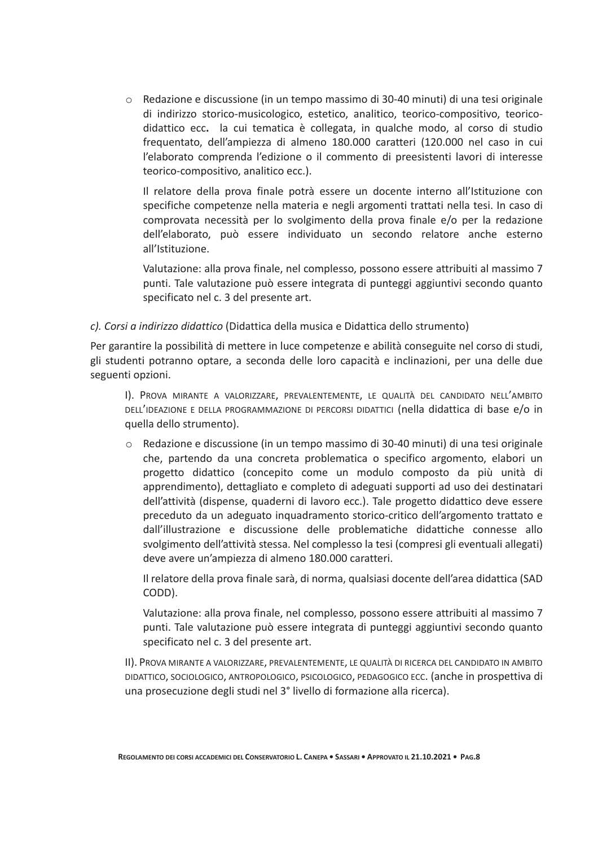○ Redazione e discussione (in un tempo massimo di 30-40 minuti) di una tesi originale di indirizzo storico-musicologico, estetico, analitico, teorico-compositivo, teoricodidattico ecc. la cui tematica è collegata, in qualche modo, al corso di studio frequentato, dell'ampiezza di almeno 180.000 caratteri (120.000 nel caso in cui l'elaborato comprenda l'edizione o il commento di preesistenti lavori di interesse teorico-compositivo, analitico ecc.).

Il relatore della prova finale potrà essere un docente interno all'Istituzione con specifiche competenze nella materia e negli argomenti trattati nella tesi. In caso di comprovata necessità per lo svolgimento della prova finale e/o per la redazione dell'elaborato, può essere individuato un secondo relatore anche esterno all'Istituzione.

Valutazione: alla prova finale, nel complesso, possono essere attribuiti al massimo 7 punti. Tale valutazione può essere integrata di punteggi aggiuntivi secondo quanto specificato nel c. 3 del presente art.

#### c). Corsi a indirizzo didattico (Didattica della musica e Didattica dello strumento)

Per garantire la possibilità di mettere in luce competenze e abilità conseguite nel corso di studi, gli studenti potranno optare, a seconda delle loro capacità e inclinazioni, per una delle due seguenti opzioni.

I). PROVA MIRANTE A VALORIZZARE, PREVALENTEMENTE, LE QUALITÀ DEL CANDIDATO NELL'AMBITO DELL'IDEAZIONE E DELLA PROGRAMMAZIONE DI PERCORSI DIDATTICI (nella didattica di base e/o in quella dello strumento).

○ Redazione e discussione (in un tempo massimo di 30-40 minuti) di una tesi originale che, partendo da una concreta problematica o specifico argomento, elabori un progetto didattico (concepito come un modulo composto da più unità di apprendimento), dettagliato e completo di adeguati supporti ad uso dei destinatari dell'attività (dispense, quaderni di lavoro ecc.). Tale progetto didattico deve essere preceduto da un adeguato inquadramento storico-critico dell'argomento trattato e dall'illustrazione e discussione delle problematiche didattiche connesse allo svolgimento dell'attività stessa. Nel complesso la tesi (compresi gli eventuali allegati) deve avere un'ampiezza di almeno 180.000 caratteri.

Il relatore della prova finale sarà, di norma, qualsiasi docente dell'area didattica (SAD CODD).

Valutazione: alla prova finale, nel complesso, possono essere attribuiti al massimo 7 punti. Tale valutazione può essere integrata di punteggi aggiuntivi secondo quanto specificato nel c. 3 del presente art.

II). PROVA MIRANTE A VALORIZZARE, PREVALENTEMENTE, LE QUALITÀ DI RICERCA DEL CANDIDATO IN AMBITO DIDATTICO, SOCIOLOGICO, ANTROPOLOGICO, PSICOLOGICO, PEDAGOGICO ECC. (anche in prospettiva di una prosecuzione degli studi nel 3<sup>°</sup> livello di formazione alla ricerca).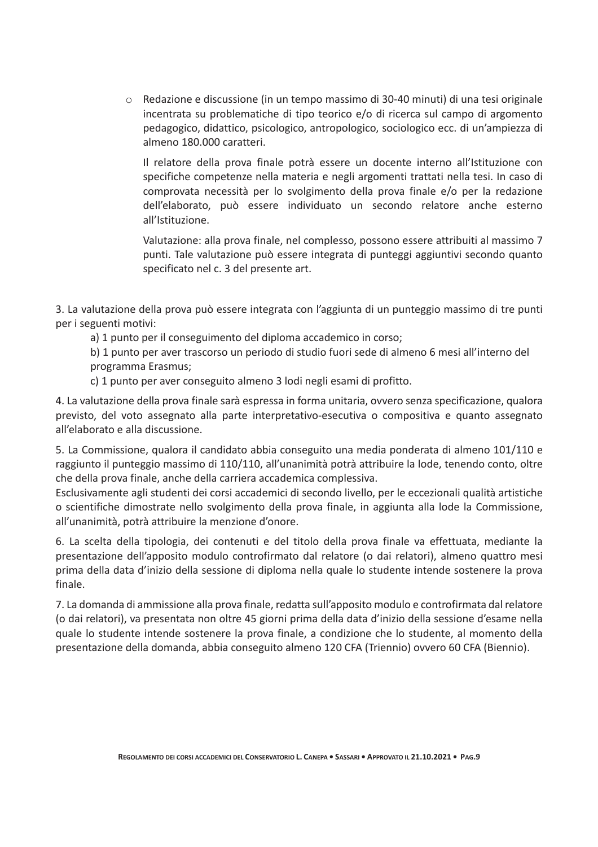○ Redazione e discussione (in un tempo massimo di 30-40 minuti) di una tesi originale incentrata su problematiche di tipo teorico e/o di ricerca sul campo di argomento pedagogico, didattico, psicologico, antropologico, sociologico ecc. di un'ampiezza di almeno 180.000 caratteri.

Il relatore della prova finale potrà essere un docente interno all'Istituzione con specifiche competenze nella materia e negli argomenti trattati nella tesi. In caso di comprovata necessità per lo svolgimento della prova finale e/o per la redazione dell'elaborato, può essere individuato un secondo relatore anche esterno all'Istituzione.

Valutazione: alla prova finale, nel complesso, possono essere attribuiti al massimo 7 punti. Tale valutazione può essere integrata di punteggi aggiuntivi secondo quanto specificato nel c. 3 del presente art.

3. La valutazione della prova può essere integrata con l'aggiunta di un punteggio massimo di tre punti per i seguenti motivi:

a) 1 punto per il conseguimento del diploma accademico in corso;

b) 1 punto per aver trascorso un periodo di studio fuori sede di almeno 6 mesi all'interno del programma Erasmus;

c) 1 punto per aver conseguito almeno 3 lodi negli esami di profitto.

4. La valutazione della prova finale sarà espressa in forma unitaria, ovvero senza specificazione, qualora previsto, del voto assegnato alla parte interpretativo-esecutiva o compositiva e quanto assegnato all'elaborato e alla discussione.

5. La Commissione, qualora il candidato abbia conseguito una media ponderata di almeno 101/110 e raggiunto il punteggio massimo di 110/110, all'unanimità potrà attribuire la lode, tenendo conto, oltre che della prova finale, anche della carriera accademica complessiva.

Esclusivamente agli studenti dei corsi accademici di secondo livello, per le eccezionali qualità artistiche o scientifiche dimostrate nello svolgimento della prova finale, in aggiunta alla lode la Commissione, all'unanimità, potrà attribuire la menzione d'onore.

6. La scelta della tipologia, dei contenuti e del titolo della prova finale va effettuata, mediante la presentazione dell'apposito modulo controfirmato dal relatore (o dai relatori), almeno quattro mesi prima della data d'inizio della sessione di diploma nella quale lo studente intende sostenere la prova finale.

7. La domanda di ammissione alla prova finale, redatta sull'apposito modulo e controfirmata dal relatore (o dai relatori), va presentata non oltre 45 giorni prima della data d'inizio della sessione d'esame nella quale lo studente intende sostenere la prova finale, a condizione che lo studente, al momento della presentazione della domanda, abbia conseguito almeno 120 CFA (Triennio) ovvero 60 CFA (Biennio).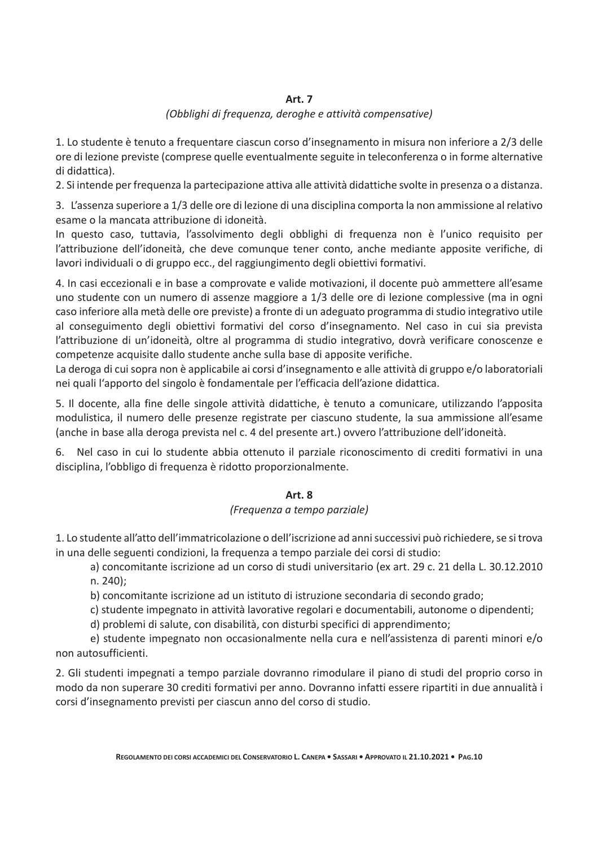#### Art. 7

#### (Obblighi di frequenza, deroghe e attività compensative)

1. Lo studente è tenuto a frequentare ciascun corso d'insegnamento in misura non inferiore a 2/3 delle ore di lezione previste (comprese quelle eventualmente seguite in teleconferenza o in forme alternative di didattica).

2. Si intende per frequenza la partecipazione attiva alle attività didattiche svolte in presenza o a distanza.

3. L'assenza superiore a 1/3 delle ore di lezione di una disciplina comporta la non ammissione al relativo esame o la mancata attribuzione di idoneità.

In questo caso, tuttavia, l'assolvimento degli obblighi di frequenza non è l'unico requisito per l'attribuzione dell'idoneità, che deve comunque tener conto, anche mediante apposite verifiche, di lavori individuali o di gruppo ecc., del raggiungimento degli obiettivi formativi.

4. In casi eccezionali e in base a comprovate e valide motivazioni, il docente può ammettere all'esame uno studente con un numero di assenze maggiore a 1/3 delle ore di lezione complessive (ma in ogni caso inferiore alla metà delle ore previste) a fronte di un adeguato programma di studio integrativo utile al conseguimento degli obiettivi formativi del corso d'insegnamento. Nel caso in cui sia prevista l'attribuzione di un'idoneità, oltre al programma di studio integrativo, dovrà verificare conoscenze e competenze acquisite dallo studente anche sulla base di apposite verifiche.

La deroga di cui sopra non è applicabile ai corsi d'insegnamento e alle attività di gruppo e/o laboratoriali nei quali l'apporto del singolo è fondamentale per l'efficacia dell'azione didattica.

5. Il docente, alla fine delle singole attività didattiche, è tenuto a comunicare, utilizzando l'apposita modulistica, il numero delle presenze registrate per ciascuno studente, la sua ammissione all'esame (anche in base alla deroga prevista nel c. 4 del presente art.) ovvero l'attribuzione dell'idoneità.

6. Nel caso in cui lo studente abbia ottenuto il parziale riconoscimento di crediti formativi in una disciplina, l'obbligo di frequenza è ridotto proporzionalmente.

#### **Art. 8**

#### (Frequenza a tempo parziale)

1. Lo studente all'atto dell'immatricolazione o dell'iscrizione ad anni successivi può richiedere, se si trova in una delle seguenti condizioni, la frequenza a tempo parziale dei corsi di studio:

a) concomitante iscrizione ad un corso di studi universitario (ex art. 29 c. 21 della L. 30.12.2010 n. 240);

b) concomitante iscrizione ad un istituto di istruzione secondaria di secondo grado;

c) studente impegnato in attività lavorative regolari e documentabili, autonome o dipendenti;

d) problemi di salute, con disabilità, con disturbi specifici di apprendimento;

e) studente impegnato non occasionalmente nella cura e nell'assistenza di parenti minori e/o non autosufficienti.

2. Gli studenti impegnati a tempo parziale dovranno rimodulare il piano di studi del proprio corso in modo da non superare 30 crediti formativi per anno. Dovranno infatti essere ripartiti in due annualità i corsi d'insegnamento previsti per ciascun anno del corso di studio.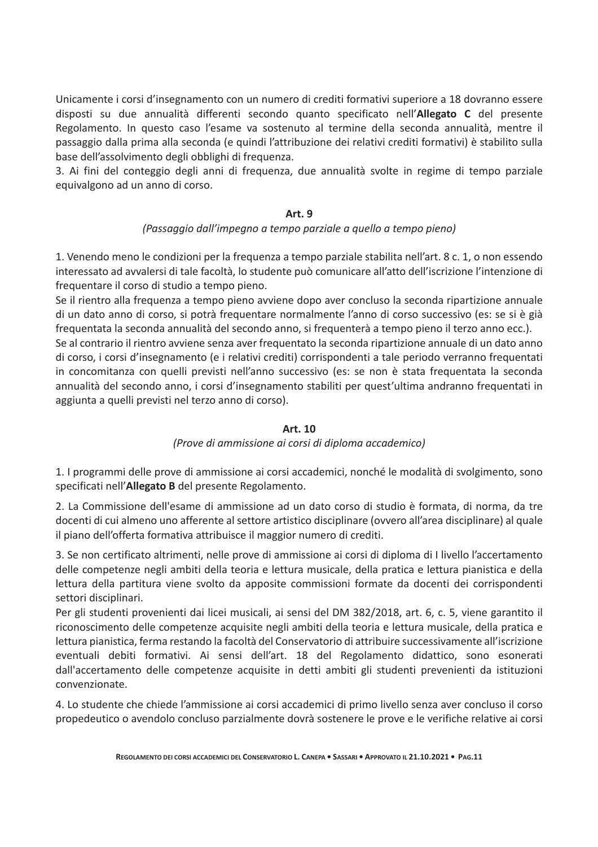Unicamente i corsi d'insegnamento con un numero di crediti formativi superiore a 18 dovranno essere disposti su due annualità differenti secondo quanto specificato nell'Allegato C del presente Regolamento. In questo caso l'esame va sostenuto al termine della seconda annualità, mentre il passaggio dalla prima alla seconda (e quindi l'attribuzione dei relativi crediti formativi) è stabilito sulla base dell'assolvimento degli obblighi di frequenza.

3. Ai fini del conteggio degli anni di frequenza, due annualità svolte in regime di tempo parziale equivalgono ad un anno di corso.

#### Art. 9

#### (Passaggio dall'impegno a tempo parziale a quello a tempo pieno)

1. Venendo meno le condizioni per la frequenza a tempo parziale stabilita nell'art. 8 c. 1, o non essendo interessato ad avvalersi di tale facoltà, lo studente può comunicare all'atto dell'iscrizione l'intenzione di frequentare il corso di studio a tempo pieno.

Se il rientro alla frequenza a tempo pieno avviene dopo aver concluso la seconda ripartizione annuale di un dato anno di corso, si potrà frequentare normalmente l'anno di corso successivo (es: se si è già frequentata la seconda annualità del secondo anno, si frequenterà a tempo pieno il terzo anno ecc.).

Se al contrario il rientro avviene senza aver frequentato la seconda ripartizione annuale di un dato anno di corso, i corsi d'insegnamento (e i relativi crediti) corrispondenti a tale periodo verranno frequentati in concomitanza con quelli previsti nell'anno successivo (es: se non è stata frequentata la seconda annualità del secondo anno, i corsi d'insegnamento stabiliti per quest'ultima andranno frequentati in aggiunta a quelli previsti nel terzo anno di corso).

#### Art. 10

#### (Prove di ammissione ai corsi di diploma accademico)

1. I programmi delle prove di ammissione ai corsi accademici, nonché le modalità di svolgimento, sono specificati nell'Allegato B del presente Regolamento.

2. La Commissione dell'esame di ammissione ad un dato corso di studio è formata, di norma, da tre docenti di cui almeno uno afferente al settore artistico disciplinare (ovvero all'area disciplinare) al quale il piano dell'offerta formativa attribuisce il maggior numero di crediti.

3. Se non certificato altrimenti, nelle prove di ammissione ai corsi di diploma di I livello l'accertamento delle competenze negli ambiti della teoria e lettura musicale, della pratica e lettura pianistica e della lettura della partitura viene svolto da apposite commissioni formate da docenti dei corrispondenti settori disciplinari.

Per gli studenti provenienti dai licei musicali, ai sensi del DM 382/2018, art. 6, c. 5, viene garantito il riconoscimento delle competenze acquisite negli ambiti della teoria e lettura musicale, della pratica e lettura pianistica, ferma restando la facoltà del Conservatorio di attribuire successivamente all'iscrizione eventuali debiti formativi. Ai sensi dell'art. 18 del Regolamento didattico, sono esonerati dall'accertamento delle competenze acquisite in detti ambiti gli studenti prevenienti da istituzioni convenzionate.

4. Lo studente che chiede l'ammissione ai corsi accademici di primo livello senza aver concluso il corso propedeutico o avendolo concluso parzialmente dovrà sostenere le prove e le verifiche relative ai corsi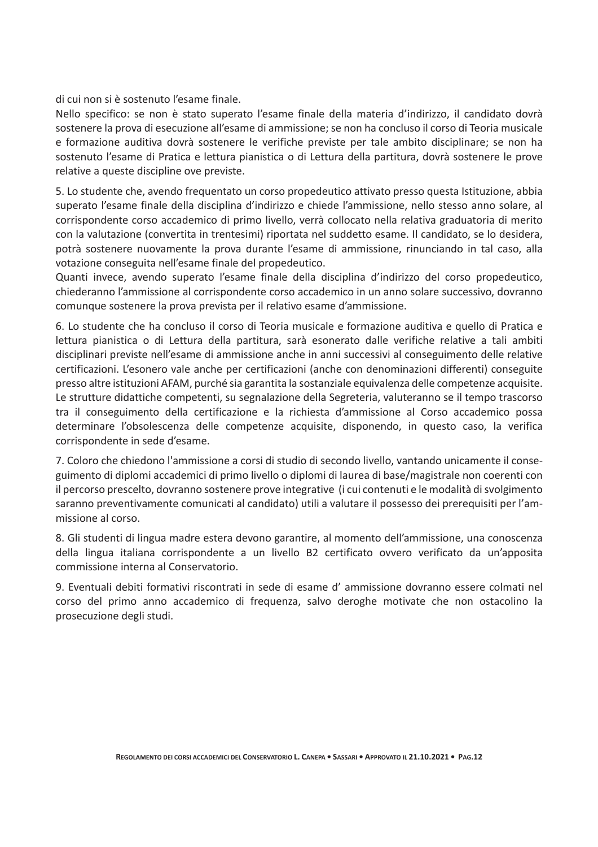di cui non și è sostenuto l'esame finale.

Nello specifico: se non è stato superato l'esame finale della materia d'indirizzo, il candidato dovrà sostenere la prova di esecuzione all'esame di ammissione; se non ha concluso il corso di Teoria musicale e formazione auditiva dovrà sostenere le verifiche previste per tale ambito disciplinare; se non ha sostenuto l'esame di Pratica e lettura pianistica o di Lettura della partitura, dovrà sostenere le prove relative a queste discipline ove previste.

5. Lo studente che, avendo frequentato un corso propedeutico attivato presso questa Istituzione, abbia superato l'esame finale della disciplina d'indirizzo e chiede l'ammissione, nello stesso anno solare, al corrispondente corso accademico di primo livello, verrà collocato nella relativa graduatoria di merito con la valutazione (convertita in trentesimi) riportata nel suddetto esame. Il candidato, se lo desidera, potrà sostenere nuovamente la prova durante l'esame di ammissione, rinunciando in tal caso, alla votazione conseguita nell'esame finale del propedeutico.

Quanti invece, avendo superato l'esame finale della disciplina d'indirizzo del corso propedeutico, chiederanno l'ammissione al corrispondente corso accademico in un anno solare successivo, dovranno comunque sostenere la prova prevista per il relativo esame d'ammissione.

6. Lo studente che ha concluso il corso di Teoria musicale e formazione auditiva e quello di Pratica e lettura pianistica o di Lettura della partitura, sarà esonerato dalle verifiche relative a tali ambiti disciplinari previste nell'esame di ammissione anche in anni successivi al conseguimento delle relative certificazioni. L'esonero vale anche per certificazioni (anche con denominazioni differenti) conseguite presso altre istituzioni AFAM, purché sia garantita la sostanziale equivalenza delle competenze acquisite. Le strutture didattiche competenti, su segnalazione della Segreteria, valuteranno se il tempo trascorso tra il conseguimento della certificazione e la richiesta d'ammissione al Corso accademico possa determinare l'obsolescenza delle competenze acquisite, disponendo, in questo caso, la verifica corrispondente in sede d'esame.

7. Coloro che chiedono l'ammissione a corsi di studio di secondo livello, vantando unicamente il conseguimento di diplomi accademici di primo livello o diplomi di laurea di base/magistrale non coerenti con il percorso prescelto, dovranno sostenere prove integrative (i cui contenuti e le modalità di svolgimento saranno preventivamente comunicati al candidato) utili a valutare il possesso dei prerequisiti per l'ammissione al corso.

8. Gli studenti di lingua madre estera devono garantire, al momento dell'ammissione, una conoscenza della lingua italiana corrispondente a un livello B2 certificato ovvero verificato da un'apposita commissione interna al Conservatorio.

9. Eventuali debiti formativi riscontrati in sede di esame d'ammissione dovranno essere colmati nel corso del primo anno accademico di freguenza, salvo deroghe motivate che non ostacolino la prosecuzione degli studi.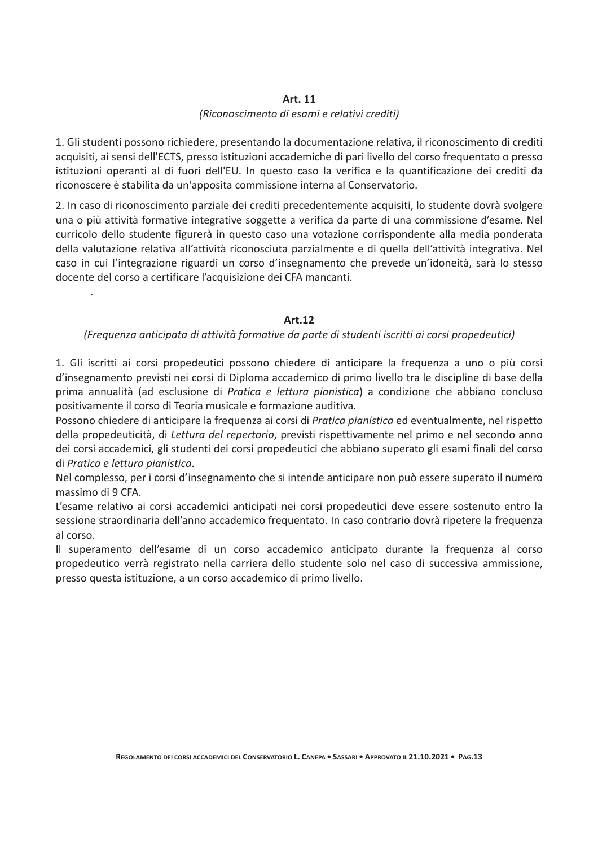#### Art. 11

#### (Riconoscimento di esami e relativi crediti)

1. Gli studenti possono richiedere, presentando la documentazione relativa, il riconoscimento di crediti acquisiti, ai sensi dell'ECTS, presso istituzioni accademiche di pari livello del corso frequentato o presso istituzioni operanti al di fuori dell'EU. In questo caso la verifica e la quantificazione dei crediti da riconoscere è stabilita da un'apposita commissione interna al Conservatorio.

2. In caso di riconoscimento parziale dei crediti precedentemente acquisiti, lo studente dovrà svolgere una o più attività formative integrative soggette a verifica da parte di una commissione d'esame. Nel curricolo dello studente figurerà in questo caso una votazione corrispondente alla media ponderata della valutazione relativa all'attività riconosciuta parzialmente e di quella dell'attività integrativa. Nel caso in cui l'integrazione riguardi un corso d'insegnamento che prevede un'idoneità, sarà lo stesso docente del corso a certificare l'acquisizione dei CFA mancanti.

#### **Art.12**

#### (Frequenza anticipata di attività formative da parte di studenti iscritti ai corsi propedeutici)

1. Gli iscritti ai corsi propedeutici possono chiedere di anticipare la frequenza a uno o più corsi d'insegnamento previsti nei corsi di Diploma accademico di primo livello tra le discipline di base della prima annualità (ad esclusione di Pratica e lettura pianistica) a condizione che abbiano concluso positivamente il corso di Teoria musicale e formazione auditiva.

Possono chiedere di anticipare la frequenza ai corsi di Pratica pianistica ed eventualmente, nel rispetto della propedeuticità, di Lettura del repertorio, previsti rispettivamente nel primo e nel secondo anno dei corsi accademici, gli studenti dei corsi propedeutici che abbiano superato gli esami finali del corso di Pratica e lettura pianistica.

Nel complesso, per i corsi d'insegnamento che si intende anticipare non può essere superato il numero massimo di 9 CFA.

L'esame relativo ai corsi accademici anticipati nei corsi propedeutici deve essere sostenuto entro la sessione straordinaria dell'anno accademico frequentato. In caso contrario dovrà ripetere la frequenza al corso.

Il superamento dell'esame di un corso accademico anticipato durante la frequenza al corso propedeutico verrà registrato nella carriera dello studente solo nel caso di successiva ammissione, presso questa istituzione, a un corso accademico di primo livello.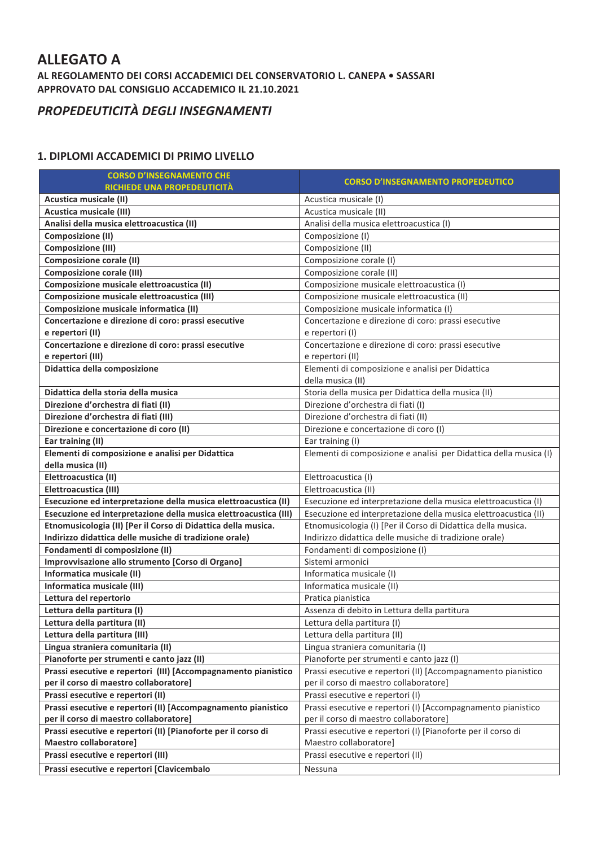## **ALLEGATO A**

AL REGOLAMENTO DEI CORSI ACCADEMICI DEL CONSERVATORIO L. CANEPA . SASSARI APPROVATO DAL CONSIGLIO ACCADEMICO IL 21.10.2021

## PROPEDEUTICITÀ DEGLI INSEGNAMENTI

#### 1. DIPLOMI ACCADEMICI DI PRIMO LIVELLO

| <b>CORSO D'INSEGNAMENTO CHE</b>                                  | <b>CORSO D'INSEGNAMENTO PROPEDEUTICO</b>                          |  |  |
|------------------------------------------------------------------|-------------------------------------------------------------------|--|--|
| RICHIEDE UNA PROPEDEUTICITÀ                                      |                                                                   |  |  |
| Acustica musicale (II)                                           | Acustica musicale (I)                                             |  |  |
| Acustica musicale (III)                                          | Acustica musicale (II)                                            |  |  |
| Analisi della musica elettroacustica (II)                        | Analisi della musica elettroacustica (I)                          |  |  |
| <b>Composizione (II)</b>                                         | Composizione (I)                                                  |  |  |
| <b>Composizione (III)</b>                                        | Composizione (II)                                                 |  |  |
| <b>Composizione corale (II)</b>                                  | Composizione corale (I)                                           |  |  |
| Composizione corale (III)                                        | Composizione corale (II)                                          |  |  |
| Composizione musicale elettroacustica (II)                       | Composizione musicale elettroacustica (I)                         |  |  |
| Composizione musicale elettroacustica (III)                      | Composizione musicale elettroacustica (II)                        |  |  |
| Composizione musicale informatica (II)                           | Composizione musicale informatica (I)                             |  |  |
| Concertazione e direzione di coro: prassi esecutive              | Concertazione e direzione di coro: prassi esecutive               |  |  |
| e repertori (II)                                                 | e repertori (I)                                                   |  |  |
| Concertazione e direzione di coro: prassi esecutive              | Concertazione e direzione di coro: prassi esecutive               |  |  |
| e repertori (III)                                                | e repertori (II)                                                  |  |  |
| Didattica della composizione                                     | Elementi di composizione e analisi per Didattica                  |  |  |
|                                                                  | della musica (II)                                                 |  |  |
| Didattica della storia della musica                              | Storia della musica per Didattica della musica (II)               |  |  |
| Direzione d'orchestra di fiati (II)                              | Direzione d'orchestra di fiati (I)                                |  |  |
| Direzione d'orchestra di fiati (III)                             | Direzione d'orchestra di fiati (II)                               |  |  |
| Direzione e concertazione di coro (II)                           | Direzione e concertazione di coro (I)                             |  |  |
| Ear training (II)                                                | Ear training (I)                                                  |  |  |
| Elementi di composizione e analisi per Didattica                 | Elementi di composizione e analisi per Didattica della musica (I) |  |  |
| della musica (II)                                                |                                                                   |  |  |
| Elettroacustica (II)                                             | Elettroacustica (I)                                               |  |  |
| Elettroacustica (III)                                            | Elettroacustica (II)                                              |  |  |
| Esecuzione ed interpretazione della musica elettroacustica (II)  | Esecuzione ed interpretazione della musica elettroacustica (I)    |  |  |
| Esecuzione ed interpretazione della musica elettroacustica (III) | Esecuzione ed interpretazione della musica elettroacustica (II)   |  |  |
| Etnomusicologia (II) [Per il Corso di Didattica della musica.    | Etnomusicologia (I) [Per il Corso di Didattica della musica.      |  |  |
| Indirizzo didattica delle musiche di tradizione orale)           | Indirizzo didattica delle musiche di tradizione orale)            |  |  |
| Fondamenti di composizione (II)                                  | Fondamenti di composizione (I)                                    |  |  |
| Improvvisazione allo strumento [Corso di Organo]                 | Sistemi armonici                                                  |  |  |
| Informatica musicale (II)                                        | Informatica musicale (I)                                          |  |  |
| Informatica musicale (III)                                       | Informatica musicale (II)                                         |  |  |
| Lettura del repertorio                                           | Pratica pianistica                                                |  |  |
| Lettura della partitura (I)                                      | Assenza di debito in Lettura della partitura                      |  |  |
| Lettura della partitura (II)                                     | Lettura della partitura (I)                                       |  |  |
| Lettura della partitura (III)                                    | Lettura della partitura (II)                                      |  |  |
| Lingua straniera comunitaria (II)                                | Lingua straniera comunitaria (I)                                  |  |  |
| Pianoforte per strumenti e canto jazz (II)                       | Pianoforte per strumenti e canto jazz (I)                         |  |  |
| Prassi esecutive e repertori (III) [Accompagnamento pianistico   | Prassi esecutive e repertori (II) [Accompagnamento pianistico     |  |  |
| per il corso di maestro collaboratore]                           | per il corso di maestro collaboratore]                            |  |  |
| Prassi esecutive e repertori (II)                                | Prassi esecutive e repertori (I)                                  |  |  |
| Prassi esecutive e repertori (II) [Accompagnamento pianistico    | Prassi esecutive e repertori (I) [Accompagnamento pianistico      |  |  |
| per il corso di maestro collaboratore]                           | per il corso di maestro collaboratore]                            |  |  |
| Prassi esecutive e repertori (II) [Pianoforte per il corso di    | Prassi esecutive e repertori (I) [Pianoforte per il corso di      |  |  |
| Maestro collaboratore]                                           | Maestro collaboratore]                                            |  |  |
| Prassi esecutive e repertori (III)                               | Prassi esecutive e repertori (II)                                 |  |  |
| Prassi esecutive e repertori [Clavicembalo                       | Nessuna                                                           |  |  |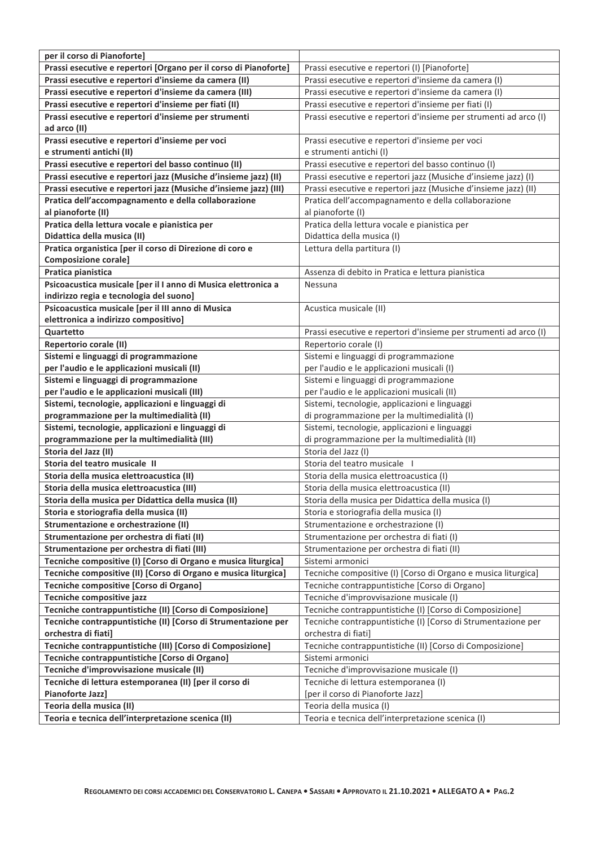| per il corso di Pianoforte]                                      |                                                                  |  |  |
|------------------------------------------------------------------|------------------------------------------------------------------|--|--|
| Prassi esecutive e repertori [Organo per il corso di Pianoforte] | Prassi esecutive e repertori (I) [Pianoforte]                    |  |  |
| Prassi esecutive e repertori d'insieme da camera (II)            | Prassi esecutive e repertori d'insieme da camera (I)             |  |  |
| Prassi esecutive e repertori d'insieme da camera (III)           | Prassi esecutive e repertori d'insieme da camera (I)             |  |  |
| Prassi esecutive e repertori d'insieme per fiati (II)            | Prassi esecutive e repertori d'insieme per fiati (I)             |  |  |
| Prassi esecutive e repertori d'insieme per strumenti             | Prassi esecutive e repertori d'insieme per strumenti ad arco (I) |  |  |
| ad arco (II)                                                     |                                                                  |  |  |
| Prassi esecutive e repertori d'insieme per voci                  | Prassi esecutive e repertori d'insieme per voci                  |  |  |
| e strumenti antichi (II)                                         | e strumenti antichi (I)                                          |  |  |
| Prassi esecutive e repertori del basso continuo (II)             | Prassi esecutive e repertori del basso continuo (I)              |  |  |
| Prassi esecutive e repertori jazz (Musiche d'insieme jazz) (II)  | Prassi esecutive e repertori jazz (Musiche d'insieme jazz) (I)   |  |  |
| Prassi esecutive e repertori jazz (Musiche d'insieme jazz) (III) | Prassi esecutive e repertori jazz (Musiche d'insieme jazz) (II)  |  |  |
| Pratica dell'accompagnamento e della collaborazione              | Pratica dell'accompagnamento e della collaborazione              |  |  |
| al pianoforte (II)                                               | al pianoforte (I)                                                |  |  |
| Pratica della lettura vocale e pianistica per                    | Pratica della lettura vocale e pianistica per                    |  |  |
| Didattica della musica (II)                                      | Didattica della musica (I)                                       |  |  |
| Pratica organistica [per il corso di Direzione di coro e         | Lettura della partitura (I)                                      |  |  |
| <b>Composizione corale]</b>                                      |                                                                  |  |  |
| Pratica pianistica                                               | Assenza di debito in Pratica e lettura pianistica                |  |  |
| Psicoacustica musicale [per il I anno di Musica elettronica a    | Nessuna                                                          |  |  |
| indirizzo regia e tecnologia del suono]                          |                                                                  |  |  |
| Psicoacustica musicale [per il III anno di Musica                | Acustica musicale (II)                                           |  |  |
| elettronica a indirizzo compositivo]                             |                                                                  |  |  |
| <b>Quartetto</b>                                                 | Prassi esecutive e repertori d'insieme per strumenti ad arco (I) |  |  |
| Repertorio corale (II)                                           | Repertorio corale (I)                                            |  |  |
| Sistemi e linguaggi di programmazione                            | Sistemi e linguaggi di programmazione                            |  |  |
| per l'audio e le applicazioni musicali (II)                      | per l'audio e le applicazioni musicali (I)                       |  |  |
| Sistemi e linguaggi di programmazione                            | Sistemi e linguaggi di programmazione                            |  |  |
| per l'audio e le applicazioni musicali (III)                     | per l'audio e le applicazioni musicali (II)                      |  |  |
| Sistemi, tecnologie, applicazioni e linguaggi di                 | Sistemi, tecnologie, applicazioni e linguaggi                    |  |  |
| programmazione per la multimedialità (II)                        | di programmazione per la multimedialità (I)                      |  |  |
| Sistemi, tecnologie, applicazioni e linguaggi di                 | Sistemi, tecnologie, applicazioni e linguaggi                    |  |  |
| programmazione per la multimedialità (III)                       | di programmazione per la multimedialità (II)                     |  |  |
| Storia del Jazz (II)                                             | Storia del Jazz (I)                                              |  |  |
| Storia del teatro musicale II                                    | Storia del teatro musicale I                                     |  |  |
| Storia della musica elettroacustica (II)                         | Storia della musica elettroacustica (I)                          |  |  |
| Storia della musica elettroacustica (III)                        | Storia della musica elettroacustica (II)                         |  |  |
| Storia della musica per Didattica della musica (II)              | Storia della musica per Didattica della musica (I)               |  |  |
| Storia e storiografia della musica (II)                          | Storia e storiografia della musica (I)                           |  |  |
| Strumentazione e orchestrazione (II)                             | Strumentazione e orchestrazione (I)                              |  |  |
| Strumentazione per orchestra di fiati (II)                       | Strumentazione per orchestra di fiati (I)                        |  |  |
| Strumentazione per orchestra di fiati (III)                      | Strumentazione per orchestra di fiati (II)                       |  |  |
| Tecniche compositive (I) [Corso di Organo e musica liturgica]    | Sistemi armonici                                                 |  |  |
| Tecniche compositive (II) [Corso di Organo e musica liturgica]   | Tecniche compositive (I) [Corso di Organo e musica liturgica]    |  |  |
| Tecniche compositive [Corso di Organo]                           | Tecniche contrappuntistiche [Corso di Organo]                    |  |  |
| Tecniche compositive jazz                                        | Tecniche d'improvvisazione musicale (I)                          |  |  |
| Tecniche contrappuntistiche (II) [Corso di Composizione]         | Tecniche contrappuntistiche (I) [Corso di Composizione]          |  |  |
| Tecniche contrappuntistiche (II) [Corso di Strumentazione per    | Tecniche contrappuntistiche (I) [Corso di Strumentazione per     |  |  |
| orchestra di fiati]                                              | orchestra di fiati]                                              |  |  |
| Tecniche contrappuntistiche (III) [Corso di Composizione]        | Tecniche contrappuntistiche (II) [Corso di Composizione]         |  |  |
| Tecniche contrappuntistiche [Corso di Organo]                    | Sistemi armonici                                                 |  |  |
| Tecniche d'improvvisazione musicale (II)                         | Tecniche d'improvvisazione musicale (I)                          |  |  |
| Tecniche di lettura estemporanea (II) [per il corso di           | Tecniche di lettura estemporanea (I)                             |  |  |
| Pianoforte Jazz]                                                 | [per il corso di Pianoforte Jazz]                                |  |  |
| Teoria della musica (II)                                         | Teoria della musica (I)                                          |  |  |
| Teoria e tecnica dell'interpretazione scenica (II)               | Teoria e tecnica dell'interpretazione scenica (I)                |  |  |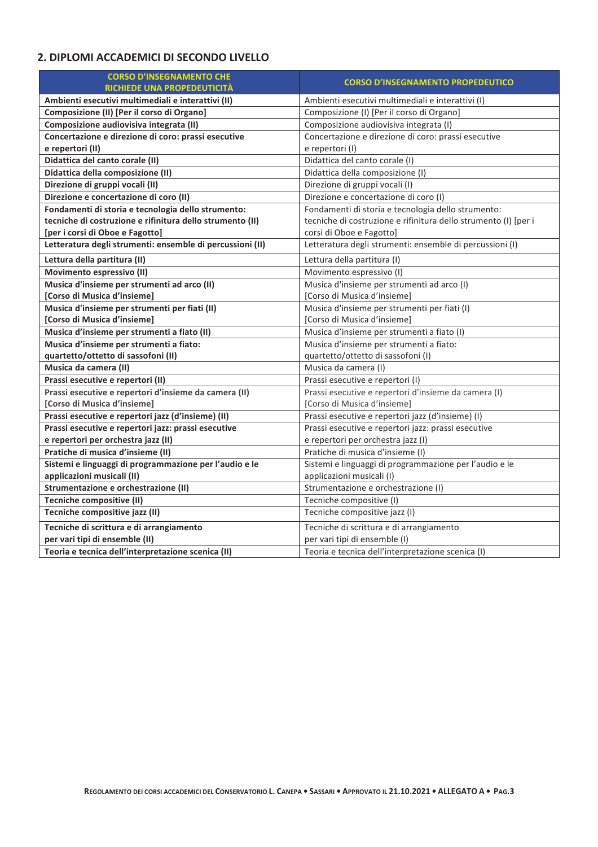## 2. DIPLOMI ACCADEMICI DI SECONDO LIVELLO

| <b>CORSO D'INSEGNAMENTO CHE</b>                           | <b>CORSO D'INSEGNAMENTO PROPEDEUTICO</b>                        |  |  |
|-----------------------------------------------------------|-----------------------------------------------------------------|--|--|
| <b>RICHIEDE UNA PROPEDEUTICITÀ</b>                        |                                                                 |  |  |
| Ambienti esecutivi multimediali e interattivi (II)        | Ambienti esecutivi multimediali e interattivi (I)               |  |  |
| Composizione (II) [Per il corso di Organo]                | Composizione (I) [Per il corso di Organo]                       |  |  |
| Composizione audiovisiva integrata (II)                   | Composizione audiovisiva integrata (I)                          |  |  |
| Concertazione e direzione di coro: prassi esecutive       | Concertazione e direzione di coro: prassi esecutive             |  |  |
| e repertori (II)                                          | e repertori (I)                                                 |  |  |
| Didattica del canto corale (II)                           | Didattica del canto corale (I)                                  |  |  |
| Didattica della composizione (II)                         | Didattica della composizione (I)                                |  |  |
| Direzione di gruppi vocali (II)                           | Direzione di gruppi vocali (I)                                  |  |  |
| Direzione e concertazione di coro (II)                    | Direzione e concertazione di coro (I)                           |  |  |
| Fondamenti di storia e tecnologia dello strumento:        | Fondamenti di storia e tecnologia dello strumento:              |  |  |
| tecniche di costruzione e rifinitura dello strumento (II) | tecniche di costruzione e rifinitura dello strumento (I) [per i |  |  |
| [per i corsi di Oboe e Fagotto]                           | corsi di Oboe e Fagotto]                                        |  |  |
| Letteratura degli strumenti: ensemble di percussioni (II) | Letteratura degli strumenti: ensemble di percussioni (I)        |  |  |
| Lettura della partitura (II)                              | Lettura della partitura (I)                                     |  |  |
| Movimento espressivo (II)                                 | Movimento espressivo (I)                                        |  |  |
| Musica d'insieme per strumenti ad arco (II)               | Musica d'insieme per strumenti ad arco (I)                      |  |  |
| [Corso di Musica d'insieme]                               | [Corso di Musica d'insieme]                                     |  |  |
| Musica d'insieme per strumenti per fiati (II)             | Musica d'insieme per strumenti per fiati (I)                    |  |  |
| [Corso di Musica d'insieme]                               | [Corso di Musica d'insieme]                                     |  |  |
| Musica d'insieme per strumenti a fiato (II)               | Musica d'insieme per strumenti a fiato (I)                      |  |  |
| Musica d'insieme per strumenti a fiato:                   | Musica d'insieme per strumenti a fiato:                         |  |  |
| quartetto/ottetto di sassofoni (II)                       | quartetto/ottetto di sassofoni (I)                              |  |  |
| Musica da camera (II)                                     | Musica da camera (I)                                            |  |  |
| Prassi esecutive e repertori (II)                         | Prassi esecutive e repertori (I)                                |  |  |
| Prassi esecutive e repertori d'insieme da camera (II)     | Prassi esecutive e repertori d'insieme da camera (I)            |  |  |
| <b>[Corso di Musica d'insieme]</b>                        | [Corso di Musica d'insieme]                                     |  |  |
| Prassi esecutive e repertori jazz (d'insieme) (II)        | Prassi esecutive e repertori jazz (d'insieme) (I)               |  |  |
| Prassi esecutive e repertori jazz: prassi esecutive       | Prassi esecutive e repertori jazz: prassi esecutive             |  |  |
| e repertori per orchestra jazz (II)                       | e repertori per orchestra jazz (I)                              |  |  |
| Pratiche di musica d'insieme (II)                         | Pratiche di musica d'insieme (I)                                |  |  |
| Sistemi e linguaggi di programmazione per l'audio e le    | Sistemi e linguaggi di programmazione per l'audio e le          |  |  |
| applicazioni musicali (II)                                | applicazioni musicali (I)                                       |  |  |
| Strumentazione e orchestrazione (II)                      | Strumentazione e orchestrazione (I)                             |  |  |
| Tecniche compositive (II)                                 | Tecniche compositive (I)                                        |  |  |
| Tecniche compositive jazz (II)                            | Tecniche compositive jazz (I)                                   |  |  |
| Tecniche di scrittura e di arrangiamento                  | Tecniche di scrittura e di arrangiamento                        |  |  |
| per vari tipi di ensemble (II)                            | per vari tipi di ensemble (I)                                   |  |  |
| Teoria e tecnica dell'interpretazione scenica (II)        | Teoria e tecnica dell'interpretazione scenica (I)               |  |  |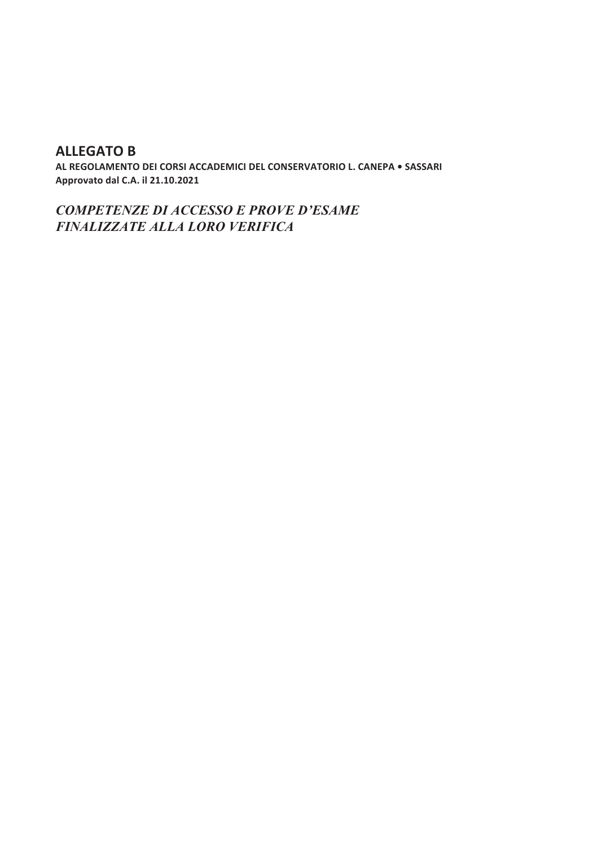## **ALLEGATO B**

AL REGOLAMENTO DEI CORSI ACCADEMICI DEL CONSERVATORIO L. CANEPA . SASSARI Approvato dal C.A. il 21.10.2021

**COMPETENZE DI ACCESSO E PROVE D'ESAME** FINALIZZATE ALLA LORO VERIFICA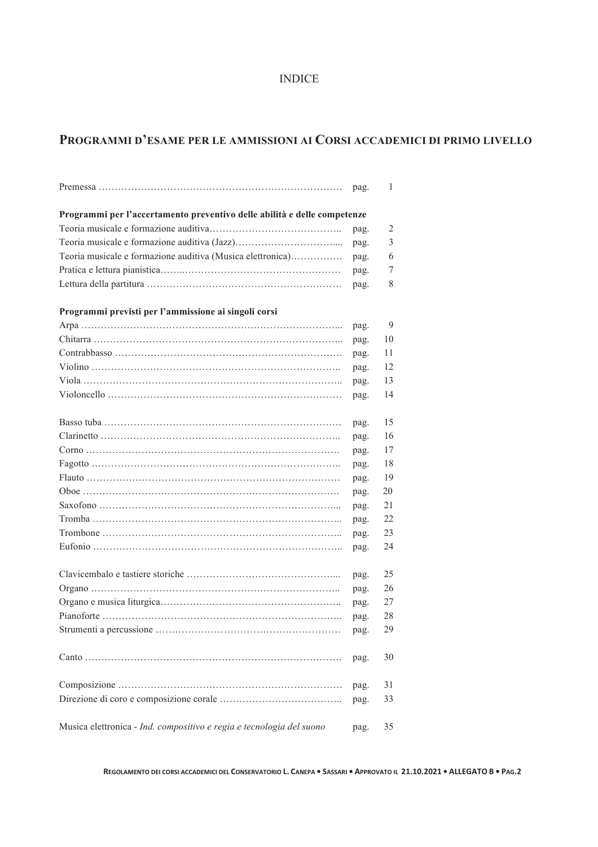#### INDICE

## **PROGRAMMI D'ESAME PER LE AMMISSIONI AI CORSI ACCADEMICI DI PRIMO LIVELLO**

|                                                                          | pag. | 1  |
|--------------------------------------------------------------------------|------|----|
| Programmi per l'accertamento preventivo delle abilità e delle competenze |      |    |
|                                                                          | pag. | 2  |
|                                                                          | pag. | 3  |
| Teoria musicale e formazione auditiva (Musica elettronica)               | pag. | 6  |
|                                                                          | pag. | 7  |
|                                                                          | pag. | 8  |
| Programmi previsti per l'ammissione ai singoli corsi                     |      |    |
|                                                                          | pag. | 9  |
|                                                                          | pag. | 10 |
|                                                                          | pag. | 11 |
|                                                                          | pag. | 12 |
|                                                                          | pag. | 13 |
|                                                                          | pag. | 14 |
|                                                                          |      |    |
|                                                                          | pag. | 15 |
|                                                                          | pag. | 16 |
|                                                                          | pag. | 17 |
|                                                                          | pag. | 18 |
|                                                                          | pag. | 19 |
|                                                                          | pag. | 20 |
|                                                                          | pag. | 21 |
|                                                                          | pag. | 22 |
|                                                                          | pag. | 23 |
|                                                                          | pag. | 24 |
|                                                                          |      |    |
|                                                                          | pag. | 25 |
|                                                                          | pag. | 26 |
|                                                                          | pag. | 27 |
|                                                                          | pag. | 28 |
|                                                                          | pag. | 29 |
|                                                                          | pag. | 30 |
|                                                                          | pag. | 31 |
|                                                                          | pag. | 33 |
| Musica elettronica - Ind. compositivo e regia e tecnologia del suono     | pag. | 35 |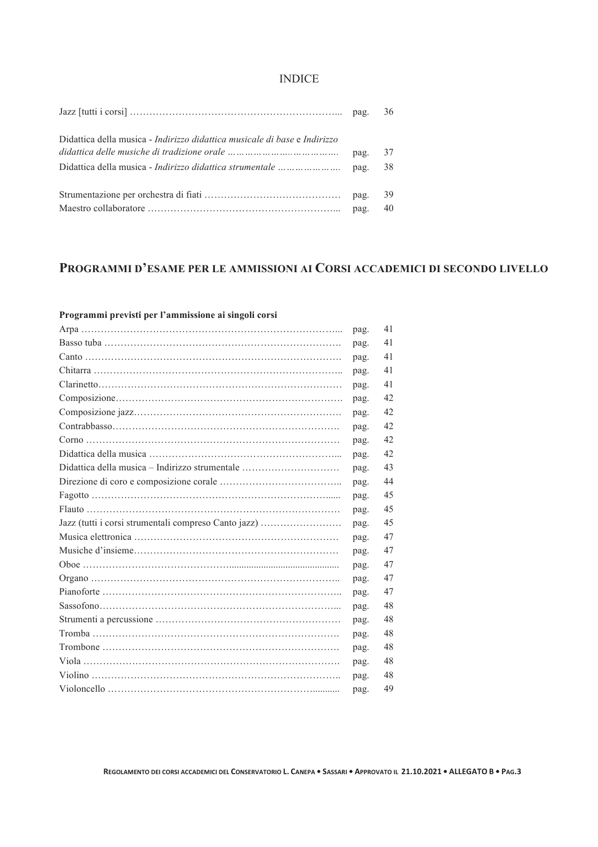#### INDICE

|                                                                                         | 36       |
|-----------------------------------------------------------------------------------------|----------|
| Didattica della musica - <i>Indirizzo didattica musicale di base</i> e <i>Indirizzo</i> | 37<br>38 |
|                                                                                         | 39<br>40 |

## **PROGRAMMI D'ESAME PER LE AMMISSIONI AI CORSI ACCADEMICI DI SECONDO LIVELLO**

| ттодгашшт ргсүтэн рег т ашинээюне агэндөн согэт      |      |    |
|------------------------------------------------------|------|----|
|                                                      | pag. | 41 |
|                                                      | pag. | 41 |
|                                                      | pag. | 41 |
|                                                      | pag. | 41 |
|                                                      | pag. | 41 |
|                                                      | pag. | 42 |
|                                                      | pag. | 42 |
|                                                      | pag. | 42 |
|                                                      | pag. | 42 |
|                                                      | pag. | 42 |
| Didattica della musica – Indirizzo strumentale       | pag. | 43 |
|                                                      | pag. | 44 |
|                                                      | pag. | 45 |
|                                                      | pag. | 45 |
| Jazz (tutti i corsi strumentali compreso Canto jazz) | pag. | 45 |
|                                                      | pag. | 47 |
|                                                      | pag. | 47 |
|                                                      | pag. | 47 |
|                                                      | pag. | 47 |
|                                                      | pag. | 47 |
|                                                      | pag. | 48 |
|                                                      | pag. | 48 |
|                                                      | pag. | 48 |
|                                                      | pag. | 48 |
|                                                      | pag. | 48 |
|                                                      | pag. | 48 |
|                                                      | pag. | 49 |

#### **Programmi previsti per l'ammissione ai singoli corsi**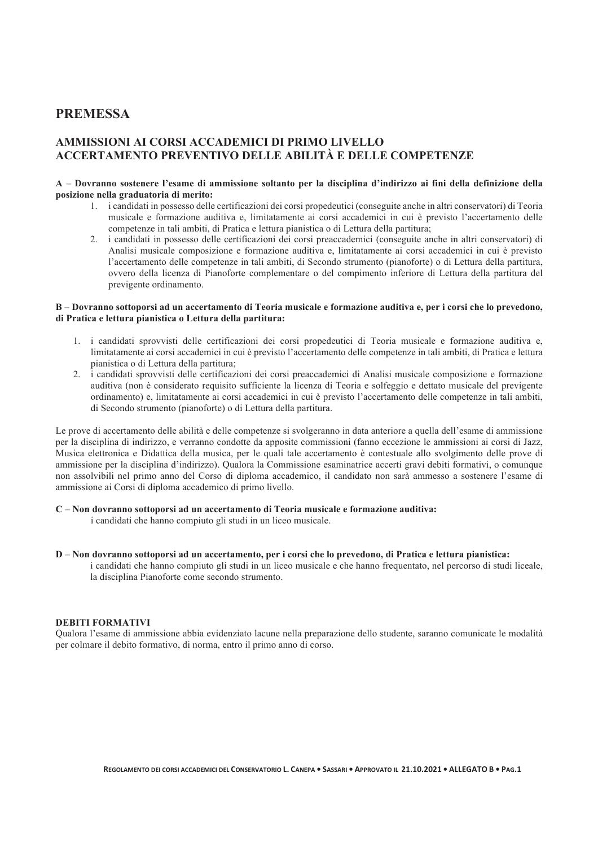#### **PREMESSA**

#### **AMMISSIONI AI CORSI ACCADEMICI DI PRIMO LIVELLO ACCERTAMENTO PREVENTIVO DELLE ABILITÀ E DELLE COMPETENZE**

#### **A** – **Dovranno sostenere l'esame di ammissione soltanto per la disciplina d'indirizzo ai fini della definizione della posizione nella graduatoria di merito:**

- 1. i candidati in possesso delle certificazioni dei corsi propedeutici (conseguite anche in altri conservatori) di Teoria musicale e formazione auditiva e, limitatamente ai corsi accademici in cui è previsto l'accertamento delle competenze in tali ambiti, di Pratica e lettura pianistica o di Lettura della partitura;
- 2. i candidati in possesso delle certificazioni dei corsi preaccademici (conseguite anche in altri conservatori) di Analisi musicale composizione e formazione auditiva e, limitatamente ai corsi accademici in cui è previsto l'accertamento delle competenze in tali ambiti, di Secondo strumento (pianoforte) o di Lettura della partitura, ovvero della licenza di Pianoforte complementare o del compimento inferiore di Lettura della partitura del previgente ordinamento.

#### **B** – **Dovranno sottoporsi ad un accertamento di Teoria musicale e formazione auditiva e, per i corsi che lo prevedono, di Pratica e lettura pianistica o Lettura della partitura:**

- 1. i candidati sprovvisti delle certificazioni dei corsi propedeutici di Teoria musicale e formazione auditiva e, limitatamente ai corsi accademici in cui è previsto l'accertamento delle competenze in tali ambiti, di Pratica e lettura pianistica o di Lettura della partitura;
- 2. i candidati sprovvisti delle certificazioni dei corsi preaccademici di Analisi musicale composizione e formazione auditiva (non è considerato requisito sufficiente la licenza di Teoria e solfeggio e dettato musicale del previgente ordinamento) e, limitatamente ai corsi accademici in cui è previsto l'accertamento delle competenze in tali ambiti, di Secondo strumento (pianoforte) o di Lettura della partitura.

Le prove di accertamento delle abilità e delle competenze si svolgeranno in data anteriore a quella dell'esame di ammissione per la disciplina di indirizzo, e verranno condotte da apposite commissioni (fanno eccezione le ammissioni ai corsi di Jazz, Musica elettronica e Didattica della musica, per le quali tale accertamento è contestuale allo svolgimento delle prove di ammissione per la disciplina d'indirizzo). Qualora la Commissione esaminatrice accerti gravi debiti formativi, o comunque non assolvibili nel primo anno del Corso di diploma accademico, il candidato non sarà ammesso a sostenere l'esame di ammissione ai Corsi di diploma accademico di primo livello.

#### **C** – **Non dovranno sottoporsi ad un accertamento di Teoria musicale e formazione auditiva:**

i candidati che hanno compiuto gli studi in un liceo musicale.

#### **D** – **Non dovranno sottoporsi ad un accertamento, per i corsi che lo prevedono, di Pratica e lettura pianistica:**

i candidati che hanno compiuto gli studi in un liceo musicale e che hanno frequentato, nel percorso di studi liceale, la disciplina Pianoforte come secondo strumento.

#### **DEBITI FORMATIVI**

Qualora l'esame di ammissione abbia evidenziato lacune nella preparazione dello studente, saranno comunicate le modalità per colmare il debito formativo, di norma, entro il primo anno di corso.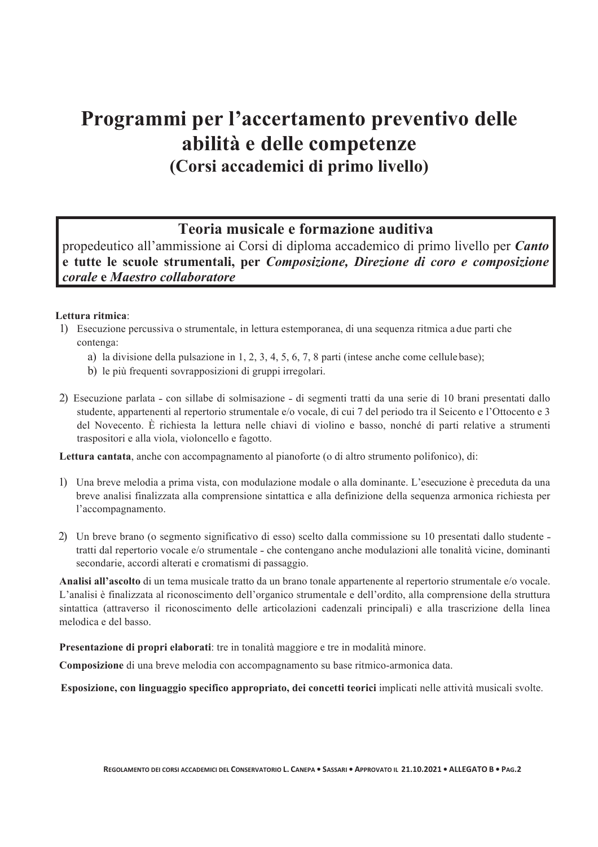## **Programmi per l'accertamento preventivo delle abilità e delle competenze (Corsi accademici di primo livello)**

## **Teoria musicale e formazione auditiva**

propedeutico all'ammissione ai Corsi di diploma accademico di primo livello per *Canto* **e tutte le scuole strumentali, per** *Composizione, Direzione di coro e composizione corale* **e** *Maestro collaboratore*

#### **Lettura ritmica**:

- 1) Esecuzione percussiva o strumentale, in lettura estemporanea, di una sequenza ritmica a due parti che contenga:
	- a) la divisione della pulsazione in 1, 2, 3, 4, 5, 6, 7, 8 parti (intese anche come cellule base);
	- b) le più frequenti sovrapposizioni di gruppi irregolari.
- 2) Esecuzione parlata con sillabe di solmisazione di segmenti tratti da una serie di 10 brani presentati dallo studente, appartenenti al repertorio strumentale e/o vocale, di cui 7 del periodo tra il Seicento e l'Ottocento e 3 del Novecento. È richiesta la lettura nelle chiavi di violino e basso, nonché di parti relative a strumenti traspositori e alla viola, violoncello e fagotto.

**Lettura cantata**, anche con accompagnamento al pianoforte (o di altro strumento polifonico), di:

- 1) Una breve melodia a prima vista, con modulazione modale o alla dominante. L'esecuzione è preceduta da una breve analisi finalizzata alla comprensione sintattica e alla definizione della sequenza armonica richiesta per l'accompagnamento.
- 2) Un breve brano (o segmento significativo di esso) scelto dalla commissione su 10 presentati dallo studente tratti dal repertorio vocale e/o strumentale – che contengano anche modulazioni alle tonalità vicine, dominanti secondarie, accordi alterati e cromatismi di passaggio.

**Analisi all'ascolto** di un tema musicale tratto da un brano tonale appartenente al repertorio strumentale e/o vocale. L'analisi è finalizzata al riconoscimento dell'organico strumentale e dell'ordito, alla comprensione della struttura sintattica (attraverso il riconoscimento delle articolazioni cadenzali principali) e alla trascrizione della linea melodica e del basso.

**Presentazione di propri elaborati**: tre in tonalità maggiore e tre in modalità minore.

**Composizione** di una breve melodia con accompagnamento su base ritmico-armonica data.

 **Esposizione, con linguaggio specifico appropriato, dei concetti teorici** implicati nelle attività musicali svolte.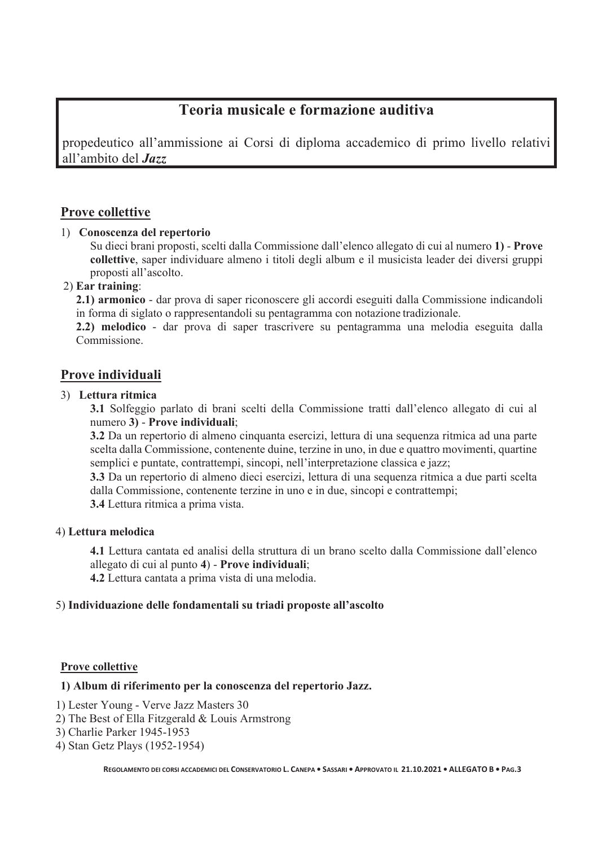## **Teoria musicale e formazione auditiva**

propedeutico all'ammissione ai Corsi di diploma accademico di primo livello relativi all'ambito del *Jazz*

#### **Prove collettive**

#### 1) **Conoscenza del repertorio**

Su dieci brani proposti, scelti dalla Commissione dall'elenco allegato di cui al numero **1)** - **Prove collettive**, saper individuare almeno i titoli degli album e il musicista leader dei diversi gruppi proposti all'ascolto.

#### 2) **Ear training**:

**2.1) armonico** - dar prova di saper riconoscere gli accordi eseguiti dalla Commissione indicandoli in forma di siglato o rappresentandoli su pentagramma con notazione tradizionale.

**2.2) melodico** - dar prova di saper trascrivere su pentagramma una melodia eseguita dalla Commissione.

#### **Prove individuali**

#### 3) **Lettura ritmica**

**3.1** Solfeggio parlato di brani scelti della Commissione tratti dall'elenco allegato di cui al numero **3)** - **Prove individuali**;

**3.2** Da un repertorio di almeno cinquanta esercizi, lettura di una sequenza ritmica ad una parte scelta dalla Commissione, contenente duine, terzine in uno, in due e quattro movimenti, quartine semplici e puntate, contrattempi, sincopi, nell'interpretazione classica e jazz;

**3.3** Da un repertorio di almeno dieci esercizi, lettura di una sequenza ritmica a due parti scelta dalla Commissione, contenente terzine in uno e in due, sincopi e contrattempi;

**3.4** Lettura ritmica a prima vista.

#### 4) **Lettura melodica**

**4.1** Lettura cantata ed analisi della struttura di un brano scelto dalla Commissione dall'elenco allegato di cui al punto **4**) - **Prove individuali**;

**4.2** Lettura cantata a prima vista di una melodia.

#### 5) **Individuazione delle fondamentali su triadi proposte all'ascolto**

#### **Prove collettive**

#### **1) Album di riferimento per la conoscenza del repertorio Jazz.**

- 1) Lester Young Verve Jazz Masters 30
- 2) The Best of Ella Fitzgerald & Louis Armstrong
- 3) Charlie Parker 1945-1953
- 4) Stan Getz Plays (1952-1954)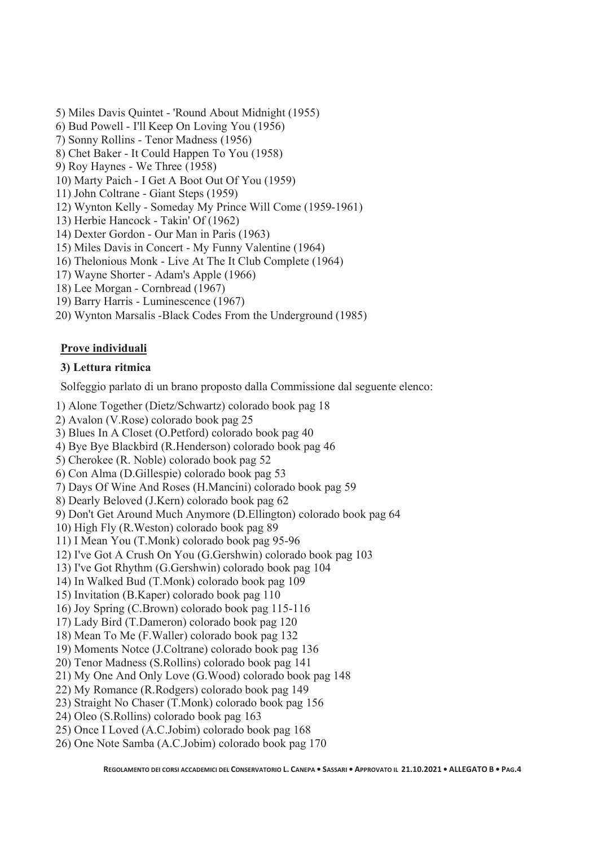- 5) Miles Davis Quintet 'Round About Midnight (1955)
- 6) Bud Powell I'll Keep On Loving You (1956)
- 7) Sonny Rollins Tenor Madness (1956)
- 8) Chet Baker It Could Happen To You (1958)
- 9) Roy Haynes We Three (1958)
- 10) Marty Paich I Get A Boot Out Of You (1959)
- 11) John Coltrane Giant Steps (1959)
- 12) Wynton Kelly Someday My Prince Will Come (1959-1961)
- 13) Herbie Hancock Takin' Of (1962)
- 14) Dexter Gordon Our Man in Paris (1963)
- 15) Miles Davis in Concert My Funny Valentine (1964)
- 16) Thelonious Monk Live At The It Club Complete (1964)
- 17) Wayne Shorter Adam's Apple (1966)
- 18) Lee Morgan Cornbread (1967)
- 19) Barry Harris Luminescence (1967)
- 20) Wynton Marsalis -Black Codes From the Underground (1985)

#### **Prove individuali**

#### **3) Lettura ritmica**

Solfeggio parlato di un brano proposto dalla Commissione dal seguente elenco:

- 1) Alone Together (Dietz/Schwartz) colorado book pag 18
- 2) Avalon (V.Rose) colorado book pag 25
- 3) Blues In A Closet (O.Petford) colorado book pag 40
- 4) Bye Bye Blackbird (R.Henderson) colorado book pag 46
- 5) Cherokee (R. Noble) colorado book pag 52
- 6) Con Alma (D.Gillespie) colorado book pag 53
- 7) Days Of Wine And Roses (H.Mancini) colorado book pag 59
- 8) Dearly Beloved (J.Kern) colorado book pag 62
- 9) Don't Get Around Much Anymore (D.Ellington) colorado book pag 64
- 10) High Fly (R.Weston) colorado book pag 89
- 11) I Mean You (T.Monk) colorado book pag 95-96
- 12) I've Got A Crush On You (G.Gershwin) colorado book pag 103
- 13) I've Got Rhythm (G.Gershwin) colorado book pag 104
- 14) In Walked Bud (T.Monk) colorado book pag 109
- 15) Invitation (B.Kaper) colorado book pag 110
- 16) Joy Spring (C.Brown) colorado book pag 115-116
- 17) Lady Bird (T.Dameron) colorado book pag 120
- 18) Mean To Me (F.Waller) colorado book pag 132
- 19) Moments Notce (J.Coltrane) colorado book pag 136
- 20) Tenor Madness (S.Rollins) colorado book pag 141
- 21) My One And Only Love (G.Wood) colorado book pag 148
- 22) My Romance (R.Rodgers) colorado book pag 149
- 23) Straight No Chaser (T.Monk) colorado book pag 156
- 24) Oleo (S.Rollins) colorado book pag 163
- 25) Once I Loved (A.C.Jobim) colorado book pag 168
- 26) One Note Samba (A.C.Jobim) colorado book pag 170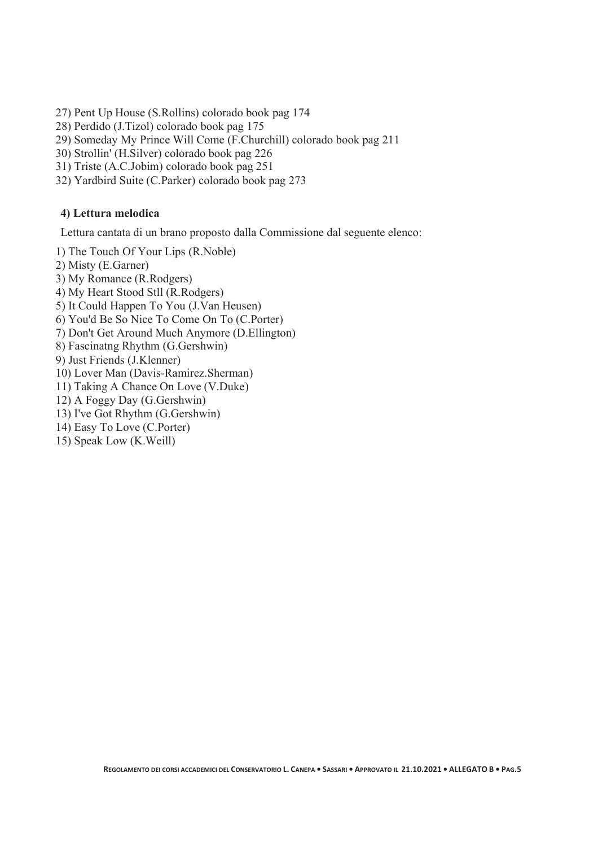- 27) Pent Up House (S.Rollins) colorado book pag 174
- 28) Perdido (J.Tizol) colorado book pag 175
- 29) Someday My Prince Will Come (F.Churchill) colorado book pag 211
- 30) Strollin' (H.Silver) colorado book pag 226
- 31) Triste (A.C.Jobim) colorado book pag 251
- 32) Yardbird Suite (C.Parker) colorado book pag 273

#### **4) Lettura melodica**

Lettura cantata di un brano proposto dalla Commissione dal seguente elenco:

- 1) The Touch Of Your Lips (R.Noble)
- 2) Misty (E.Garner)
- 3) My Romance (R.Rodgers)
- 4) My Heart Stood Stll (R.Rodgers)
- 5) It Could Happen To You (J.Van Heusen)
- 6) You'd Be So Nice To Come On To (C.Porter)
- 7) Don't Get Around Much Anymore (D.Ellington)
- 8) Fascinatng Rhythm (G.Gershwin)
- 9) Just Friends (J.Klenner)
- 10) Lover Man (Davis-Ramirez.Sherman)
- 11) Taking A Chance On Love (V.Duke)
- 12) A Foggy Day (G.Gershwin)
- 13) I've Got Rhythm (G.Gershwin)
- 14) Easy To Love (C.Porter)
- 15) Speak Low (K.Weill)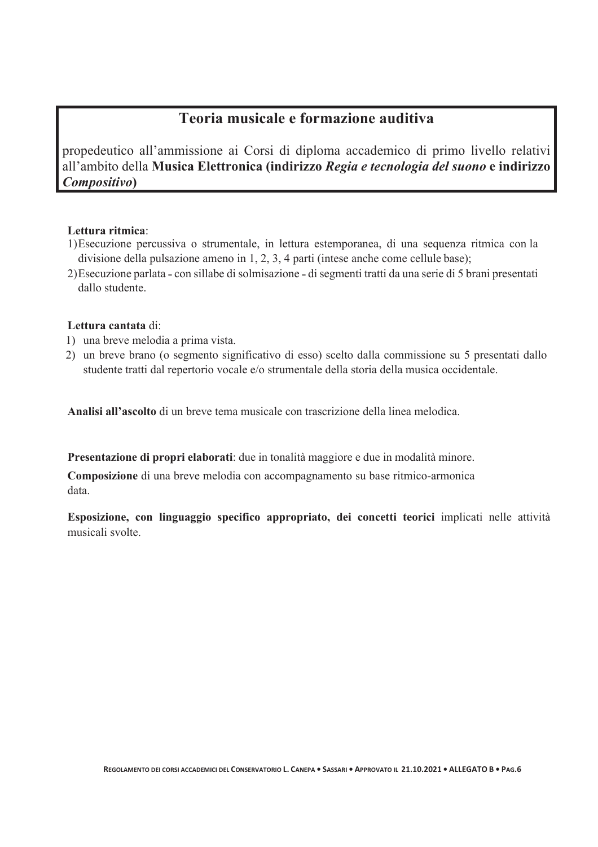## **Teoria musicale e formazione auditiva**

propedeutico all'ammissione ai Corsi di diploma accademico di primo livello relativi all'ambito della **Musica Elettronica (indirizzo** *Regia e tecnologia del suono* **e indirizzo**  *Compositivo***)**

#### **Lettura ritmica**:

- 1)Esecuzione percussiva o strumentale, in lettura estemporanea, di una sequenza ritmica con la divisione della pulsazione ameno in 1, 2, 3, 4 parti (intese anche come cellule base);
- 2)Esecuzione parlata con sillabe di solmisazione di segmenti tratti da una serie di 5 brani presentati dallo studente.

#### **Lettura cantata** di:

- 1) una breve melodia a prima vista.
- 2) un breve brano (o segmento significativo di esso) scelto dalla commissione su 5 presentati dallo studente tratti dal repertorio vocale e/o strumentale della storia della musica occidentale.

**Analisi all'ascolto** di un breve tema musicale con trascrizione della linea melodica.

**Presentazione di propri elaborati**: due in tonalità maggiore e due in modalità minore.

**Composizione** di una breve melodia con accompagnamento su base ritmico-armonica data.

**Esposizione, con linguaggio specifico appropriato, dei concetti teorici** implicati nelle attività musicali svolte.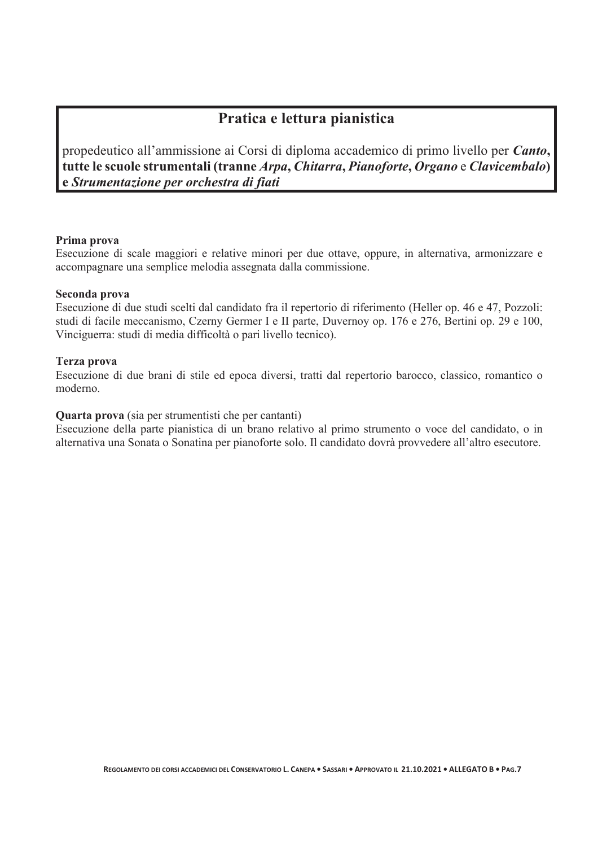## **Pratica e lettura pianistica**

propedeutico all'ammissione ai Corsi di diploma accademico di primo livello per *Canto***, tutte le scuole strumentali (tranne** *Arpa***,** *Chitarra***,** *Pianoforte***,** *Organo* e *Clavicembalo***) e** *Strumentazione per orchestra di fiati*

#### **Prima prova**

Esecuzione di scale maggiori e relative minori per due ottave, oppure, in alternativa, armonizzare e accompagnare una semplice melodia assegnata dalla commissione.

#### **Seconda prova**

Esecuzione di due studi scelti dal candidato fra il repertorio di riferimento (Heller op. 46 e 47, Pozzoli: studi di facile meccanismo, Czerny Germer I e II parte, Duvernoy op. 176 e 276, Bertini op. 29 e 100, Vinciguerra: studi di media difficoltà o pari livello tecnico).

#### **Terza prova**

Esecuzione di due brani di stile ed epoca diversi, tratti dal repertorio barocco, classico, romantico o moderno.

#### **Quarta prova** (sia per strumentisti che per cantanti)

Esecuzione della parte pianistica di un brano relativo al primo strumento o voce del candidato, o in alternativa una Sonata o Sonatina per pianoforte solo. Il candidato dovrà provvedere all'altro esecutore.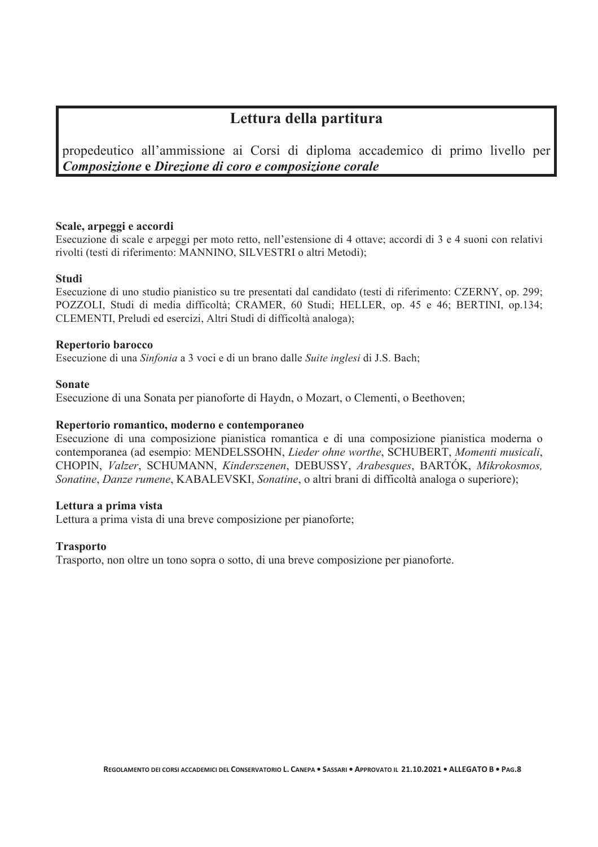## **Lettura della partitura**

propedeutico all'ammissione ai Corsi di diploma accademico di primo livello per *Composizione* **e** *Direzione di coro e composizione corale*

#### **Scale, arpeggi e accordi**

Esecuzione di scale e arpeggi per moto retto, nell'estensione di 4 ottave; accordi di 3 e 4 suoni con relativi rivolti (testi di riferimento: MANNINO, SILVESTRI o altri Metodi);

#### **Studi**

Esecuzione di uno studio pianistico su tre presentati dal candidato (testi di riferimento: CZERNY, op. 299; POZZOLI, Studi di media difficoltà; CRAMER, 60 Studi; HELLER, op. 45 e 46; BERTINI, op.134; CLEMENTI, Preludi ed esercizi, Altri Studi di difficoltà analoga);

#### **Repertorio barocco**

Esecuzione di una *Sinfonia* a 3 voci e di un brano dalle *Suite inglesi* di J.S. Bach;

#### **Sonate**

Esecuzione di una Sonata per pianoforte di Haydn, o Mozart, o Clementi, o Beethoven;

#### **Repertorio romantico, moderno e contemporaneo**

Esecuzione di una composizione pianistica romantica e di una composizione pianistica moderna o contemporanea (ad esempio: MENDELSSOHN, *Lieder ohne worthe*, SCHUBERT, *Momenti musicali*, CHOPIN, *Valzer*, SCHUMANN, *Kinderszenen*, DEBUSSY, *Arabesques*, BARTÓK, *Mikrokosmos, Sonatine*, *Danze rumene*, KABALEVSKI, *Sonatine*, o altri brani di difficoltà analoga o superiore);

#### **Lettura a prima vista**

Lettura a prima vista di una breve composizione per pianoforte;

#### **Trasporto**

Trasporto, non oltre un tono sopra o sotto, di una breve composizione per pianoforte.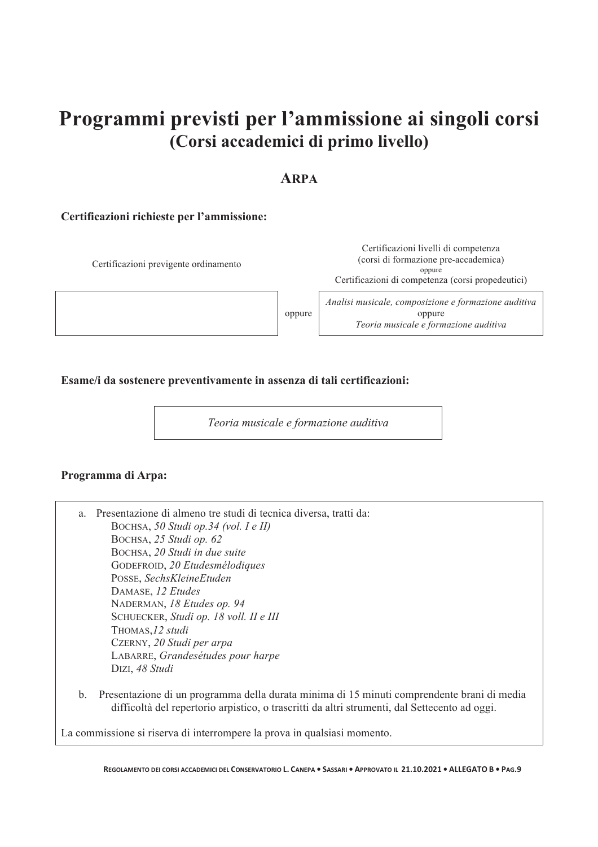## **Programmi previsti per l'ammissione ai singoli corsi (Corsi accademici di primo livello)**

## **ARPA**

#### **Certificazioni richieste per l'ammissione:**

Certificazioni previgente ordinamento Certificazioni livelli di competenza (corsi di formazione pre-accademica) oppure Certificazioni di competenza (corsi propedeutici) oppure *Analisi musicale, composizione e formazione auditiva*  oppure *Teoria musicale e formazione auditiva* 

**Esame/i da sostenere preventivamente in assenza di tali certificazioni:** 

*Teoria musicale e formazione auditiva* 

#### **Programma di Arpa:**

| a.            | Presentazione di almeno tre studi di tecnica diversa, tratti da:                           |
|---------------|--------------------------------------------------------------------------------------------|
|               | BOCHSA, 50 Studi op.34 (vol. I e II)                                                       |
|               | BOCHSA, 25 Studi op. 62                                                                    |
|               | BOCHSA, 20 Studi in due suite                                                              |
|               | GODEFROID, 20 Etudesmélodiques                                                             |
|               | POSSE, SechsKleineEtuden                                                                   |
|               | DAMASE, 12 Etudes                                                                          |
|               | NADERMAN, 18 Etudes op. 94                                                                 |
|               | SCHUECKER, Studi op. 18 voll. II e III                                                     |
|               | THOMAS, 12 studi                                                                           |
|               | CZERNY, 20 Studi per arpa                                                                  |
|               | LABARRE, Grandesétudes pour harpe                                                          |
|               | DIZI, 48 Studi                                                                             |
| $\mathbf b$ . | Presentazione di un programma della durata minima di 15 minuti comprendente brani di media |

difficoltà del repertorio arpistico, o trascritti da altri strumenti, dal Settecento ad oggi.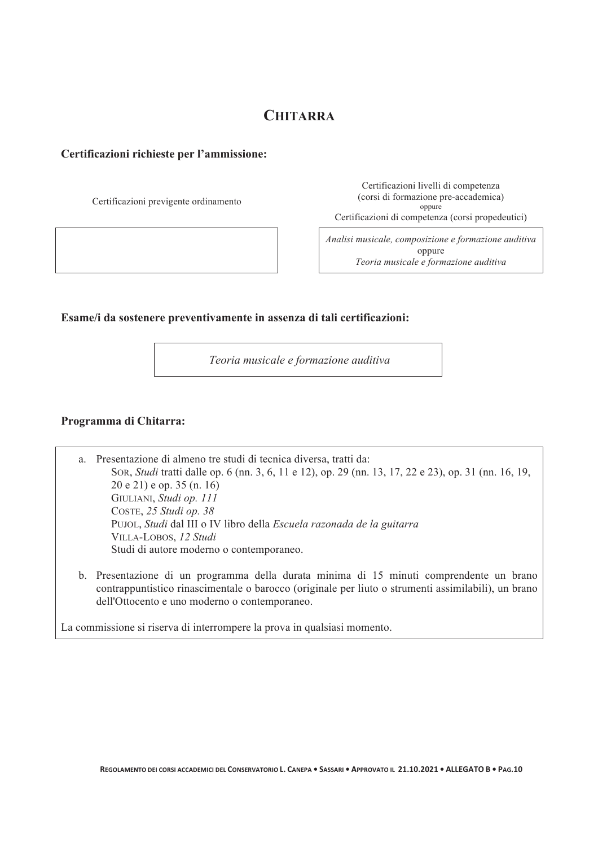## **CHITARRA**

#### **Certificazioni richieste per l'ammissione:**

Certificazioni previgente ordinamento

Certificazioni livelli di competenza (corsi di formazione pre-accademica) oppure Certificazioni di competenza (corsi propedeutici)

*Analisi musicale, composizione e formazione auditiva*  oppure *Teoria musicale e formazione auditiva*

#### **Esame/i da sostenere preventivamente in assenza di tali certificazioni:**

 *Teoria musicale e formazione auditiva* 

#### **Programma di Chitarra:**

a. Presentazione di almeno tre studi di tecnica diversa, tratti da: SOR, *Studi* tratti dalle op. 6 (nn. 3, 6, 11 e 12), op. 29 (nn. 13, 17, 22 e 23), op. 31 (nn. 16, 19, 20 e 21) e op. 35 (n. 16) GIULIANI, *Studi op. 111*  COSTE, *25 Studi op. 38*  PUJOL, *Studi* dal III o IV libro della *Escuela razonada de la guitarra*  VILLA-LOBOS, *12 Studi*  Studi di autore moderno o contemporaneo.

b. Presentazione di un programma della durata minima di 15 minuti comprendente un brano contrappuntistico rinascimentale o barocco (originale per liuto o strumenti assimilabili), un brano dell'Ottocento e uno moderno o contemporaneo.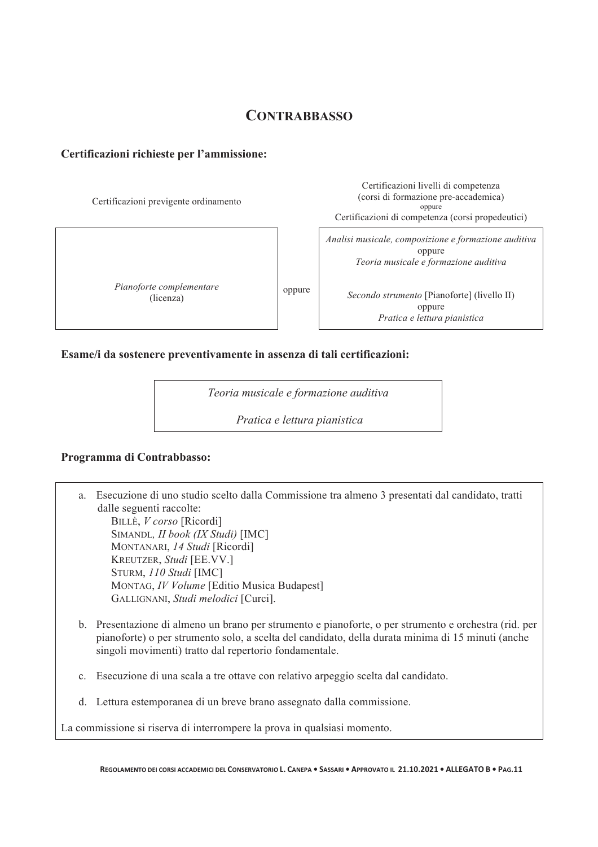## **CONTRABBASSO**

#### **Certificazioni richieste per l'ammissione:**

Certificazioni previgente ordinamento

*Pianoforte complementare*  (licenza)

oppure

Certificazioni livelli di competenza (corsi di formazione pre-accademica) oppure Certificazioni di competenza (corsi propedeutici)

*Analisi musicale, composizione e formazione auditiva*  oppure *Teoria musicale e formazione auditiva* 

*Secondo strumento* [Pianoforte] (livello II) oppure *Pratica e lettura pianistica* 

#### **Esame/i da sostenere preventivamente in assenza di tali certificazioni:**

*Teoria musicale e formazione auditiva* 

*Pratica e lettura pianistica* 

#### **Programma di Contrabbasso:**

a. Esecuzione di uno studio scelto dalla Commissione tra almeno 3 presentati dal candidato, tratti dalle seguenti raccolte: BILLÈ, *V corso* [Ricordi] SIMANDL*, II book (IX Studi)* [IMC] MONTANARI, *14 Studi* [Ricordi] KREUTZER, *Studi* [EE.VV.]

STURM, *110 Studi* [IMC] MONTAG, *IV Volume* [Editio Musica Budapest] GALLIGNANI, *Studi melodici* [Curci].

- b. Presentazione di almeno un brano per strumento e pianoforte, o per strumento e orchestra (rid. per pianoforte) o per strumento solo, a scelta del candidato, della durata minima di 15 minuti (anche singoli movimenti) tratto dal repertorio fondamentale.
- c. Esecuzione di una scala a tre ottave con relativo arpeggio scelta dal candidato.
- d. Lettura estemporanea di un breve brano assegnato dalla commissione.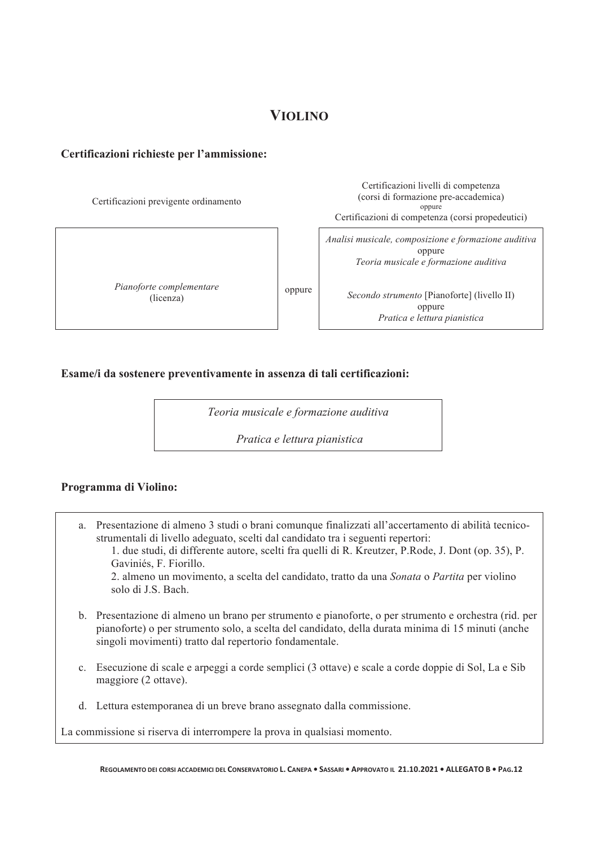## **VIOLINO**

#### **Certificazioni richieste per l'ammissione:**

Certificazioni previgente ordinamento

*Pianoforte complementare*  (licenza)

Certificazioni livelli di competenza (corsi di formazione pre-accademica) oppure Certificazioni di competenza (corsi propedeutici)

*Analisi musicale, composizione e formazione auditiva*  oppure *Teoria musicale e formazione auditiva* 

*Secondo strumento* [Pianoforte] (livello II) oppure *Pratica e lettura pianistica*

#### **Esame/i da sostenere preventivamente in assenza di tali certificazioni:**

*Teoria musicale e formazione auditiva* 

oppure

*Pratica e lettura pianistica*

#### **Programma di Violino:**

- a. Presentazione di almeno 3 studi o brani comunque finalizzati all'accertamento di abilità tecnicostrumentali di livello adeguato, scelti dal candidato tra i seguenti repertori: 1. due studi, di differente autore, scelti fra quelli di R. Kreutzer, P.Rode, J. Dont (op. 35), P. Gaviniés, F. Fiorillo. 2. almeno un movimento, a scelta del candidato, tratto da una *Sonata* o *Partita* per violino solo di J.S. Bach.
- b. Presentazione di almeno un brano per strumento e pianoforte, o per strumento e orchestra (rid. per pianoforte) o per strumento solo, a scelta del candidato, della durata minima di 15 minuti (anche singoli movimenti) tratto dal repertorio fondamentale.
- c. Esecuzione di scale e arpeggi a corde semplici (3 ottave) e scale a corde doppie di Sol, La e Sib maggiore (2 ottave).
- d. Lettura estemporanea di un breve brano assegnato dalla commissione.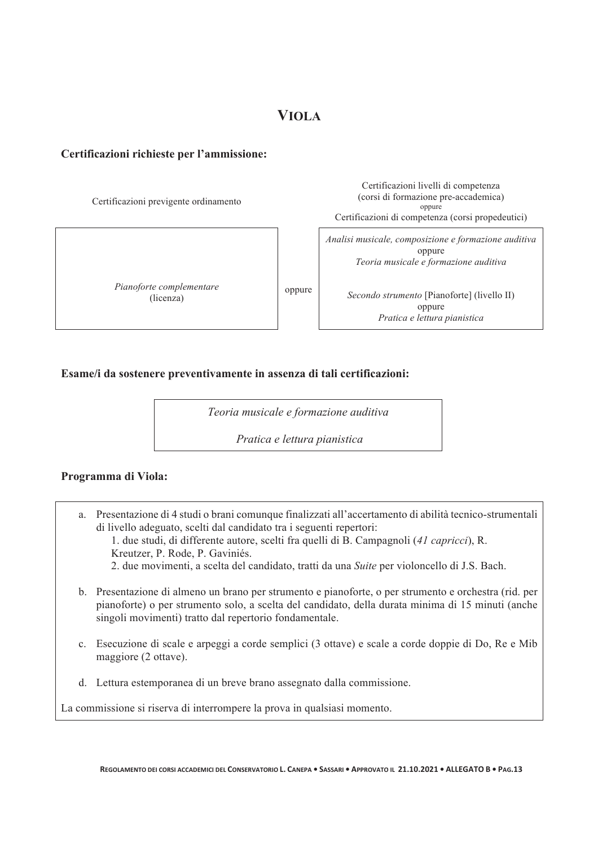#### **Certificazioni richieste per l'ammissione:**

Certificazioni previgente ordinamento Certificazioni livelli di competenza (corsi di formazione pre-accademica) oppure Certificazioni di competenza (corsi propedeutici) *Pianoforte complementare*  (licenza) oppure *Analisi musicale, composizione e formazione auditiva*  oppure *Teoria musicale e formazione auditiva Secondo strumento* [Pianoforte] (livello II) oppure *Pratica e lettura pianistica*

#### **Esame/i da sostenere preventivamente in assenza di tali certificazioni:**

*Teoria musicale e formazione auditiva* 

*Pratica e lettura pianistica*

#### **Programma di Viola:**

a. Presentazione di 4 studi o brani comunque finalizzati all'accertamento di abilità tecnico-strumentali di livello adeguato, scelti dal candidato tra i seguenti repertori: 1. due studi, di differente autore, scelti fra quelli di B. Campagnoli (*41 capricci*), R.

Kreutzer, P. Rode, P. Gaviniés.

- 2. due movimenti, a scelta del candidato, tratti da una *Suite* per violoncello di J.S. Bach.
- b. Presentazione di almeno un brano per strumento e pianoforte, o per strumento e orchestra (rid. per pianoforte) o per strumento solo, a scelta del candidato, della durata minima di 15 minuti (anche singoli movimenti) tratto dal repertorio fondamentale.
- c. Esecuzione di scale e arpeggi a corde semplici (3 ottave) e scale a corde doppie di Do, Re e Mib maggiore (2 ottave).
- d. Lettura estemporanea di un breve brano assegnato dalla commissione.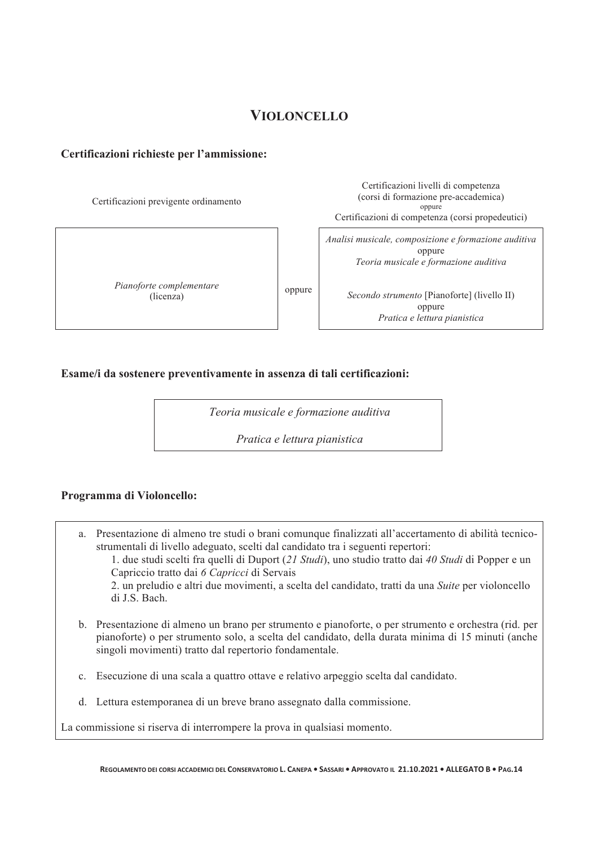## **VIOLONCELLO**

#### **Certificazioni richieste per l'ammissione:**

Certificazioni previgente ordinamento

*Pianoforte complementare*  (licenza)

Certificazioni livelli di competenza (corsi di formazione pre-accademica) oppure Certificazioni di competenza (corsi propedeutici)

*Analisi musicale, composizione e formazione auditiva*  oppure *Teoria musicale e formazione auditiva* 

*Secondo strumento* [Pianoforte] (livello II) oppure *Pratica e lettura pianistica*

#### **Esame/i da sostenere preventivamente in assenza di tali certificazioni:**

*Teoria musicale e formazione auditiva* 

oppure

*Pratica e lettura pianistica* 

#### **Programma di Violoncello:**

a. Presentazione di almeno tre studi o brani comunque finalizzati all'accertamento di abilità tecnicostrumentali di livello adeguato, scelti dal candidato tra i seguenti repertori: 1. due studi scelti fra quelli di Duport (*21 Studi*), uno studio tratto dai *40 Studi* di Popper e un Capriccio tratto dai *6 Capricci* di Servais 2. un preludio e altri due movimenti, a scelta del candidato, tratti da una *Suite* per violoncello di J.S. Bach.

- b. Presentazione di almeno un brano per strumento e pianoforte, o per strumento e orchestra (rid. per pianoforte) o per strumento solo, a scelta del candidato, della durata minima di 15 minuti (anche singoli movimenti) tratto dal repertorio fondamentale.
- c. Esecuzione di una scala a quattro ottave e relativo arpeggio scelta dal candidato.
- d. Lettura estemporanea di un breve brano assegnato dalla commissione.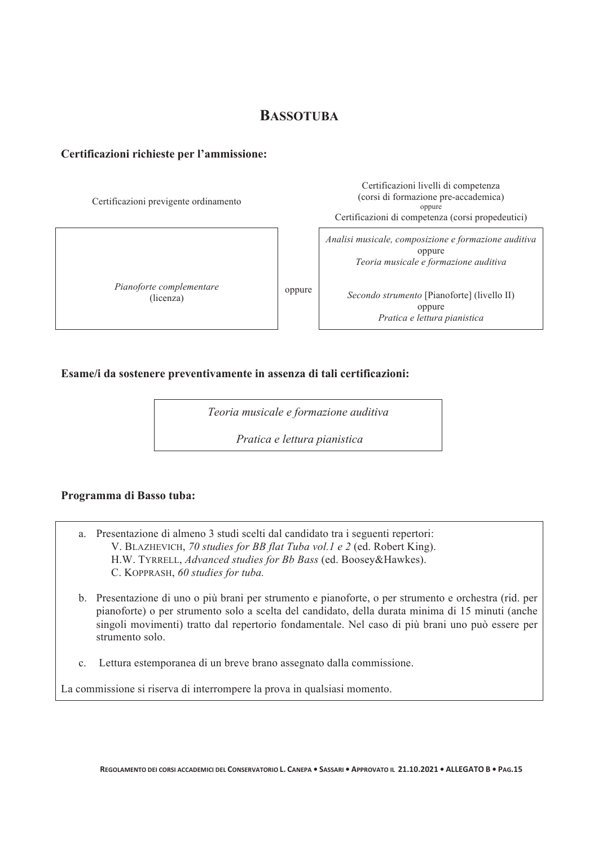## **BASSOTUBA**

#### **Certificazioni richieste per l'ammissione:**

Certificazioni previgente ordinamento

*Pianoforte complementare*  (licenza)

Certificazioni livelli di competenza (corsi di formazione pre-accademica) oppure Certificazioni di competenza (corsi propedeutici)

*Analisi musicale, composizione e formazione auditiva*  oppure *Teoria musicale e formazione auditiva* 

*Secondo strumento* [Pianoforte] (livello II) oppure *Pratica e lettura pianistica*

#### **Esame/i da sostenere preventivamente in assenza di tali certificazioni:**

*Teoria musicale e formazione auditiva* 

oppure

*Pratica e lettura pianistica*

#### **Programma di Basso tuba:**

- a. Presentazione di almeno 3 studi scelti dal candidato tra i seguenti repertori: V. BLAZHEVICH, *70 studies for BB flat Tuba vol.1 e 2* (ed. Robert King). H.W. TYRRELL, *Advanced studies for Bb Bass* (ed. Boosey&Hawkes). C. KOPPRASH, *60 studies for tuba.*
- b. Presentazione di uno o più brani per strumento e pianoforte, o per strumento e orchestra (rid. per pianoforte) o per strumento solo a scelta del candidato, della durata minima di 15 minuti (anche singoli movimenti) tratto dal repertorio fondamentale. Nel caso di più brani uno può essere per strumento solo.
- c. Lettura estemporanea di un breve brano assegnato dalla commissione.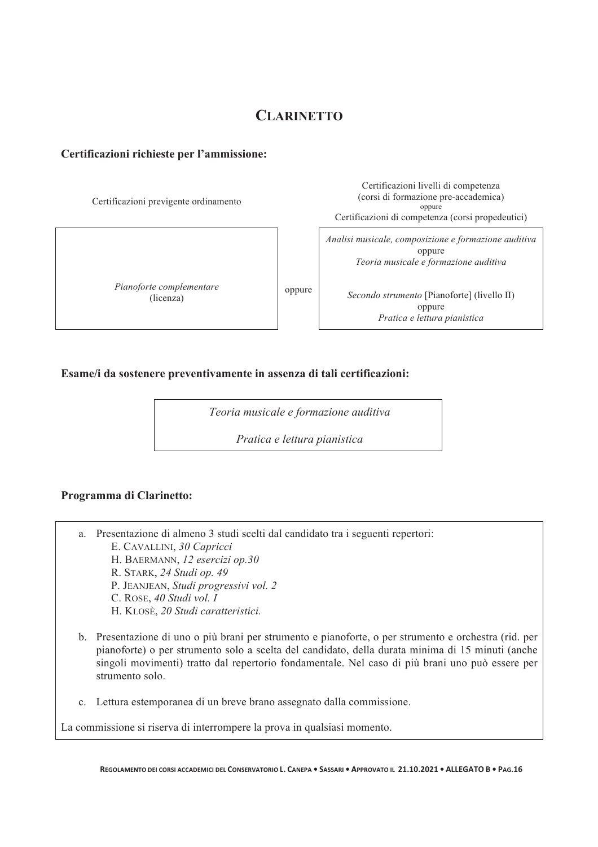## **CLARINETTO**

#### **Certificazioni richieste per l'ammissione:**

Certificazioni previgente ordinamento

*Pianoforte complementare*  (licenza)

Certificazioni livelli di competenza (corsi di formazione pre-accademica) oppure Certificazioni di competenza (corsi propedeutici)

*Analisi musicale, composizione e formazione auditiva*  oppure *Teoria musicale e formazione auditiva* 

*Secondo strumento* [Pianoforte] (livello II) oppure *Pratica e lettura pianistica*

#### **Esame/i da sostenere preventivamente in assenza di tali certificazioni:**

*Teoria musicale e formazione auditiva* 

oppure

*Pratica e lettura pianistica*

#### **Programma di Clarinetto:**

- a. Presentazione di almeno 3 studi scelti dal candidato tra i seguenti repertori:
	- E. CAVALLINI, *30 Capricci*
	- H. BAERMANN, *12 esercizi op.30*
	- R. STARK, *24 Studi op. 49*
	- P. JEANJEAN, *Studi progressivi vol. 2*
	- C. ROSE, *40 Studi vol. I*
	- H. KLOSÈ, *20 Studi caratteristici.*
- b. Presentazione di uno o più brani per strumento e pianoforte, o per strumento e orchestra (rid. per pianoforte) o per strumento solo a scelta del candidato, della durata minima di 15 minuti (anche singoli movimenti) tratto dal repertorio fondamentale. Nel caso di più brani uno può essere per strumento solo.
- c. Lettura estemporanea di un breve brano assegnato dalla commissione.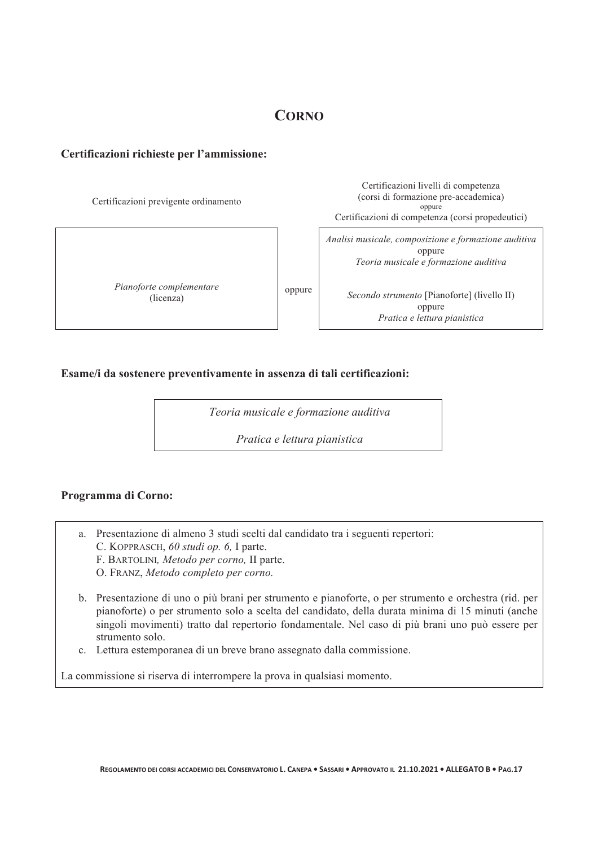## **CORNO**

#### **Certificazioni richieste per l'ammissione:**

Certificazioni previgente ordinamento Certificazioni livelli di competenza (corsi di formazione pre-accademica) oppure Certificazioni di competenza (corsi propedeutici) *Pianoforte complementare*  (licenza) oppure *Analisi musicale, composizione e formazione auditiva*  oppure *Teoria musicale e formazione auditiva Secondo strumento* [Pianoforte] (livello II) oppure *Pratica e lettura pianistica*

#### **Esame/i da sostenere preventivamente in assenza di tali certificazioni:**

*Teoria musicale e formazione auditiva* 

*Pratica e lettura pianistica* 

#### **Programma di Corno:**

- a. Presentazione di almeno 3 studi scelti dal candidato tra i seguenti repertori:
	- C. KOPPRASCH, *60 studi op. 6,* I parte.
	- F. BARTOLINI*, Metodo per corno,* II parte.
	- O. FRANZ, *Metodo completo per corno.*
- b. Presentazione di uno o più brani per strumento e pianoforte, o per strumento e orchestra (rid. per pianoforte) o per strumento solo a scelta del candidato, della durata minima di 15 minuti (anche singoli movimenti) tratto dal repertorio fondamentale. Nel caso di più brani uno può essere per strumento solo.
- c. Lettura estemporanea di un breve brano assegnato dalla commissione.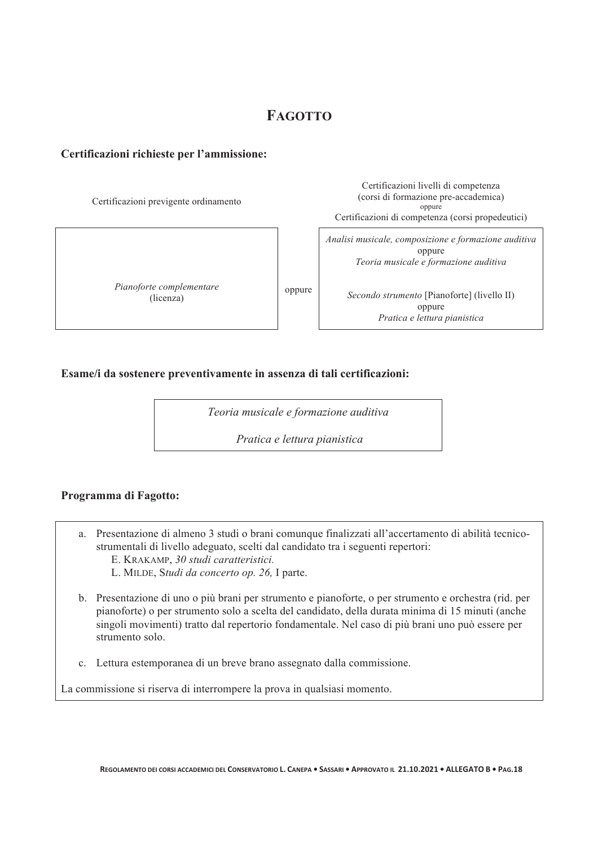## **FAGOTTO**

#### **Certificazioni richieste per l'ammissione:**

Certificazioni previgente ordinamento

*Pianoforte complementare*  (licenza)

Certificazioni livelli di competenza (corsi di formazione pre-accademica) oppure Certificazioni di competenza (corsi propedeutici)

*Analisi musicale, composizione e formazione auditiva*  oppure *Teoria musicale e formazione auditiva* 

*Secondo strumento* [Pianoforte] (livello II) oppure *Pratica e lettura pianistica*

#### **Esame/i da sostenere preventivamente in assenza di tali certificazioni:**

*Teoria musicale e formazione auditiva* 

oppure

*Pratica e lettura pianistica*

#### **Programma di Fagotto:**

- a. Presentazione di almeno 3 studi o brani comunque finalizzati all'accertamento di abilità tecnicostrumentali di livello adeguato, scelti dal candidato tra i seguenti repertori: E. KRAKAMP, *30 studi caratteristici.* 
	- L. MILDE, S*tudi da concerto op. 26,* I parte.
- b. Presentazione di uno o più brani per strumento e pianoforte, o per strumento e orchestra (rid. per pianoforte) o per strumento solo a scelta del candidato, della durata minima di 15 minuti (anche singoli movimenti) tratto dal repertorio fondamentale. Nel caso di più brani uno può essere per strumento solo.
- c. Lettura estemporanea di un breve brano assegnato dalla commissione.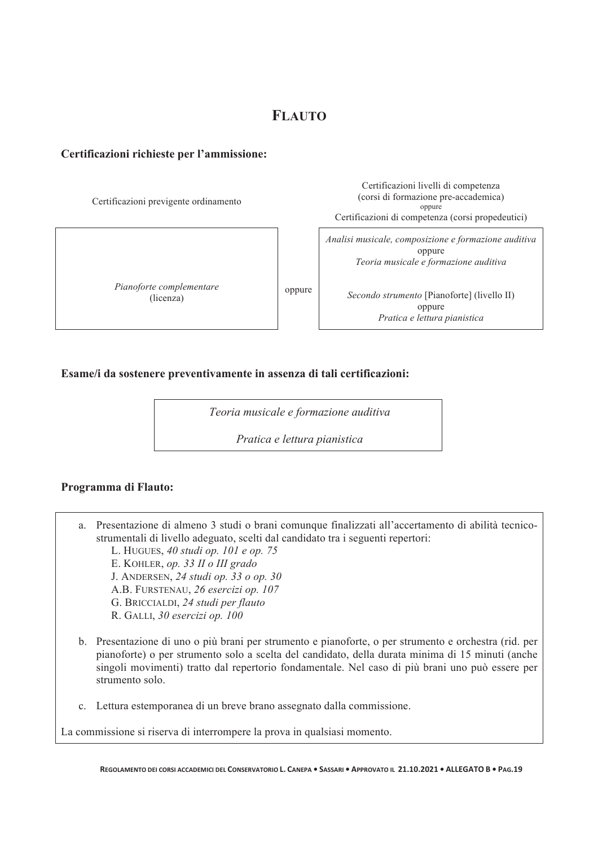## **FLAUTO**

#### **Certificazioni richieste per l'ammissione:**

Certificazioni previgente ordinamento Certificazioni livelli di competenza (corsi di formazione pre-accademica) oppure Certificazioni di competenza (corsi propedeutici) *Pianoforte complementare*  (licenza) oppure *Analisi musicale, composizione e formazione auditiva*  oppure *Teoria musicale e formazione auditiva Secondo strumento* [Pianoforte] (livello II) oppure *Pratica e lettura pianistica*

#### **Esame/i da sostenere preventivamente in assenza di tali certificazioni:**

*Teoria musicale e formazione auditiva* 

*Pratica e lettura pianistica* 

#### **Programma di Flauto:**

- a. Presentazione di almeno 3 studi o brani comunque finalizzati all'accertamento di abilità tecnicostrumentali di livello adeguato, scelti dal candidato tra i seguenti repertori:
	- L. HUGUES, *40 studi op. 101 e op. 75*
	- E. KOHLER, *op. 33 II o III grado*
	- J. ANDERSEN, *24 studi op. 33 o op. 30*
	- A.B. FURSTENAU, *26 esercizi op. 107*
	- G. BRICCIALDI, *24 studi per flauto*
	- R. GALLI, *30 esercizi op. 100*
- b. Presentazione di uno o più brani per strumento e pianoforte, o per strumento e orchestra (rid. per pianoforte) o per strumento solo a scelta del candidato, della durata minima di 15 minuti (anche singoli movimenti) tratto dal repertorio fondamentale. Nel caso di più brani uno può essere per strumento solo.
- c. Lettura estemporanea di un breve brano assegnato dalla commissione.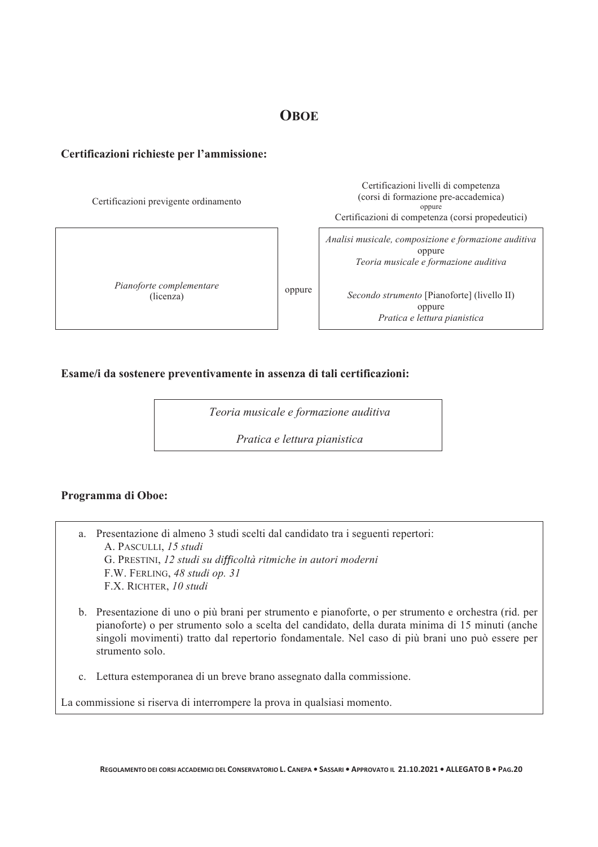## **OBOE**

#### **Certificazioni richieste per l'ammissione:**

Certificazioni previgente ordinamento Certificazioni livelli di competenza (corsi di formazione pre-accademica) oppure Certificazioni di competenza (corsi propedeutici) *Pianoforte complementare*  (licenza) oppure *Analisi musicale, composizione e formazione auditiva*  oppure *Teoria musicale e formazione auditiva Secondo strumento* [Pianoforte] (livello II) oppure *Pratica e lettura pianistica*

#### **Esame/i da sostenere preventivamente in assenza di tali certificazioni:**

*Teoria musicale e formazione auditiva* 

*Pratica e lettura pianistica* 

#### **Programma di Oboe:**

- a. Presentazione di almeno 3 studi scelti dal candidato tra i seguenti repertori: A. PASCULLI, *15 studi*  G. PRESTINI, *12 studi su di!!"coltà ritmiche in autori moderni*  F.W. FERLING, *48 studi op. 31*  F.X. RICHTER, *10 studi*
- b. Presentazione di uno o più brani per strumento e pianoforte, o per strumento e orchestra (rid. per pianoforte) o per strumento solo a scelta del candidato, della durata minima di 15 minuti (anche singoli movimenti) tratto dal repertorio fondamentale. Nel caso di più brani uno può essere per strumento solo.
- c. Lettura estemporanea di un breve brano assegnato dalla commissione.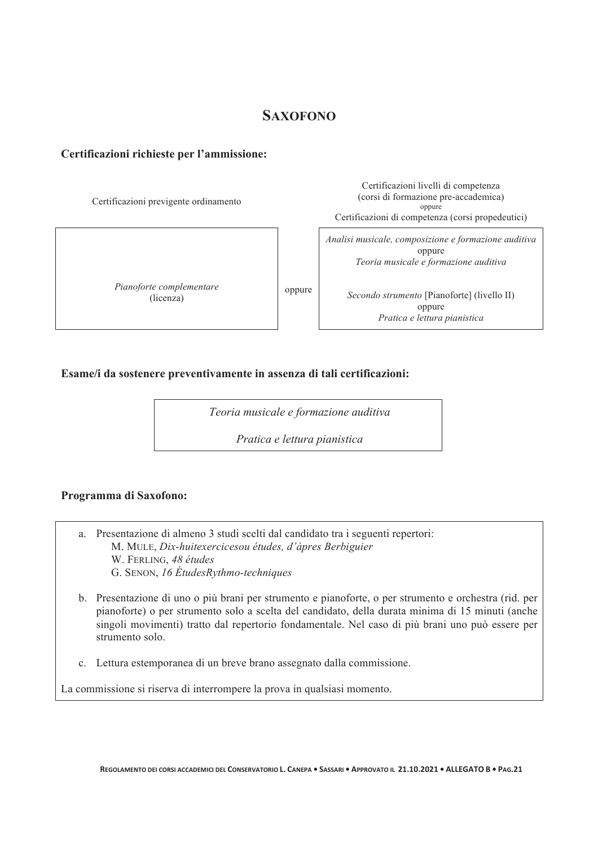## **SAXOFONO**

#### **Certificazioni richieste per l'ammissione:**

Certificazioni previgente ordinamento

*Pianoforte complementare*  (licenza)

Certificazioni livelli di competenza (corsi di formazione pre-accademica) oppure Certificazioni di competenza (corsi propedeutici)

*Analisi musicale, composizione e formazione auditiva*  oppure *Teoria musicale e formazione auditiva* 

*Secondo strumento* [Pianoforte] (livello II) oppure *Pratica e lettura pianistica*

#### **Esame/i da sostenere preventivamente in assenza di tali certificazioni:**

*Teoria musicale e formazione auditiva* 

oppure

*Pratica e lettura pianistica* 

#### **Programma di Saxofono:**

- a. Presentazione di almeno 3 studi scelti dal candidato tra i seguenti repertori: M. MULE, *Dix-huitexercicesou études, d'àpres Berbiguier*  W. FERLING, *48 études*  G. SENON, *16 ÉtudesRythmo-techniques*
- b. Presentazione di uno o più brani per strumento e pianoforte, o per strumento e orchestra (rid. per pianoforte) o per strumento solo a scelta del candidato, della durata minima di 15 minuti (anche singoli movimenti) tratto dal repertorio fondamentale. Nel caso di più brani uno può essere per strumento solo.
- c. Lettura estemporanea di un breve brano assegnato dalla commissione.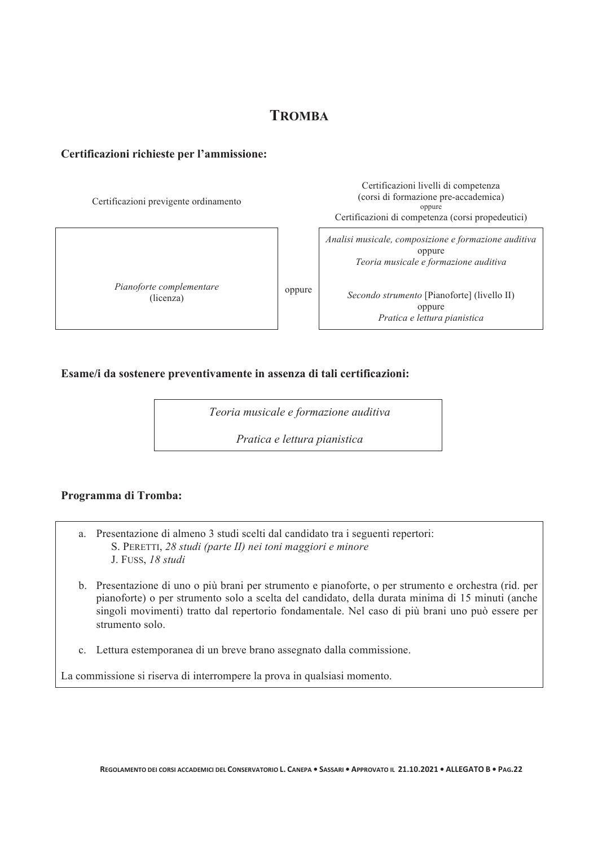## **TROMBA**

Certificazioni livelli di competenza

#### **Certificazioni richieste per l'ammissione:**

Certificazioni previgente ordinamento (corsi di formazione pre-accademica) oppure Certificazioni di competenza (corsi propedeutici) *Pianoforte complementare*  (licenza) oppure *Analisi musicale, composizione e formazione auditiva*  oppure *Teoria musicale e formazione auditiva Secondo strumento* [Pianoforte] (livello II) oppure *Pratica e lettura pianistica*

#### **Esame/i da sostenere preventivamente in assenza di tali certificazioni:**

*Teoria musicale e formazione auditiva* 

*Pratica e lettura pianistica* 

#### **Programma di Tromba:**

- a. Presentazione di almeno 3 studi scelti dal candidato tra i seguenti repertori: S. PERETTI, *28 studi (parte II) nei toni maggiori e minore*  J. FUSS, *18 studi*
- b. Presentazione di uno o più brani per strumento e pianoforte, o per strumento e orchestra (rid. per pianoforte) o per strumento solo a scelta del candidato, della durata minima di 15 minuti (anche singoli movimenti) tratto dal repertorio fondamentale. Nel caso di più brani uno può essere per strumento solo.
- c. Lettura estemporanea di un breve brano assegnato dalla commissione.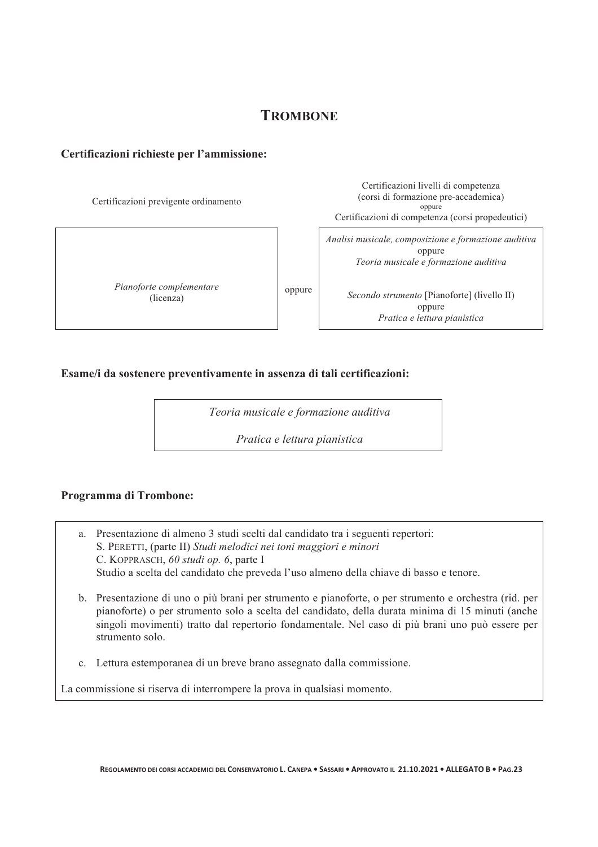## **TROMBONE**

#### **Certificazioni richieste per l'ammissione:**

Certificazioni previgente ordinamento

*Pianoforte complementare*  (licenza)

Certificazioni livelli di competenza (corsi di formazione pre-accademica) oppure Certificazioni di competenza (corsi propedeutici)

*Analisi musicale, composizione e formazione auditiva*  oppure *Teoria musicale e formazione auditiva* 

*Secondo strumento* [Pianoforte] (livello II) oppure *Pratica e lettura pianistica*

#### **Esame/i da sostenere preventivamente in assenza di tali certificazioni:**

*Teoria musicale e formazione auditiva* 

oppure

*Pratica e lettura pianistica* 

#### **Programma di Trombone:**

- a. Presentazione di almeno 3 studi scelti dal candidato tra i seguenti repertori: S. PERETTI, (parte II) *Studi melodici nei toni maggiori e minori*  C. KOPPRASCH, *60 studi op. 6*, parte I Studio a scelta del candidato che preveda l'uso almeno della chiave di basso e tenore.
- b. Presentazione di uno o più brani per strumento e pianoforte, o per strumento e orchestra (rid. per pianoforte) o per strumento solo a scelta del candidato, della durata minima di 15 minuti (anche singoli movimenti) tratto dal repertorio fondamentale. Nel caso di più brani uno può essere per strumento solo.
- c. Lettura estemporanea di un breve brano assegnato dalla commissione.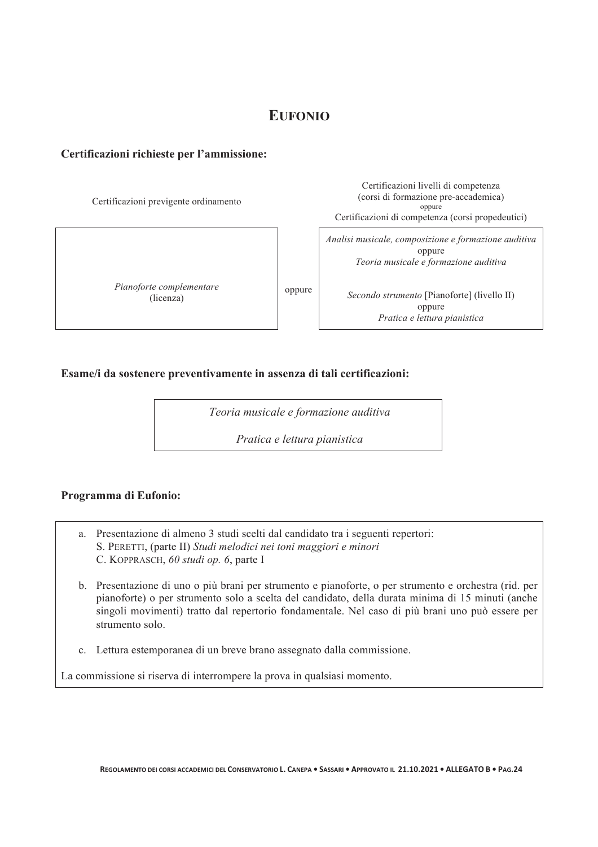## **EUFONIO**

#### **Certificazioni richieste per l'ammissione:**

Certificazioni previgente ordinamento Certificazioni livelli di competenza (corsi di formazione pre-accademica) oppure Certificazioni di competenza (corsi propedeutici) *Pianoforte complementare*  (licenza) oppure *Analisi musicale, composizione e formazione auditiva*  oppure *Teoria musicale e formazione auditiva Secondo strumento* [Pianoforte] (livello II) oppure *Pratica e lettura pianistica*

#### **Esame/i da sostenere preventivamente in assenza di tali certificazioni:**

*Teoria musicale e formazione auditiva* 

*Pratica e lettura pianistica* 

#### **Programma di Eufonio:**

- a. Presentazione di almeno 3 studi scelti dal candidato tra i seguenti repertori: S. PERETTI, (parte II) *Studi melodici nei toni maggiori e minori*  C. KOPPRASCH, *60 studi op. 6*, parte I
- b. Presentazione di uno o più brani per strumento e pianoforte, o per strumento e orchestra (rid. per pianoforte) o per strumento solo a scelta del candidato, della durata minima di 15 minuti (anche singoli movimenti) tratto dal repertorio fondamentale. Nel caso di più brani uno può essere per strumento solo.
- c. Lettura estemporanea di un breve brano assegnato dalla commissione.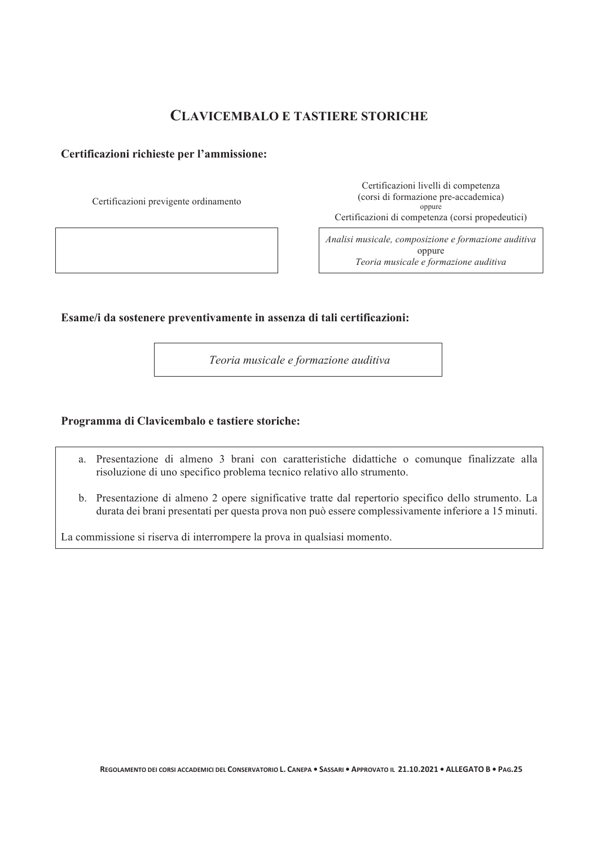## **CLAVICEMBALO E TASTIERE STORICHE**

#### **Certificazioni richieste per l'ammissione:**

Certificazioni previgente ordinamento

Certificazioni livelli di competenza (corsi di formazione pre-accademica) oppure Certificazioni di competenza (corsi propedeutici)

*Analisi musicale, composizione e formazione auditiva*  oppure *Teoria musicale e formazione auditiva*

#### **Esame/i da sostenere preventivamente in assenza di tali certificazioni:**

 *Teoria musicale e formazione auditiva* 

#### **Programma di Clavicembalo e tastiere storiche:**

- a. Presentazione di almeno 3 brani con caratteristiche didattiche o comunque finalizzate alla risoluzione di uno specifico problema tecnico relativo allo strumento.
- b. Presentazione di almeno 2 opere significative tratte dal repertorio specifico dello strumento. La durata dei brani presentati per questa prova non può essere complessivamente inferiore a 15 minuti.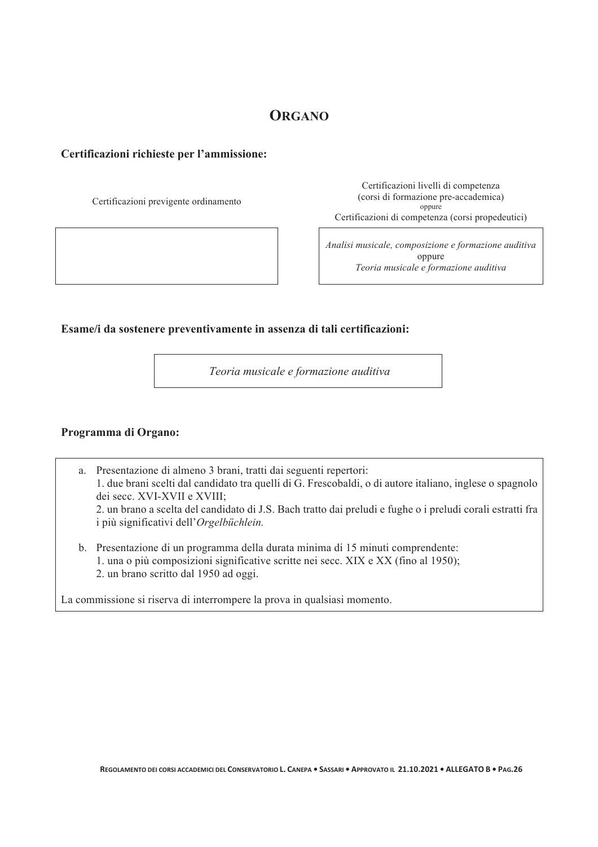## **ORGANO**

#### **Certificazioni richieste per l'ammissione:**

Certificazioni previgente ordinamento

Certificazioni livelli di competenza (corsi di formazione pre-accademica) oppure Certificazioni di competenza (corsi propedeutici)

*Analisi musicale, composizione e formazione auditiva*  oppure *Teoria musicale e formazione auditiva*

**Esame/i da sostenere preventivamente in assenza di tali certificazioni:** 

 *Teoria musicale e formazione auditiva*

#### **Programma di Organo:**

a. Presentazione di almeno 3 brani, tratti dai seguenti repertori: 1. due brani scelti dal candidato tra quelli di G. Frescobaldi, o di autore italiano, inglese o spagnolo dei secc. XVI-XVII e XVIII; 2. un brano a scelta del candidato di J.S. Bach tratto dai preludi e fughe o i preludi corali estratti fra i più significativi dell'*Orgelbüchlein.*

b. Presentazione di un programma della durata minima di 15 minuti comprendente: 1. una o più composizioni significative scritte nei secc. XIX e XX (fino al 1950); 2. un brano scritto dal 1950 ad oggi.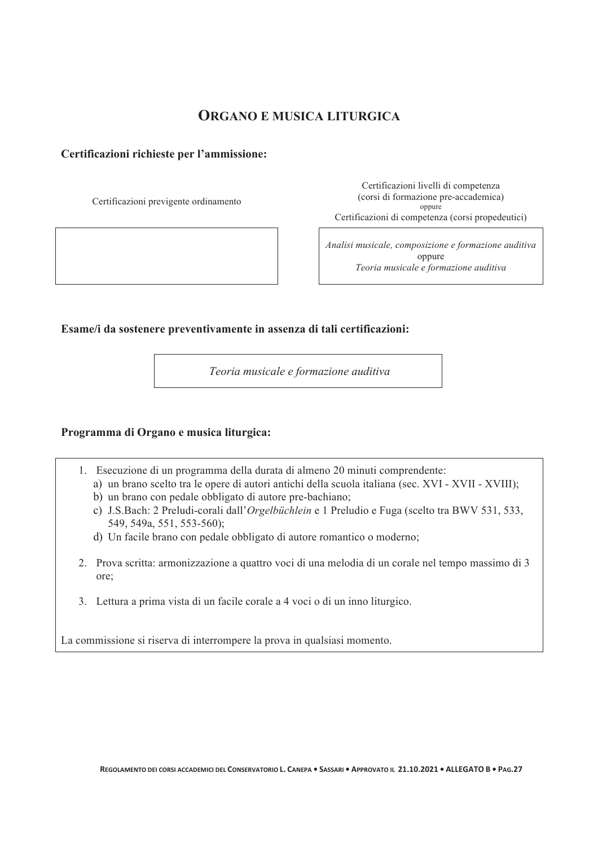## **ORGANO E MUSICA LITURGICA**

#### **Certificazioni richieste per l'ammissione:**

Certificazioni previgente ordinamento

Certificazioni livelli di competenza (corsi di formazione pre-accademica) oppure Certificazioni di competenza (corsi propedeutici)

*Analisi musicale, composizione e formazione auditiva*  oppure *Teoria musicale e formazione auditiva*

**Esame/i da sostenere preventivamente in assenza di tali certificazioni:** 

 *Teoria musicale e formazione auditiva*

#### **Programma di Organo e musica liturgica:**

- 1. Esecuzione di un programma della durata di almeno 20 minuti comprendente:
	- a) un brano scelto tra le opere di autori antichi della scuola italiana (sec. XVI XVII XVIII);
	- b) un brano con pedale obbligato di autore pre-bachiano;
	- c) J.S.Bach: 2 Preludi-corali dall'*Orgelbüchlein* e 1 Preludio e Fuga (scelto tra BWV 531, 533, 549, 549a, 551, 553-560);
	- d) Un facile brano con pedale obbligato di autore romantico o moderno;
- 2. Prova scritta: armonizzazione a quattro voci di una melodia di un corale nel tempo massimo di 3 ore;
- 3. Lettura a prima vista di un facile corale a 4 voci o di un inno liturgico.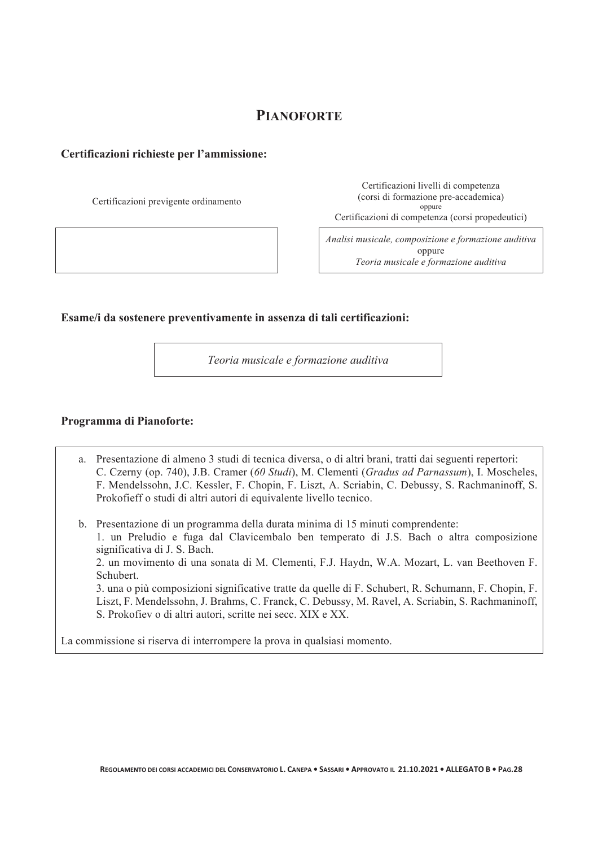## **PIANOFORTE**

#### **Certificazioni richieste per l'ammissione:**

Certificazioni previgente ordinamento

Certificazioni livelli di competenza (corsi di formazione pre-accademica) oppure Certificazioni di competenza (corsi propedeutici)

*Analisi musicale, composizione e formazione auditiva*  oppure *Teoria musicale e formazione auditiva*

#### **Esame/i da sostenere preventivamente in assenza di tali certificazioni:**

*Teoria musicale e formazione auditiva* 

#### **Programma di Pianoforte:**

- a. Presentazione di almeno 3 studi di tecnica diversa, o di altri brani, tratti dai seguenti repertori: C. Czerny (op. 740), J.B. Cramer (*60 Studi*), M. Clementi (*Gradus ad Parnassum*), I. Moscheles, F. Mendelssohn, J.C. Kessler, F. Chopin, F. Liszt, A. Scriabin, C. Debussy, S. Rachmaninoff, S. Prokofieff o studi di altri autori di equivalente livello tecnico.
- b. Presentazione di un programma della durata minima di 15 minuti comprendente: 1. un Preludio e fuga dal Clavicembalo ben temperato di J.S. Bach o altra composizione significativa di J. S. Bach.

2. un movimento di una sonata di M. Clementi, F.J. Haydn, W.A. Mozart, L. van Beethoven F. Schubert.

3. una o più composizioni significative tratte da quelle di F. Schubert, R. Schumann, F. Chopin, F. Liszt, F. Mendelssohn, J. Brahms, C. Franck, C. Debussy, M. Ravel, A. Scriabin, S. Rachmaninoff, S. Prokofiev o di altri autori, scritte nei secc. XIX e XX.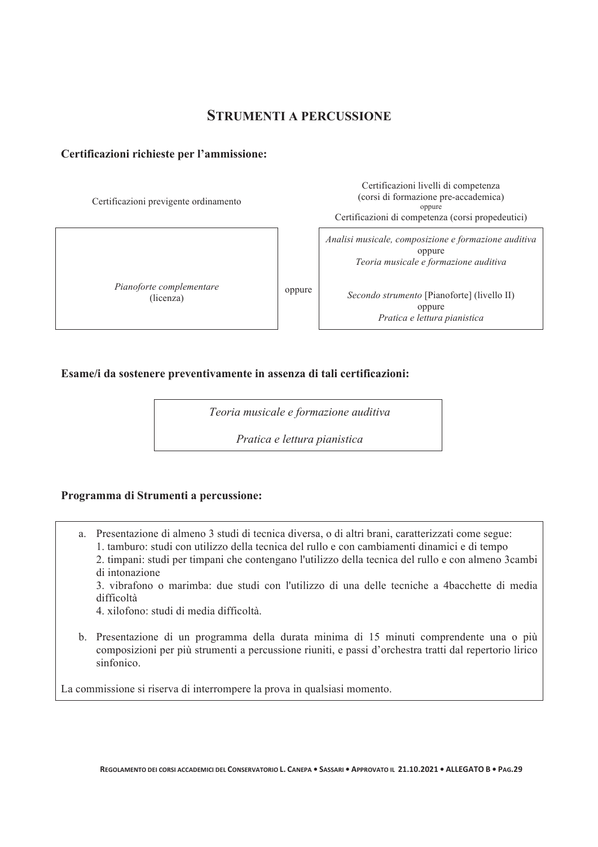#### **STRUMENTI A PERCUSSIONE**

#### **Certificazioni richieste per l'ammissione:**

Certificazioni previgente ordinamento

*Pianoforte complementare*  (licenza)

Certificazioni livelli di competenza (corsi di formazione pre-accademica) oppure Certificazioni di competenza (corsi propedeutici)

*Analisi musicale, composizione e formazione auditiva*  oppure *Teoria musicale e formazione auditiva* 

*Secondo strumento* [Pianoforte] (livello II) oppure *Pratica e lettura pianistica*

#### **Esame/i da sostenere preventivamente in assenza di tali certificazioni:**

*Teoria musicale e formazione auditiva* 

oppure

*Pratica e lettura pianistica* 

#### **Programma di Strumenti a percussione:**

a. Presentazione di almeno 3 studi di tecnica diversa, o di altri brani, caratterizzati come segue: 1. tamburo: studi con utilizzo della tecnica del rullo e con cambiamenti dinamici e di tempo

2. timpani: studi per timpani che contengano l'utilizzo della tecnica del rullo e con almeno 3cambi di intonazione

3. vibrafono o marimba: due studi con l'utilizzo di una delle tecniche a 4bacchette di media difficoltà

4. xilofono: studi di media difficoltà.

b. Presentazione di un programma della durata minima di 15 minuti comprendente una o più composizioni per più strumenti a percussione riuniti, e passi d'orchestra tratti dal repertorio lirico sinfonico.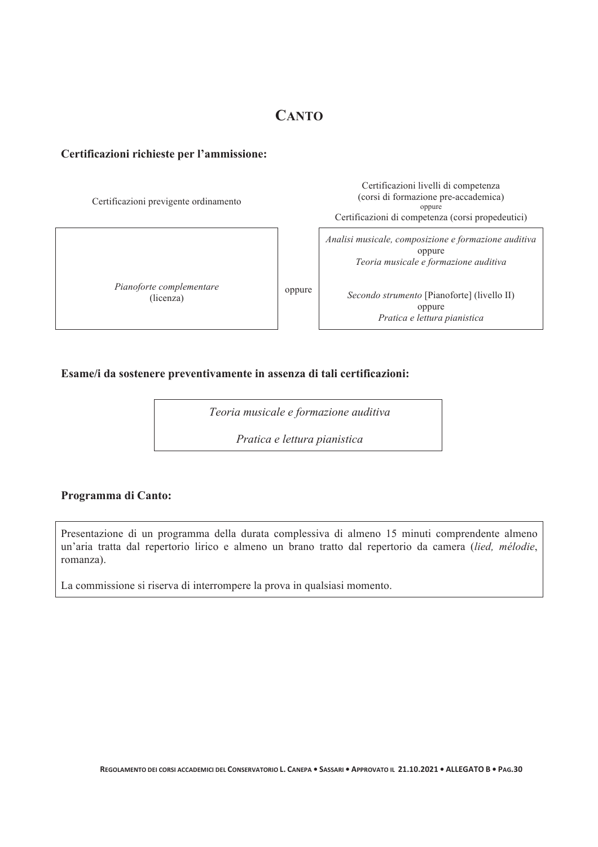## **CANTO**

#### **Certificazioni richieste per l'ammissione:**

| Certificazioni previgente ordinamento |        | Certificazioni livelli di competenza<br>(corsi di formazione pre-accademica)<br>oppure<br>Certificazioni di competenza (corsi propedeutici) |
|---------------------------------------|--------|---------------------------------------------------------------------------------------------------------------------------------------------|
|                                       |        | Analisi musicale, composizione e formazione auditiva<br>oppure<br>Teoria musicale e formazione auditiva                                     |
| Pianoforte complementare<br>(licenza) | oppure | <i>Secondo strumento</i> [Pianoforte] (livello II)<br>oppure<br>Pratica e lettura pianistica                                                |

#### **Esame/i da sostenere preventivamente in assenza di tali certificazioni:**

*Teoria musicale e formazione auditiva* 

*Pratica e lettura pianistica* 

#### **Programma di Canto:**

Presentazione di un programma della durata complessiva di almeno 15 minuti comprendente almeno un'aria tratta dal repertorio lirico e almeno un brano tratto dal repertorio da camera (*lied, mélodie*, romanza).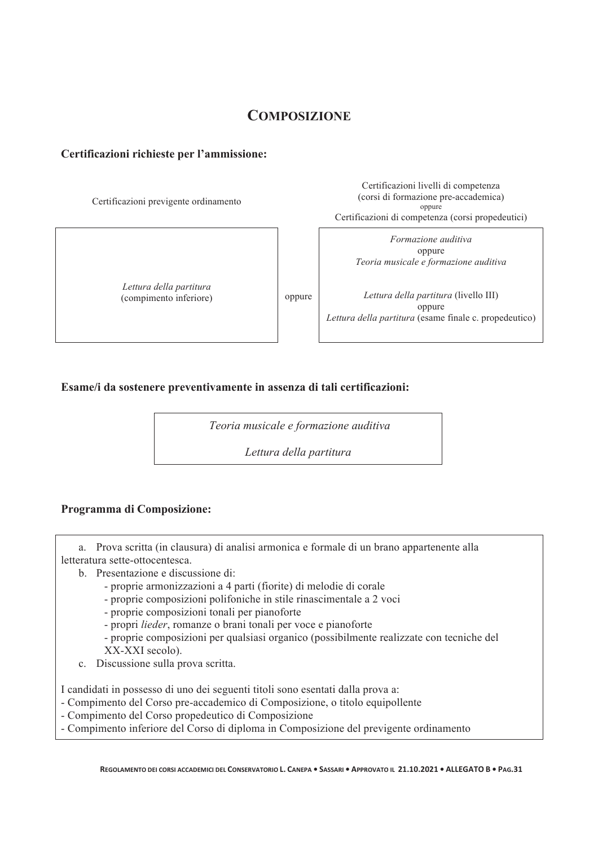## **COMPOSIZIONE**

#### **Certificazioni richieste per l'ammissione:**

Certificazioni previgente ordinamento

*Lettura della partitura*  (compimento inferiore) oppure

Certificazioni livelli di competenza (corsi di formazione pre-accademica) oppure Certificazioni di competenza (corsi propedeutici)

> *Formazione auditiva*  oppure *Teoria musicale e formazione auditiva*

*Lettura della partitura* (livello III) oppure *Lettura della partitura* (esame finale c. propedeutico)

#### **Esame/i da sostenere preventivamente in assenza di tali certificazioni:**

*Teoria musicale e formazione auditiva* 

*Lettura della partitura* 

#### **Programma di Composizione:**

a. Prova scritta (in clausura) di analisi armonica e formale di un brano appartenente alla letteratura sette-ottocentesca.

- b. Presentazione e discussione di:
	- proprie armonizzazioni a 4 parti (fiorite) di melodie di corale
	- proprie composizioni polifoniche in stile rinascimentale a 2 voci
	- proprie composizioni tonali per pianoforte
	- propri *lieder*, romanze o brani tonali per voce e pianoforte
	- proprie composizioni per qualsiasi organico (possibilmente realizzate con tecniche del XX-XXI secolo).
- c. Discussione sulla prova scritta.

I candidati in possesso di uno dei seguenti titoli sono esentati dalla prova a:

- Compimento del Corso pre-accademico di Composizione, o titolo equipollente
- Compimento del Corso propedeutico di Composizione
- Compimento inferiore del Corso di diploma in Composizione del previgente ordinamento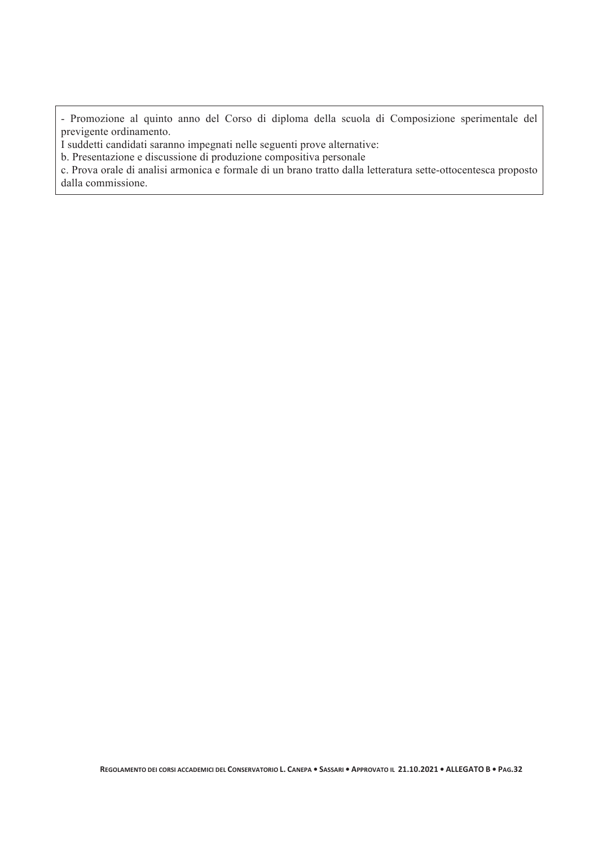- Promozione al quinto anno del Corso di diploma della scuola di Composizione sperimentale del previgente ordinamento.

I suddetti candidati saranno impegnati nelle seguenti prove alternative:

b. Presentazione e discussione di produzione compositiva personale

c. Prova orale di analisi armonica e formale di un brano tratto dalla letteratura sette-ottocentesca proposto dalla commissione.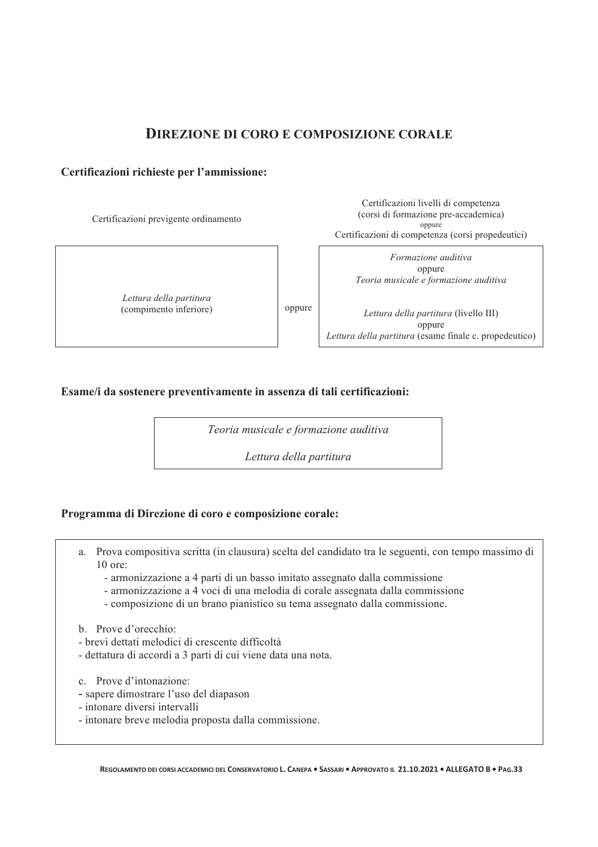### **DIREZIONE DI CORO E COMPOSIZIONE CORALE**

#### **Certificazioni richieste per l'ammissione:**

Certificazioni previgente ordinamento

*Lettura della partitura*  (compimento inferiore) oppure

Certificazioni livelli di competenza (corsi di formazione pre-accademica) oppure Certificazioni di competenza (corsi propedeutici)

> *Formazione auditiva*  oppure *Teoria musicale e formazione auditiva*

*Lettura della partitura* (livello III) oppure *Lettura della partitura* (esame finale c. propedeutico)

#### **Esame/i da sostenere preventivamente in assenza di tali certificazioni:**

*Teoria musicale e formazione auditiva* 

*Lettura della partitura*

#### **Programma di Direzione di coro e composizione corale:**

- a. Prova compositiva scritta (in clausura) scelta del candidato tra le seguenti, con tempo massimo di 10 ore:
	- armonizzazione a 4 parti di un basso imitato assegnato dalla commissione
	- armonizzazione a 4 voci di una melodia di corale assegnata dalla commissione
	- composizione di un brano pianistico su tema assegnato dalla commissione.
- b. Prove d'orecchio:
- brevi dettati melodici di crescente difficoltà
- dettatura di accordi a 3 parti di cui viene data una nota.
- c. Prove d'intonazione:
- sapere dimostrare l'uso del diapason
- intonare diversi intervalli
- intonare breve melodia proposta dalla commissione.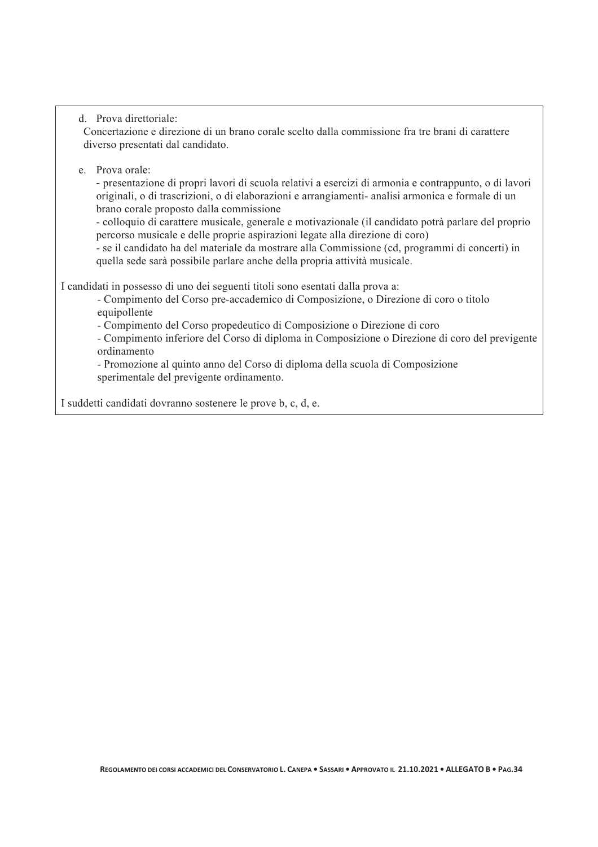#### d. Prova direttoriale:

Concertazione e direzione di un brano corale scelto dalla commissione fra tre brani di carattere diverso presentati dal candidato.

#### e. Prova orale:

"!presentazione di propri lavori di scuola relativi a esercizi di armonia e contrappunto, o di lavori originali, o di trascrizioni, o di elaborazioni e arrangiamenti- analisi armonica e formale di un brano corale proposto dalla commissione

- colloquio di carattere musicale, generale e motivazionale (il candidato potrà parlare del proprio percorso musicale e delle proprie aspirazioni legate alla direzione di coro)

- se il candidato ha del materiale da mostrare alla Commissione (cd, programmi di concerti) in quella sede sarà possibile parlare anche della propria attività musicale.

I candidati in possesso di uno dei seguenti titoli sono esentati dalla prova a:

- Compimento del Corso pre-accademico di Composizione, o Direzione di coro o titolo equipollente

- Compimento del Corso propedeutico di Composizione o Direzione di coro

- Compimento inferiore del Corso di diploma in Composizione o Direzione di coro del previgente ordinamento

- Promozione al quinto anno del Corso di diploma della scuola di Composizione sperimentale del previgente ordinamento.

I suddetti candidati dovranno sostenere le prove b, c, d, e.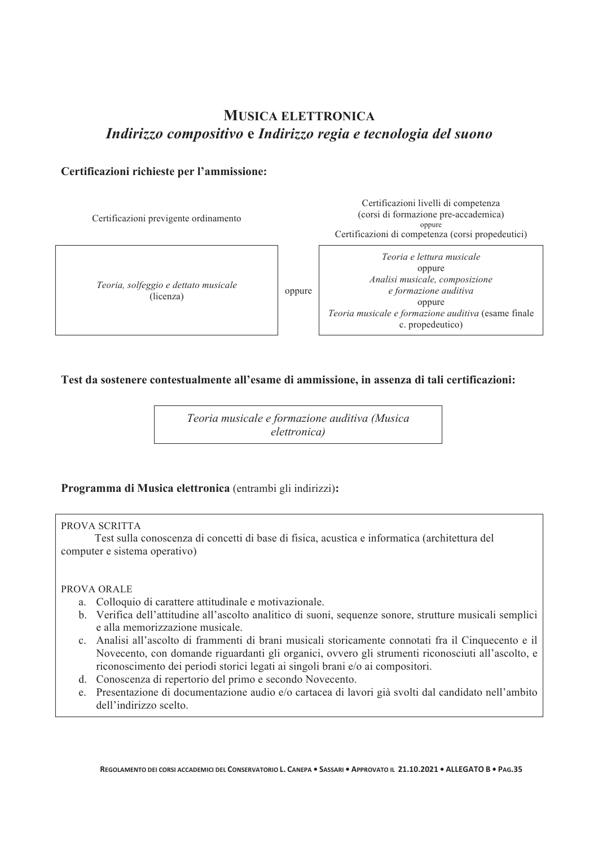## **MUSICA ELETTRONICA** *Indirizzo compositivo* **e** *Indirizzo regia e tecnologia del suono*

#### **Certificazioni richieste per l'ammissione:**

Certificazioni previgente ordinamento

*Teoria, solfeggio e dettato musicale*  ggio e detidio musicale della compute differentiale di controllation di controlla di controlla controlla di co<br>(di controllation di controllation di controllation di controllation di controllation di controllation di cont

Certificazioni livelli di competenza (corsi di formazione pre-accademica) oppure Certificazioni di competenza (corsi propedeutici)

*Teoria e lettura musicale*  oppure *Analisi musicale, composizione e formazione auditiva*  oppure *Teoria musicale e formazione auditiva* (esame finale c. propedeutico)

#### **Test da sostenere contestualmente all'esame di ammissione, in assenza di tali certificazioni:**

*Teoria musicale e formazione auditiva (Musica elettronica)*

#### **Programma di Musica elettronica** (entrambi gli indirizzi)**:**

#### PROVA SCRITTA

 Test sulla conoscenza di concetti di base di fisica, acustica e informatica (architettura del computer e sistema operativo)

#### PROVA ORALE

- a. Colloquio di carattere attitudinale e motivazionale.
- b. Verifica dell'attitudine all'ascolto analitico di suoni, sequenze sonore, strutture musicali semplici e alla memorizzazione musicale.
- c. Analisi all'ascolto di frammenti di brani musicali storicamente connotati fra il Cinquecento e il Novecento, con domande riguardanti gli organici, ovvero gli strumenti riconosciuti all'ascolto, e riconoscimento dei periodi storici legati ai singoli brani e/o ai compositori.
- d. Conoscenza di repertorio del primo e secondo Novecento.
- e. Presentazione di documentazione audio e/o cartacea di lavori già svolti dal candidato nell'ambito dell'indirizzo scelto.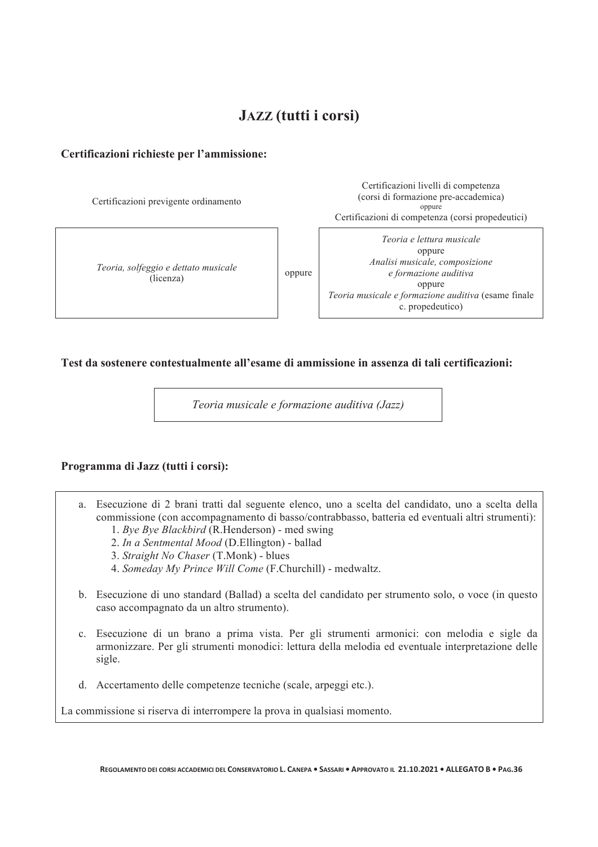## **JAZZ (tutti i corsi)**

#### **Certificazioni richieste per l'ammissione:**

Certificazioni previgente ordinamento

*Teoria, solfeggio e dettato musicale* give detail musically oppure<br>(licenza)

Certificazioni livelli di competenza (corsi di formazione pre-accademica) oppure Certificazioni di competenza (corsi propedeutici)

*Teoria e lettura musicale*  oppure *Analisi musicale, composizione e formazione auditiva*  oppure *Teoria musicale e formazione auditiva* (esame finale c. propedeutico)

**Test da sostenere contestualmente all'esame di ammissione in assenza di tali certificazioni:** 

*Teoria musicale e formazione auditiva (Jazz)*

#### **Programma di Jazz (tutti i corsi):**

- a. Esecuzione di 2 brani tratti dal seguente elenco, uno a scelta del candidato, uno a scelta della commissione (con accompagnamento di basso/contrabbasso, batteria ed eventuali altri strumenti):
	- 1. *Bye Bye Blackbird* (R.Henderson) med swing
	- 2. *In a Sentmental Mood* (D.Ellington) ballad
	- 3. *Straight No Chaser* (T.Monk) blues
	- 4. *Someday My Prince Will Come* (F.Churchill) medwaltz.
- b. Esecuzione di uno standard (Ballad) a scelta del candidato per strumento solo, o voce (in questo caso accompagnato da un altro strumento).
- c. Esecuzione di un brano a prima vista. Per gli strumenti armonici: con melodia e sigle da armonizzare. Per gli strumenti monodici: lettura della melodia ed eventuale interpretazione delle sigle.
- d. Accertamento delle competenze tecniche (scale, arpeggi etc.).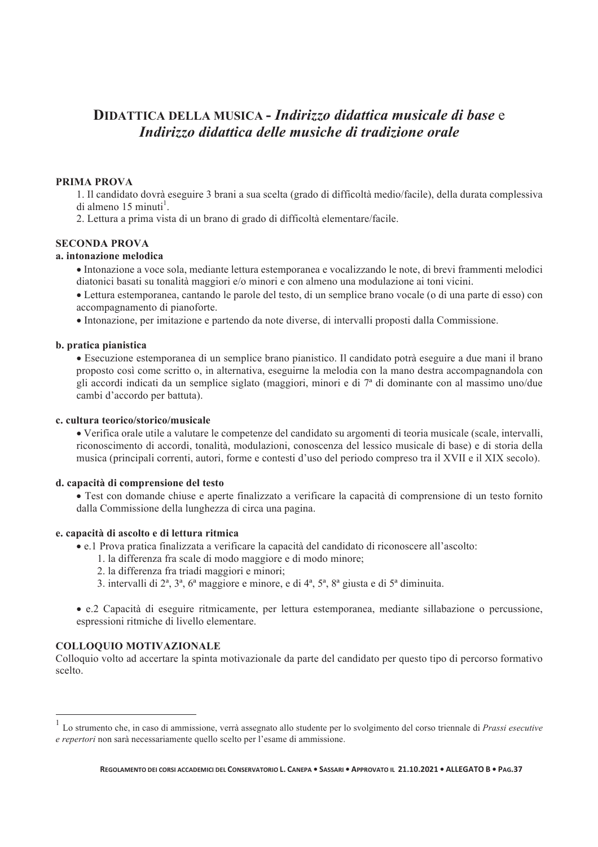## **DIDATTICA DELLA MUSICA -** *Indirizzo didattica musicale di base* e *Indirizzo didattica delle musiche di tradizione orale*

#### **PRIMA PROVA**

1. Il candidato dovrà eseguire 3 brani a sua scelta (grado di difficoltà medio/facile), della durata complessiva  $di$  almeno 15 minuti<sup>1</sup>.

2. Lettura a prima vista di un brano di grado di difficoltà elementare/facile.

#### **SECONDA PROVA**

#### **a. intonazione melodica**

• Intonazione a voce sola, mediante lettura estemporanea e vocalizzando le note, di brevi frammenti melodici diatonici basati su tonalità maggiori e/o minori e con almeno una modulazione ai toni vicini.

• Lettura estemporanea, cantando le parole del testo, di un semplice brano vocale (o di una parte di esso) con accompagnamento di pianoforte.

• Intonazione, per imitazione e partendo da note diverse, di intervalli proposti dalla Commissione.

#### **b. pratica pianistica**

• Esecuzione estemporanea di un semplice brano pianistico. Il candidato potrà eseguire a due mani il brano proposto così come scritto o, in alternativa, eseguirne la melodia con la mano destra accompagnandola con gli accordi indicati da un semplice siglato (maggiori, minori e di 7ª di dominante con al massimo uno/due cambi d'accordo per battuta).

#### **c. cultura teorico/storico/musicale**

• Verifica orale utile a valutare le competenze del candidato su argomenti di teoria musicale (scale, intervalli, riconoscimento di accordi, tonalità, modulazioni, conoscenza del lessico musicale di base) e di storia della musica (principali correnti, autori, forme e contesti d'uso del periodo compreso tra il XVII e il XIX secolo).

#### **d. capacità di comprensione del testo**

• Test con domande chiuse e aperte finalizzato a verificare la capacità di comprensione di un testo fornito dalla Commissione della lunghezza di circa una pagina.

#### **e. capacità di ascolto e di lettura ritmica**

• e.1 Prova pratica finalizzata a verificare la capacità del candidato di riconoscere all'ascolto:

- 1. la differenza fra scale di modo maggiore e di modo minore;
- 2. la differenza fra triadi maggiori e minori;
- 3. intervalli di 2ª, 3ª, 6ª maggiore e minore, e di 4ª, 5ª, 8ª giusta e di 5ª diminuita.

• e.2 Capacità di eseguire ritmicamente, per lettura estemporanea, mediante sillabazione o percussione, espressioni ritmiche di livello elementare.

#### **COLLOQUIO MOTIVAZIONALE**

 $\overline{a}$ 

Colloquio volto ad accertare la spinta motivazionale da parte del candidato per questo tipo di percorso formativo scelto.

<sup>1</sup> Lo strumento che, in caso di ammissione, verrà assegnato allo studente per lo svolgimento del corso triennale di *Prassi esecutive e repertori* non sarà necessariamente quello scelto per l'esame di ammissione.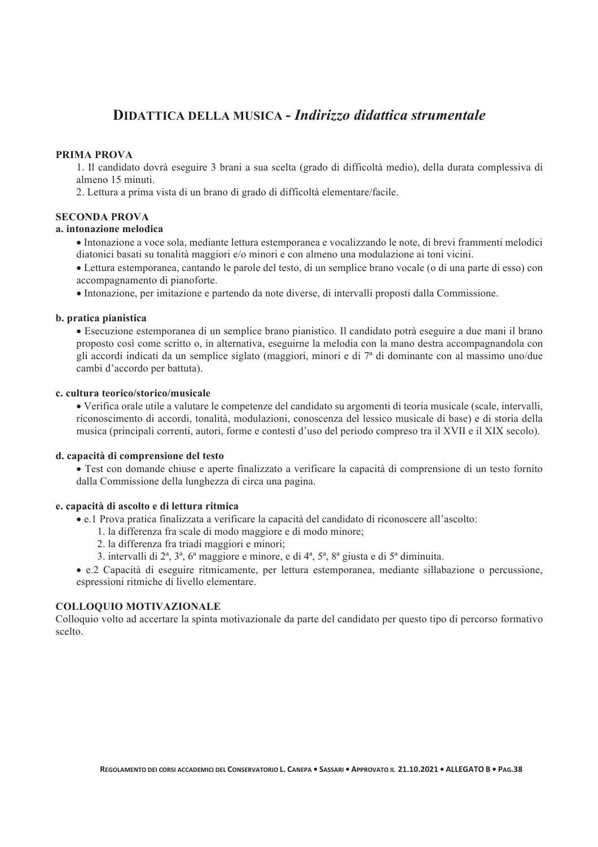## **DIDATTICA DELLA MUSICA -** *Indirizzo didattica strumentale*

#### **PRIMA PROVA**

1. Il candidato dovrà eseguire 3 brani a sua scelta (grado di difficoltà medio), della durata complessiva di almeno 15 minuti.

2. Lettura a prima vista di un brano di grado di difficoltà elementare/facile.

#### **SECONDA PROVA**

#### **a. intonazione melodica**

• Intonazione a voce sola, mediante lettura estemporanea e vocalizzando le note, di brevi frammenti melodici diatonici basati su tonalità maggiori e/o minori e con almeno una modulazione ai toni vicini.

• Lettura estemporanea, cantando le parole del testo, di un semplice brano vocale (o di una parte di esso) con accompagnamento di pianoforte.

• Intonazione, per imitazione e partendo da note diverse, di intervalli proposti dalla Commissione.

#### **b. pratica pianistica**

• Esecuzione estemporanea di un semplice brano pianistico. Il candidato potrà eseguire a due mani il brano proposto così come scritto o, in alternativa, eseguirne la melodia con la mano destra accompagnandola con gli accordi indicati da un semplice siglato (maggiori, minori e di 7ª di dominante con al massimo uno/due cambi d'accordo per battuta).

#### **c. cultura teorico/storico/musicale**

• Verifica orale utile a valutare le competenze del candidato su argomenti di teoria musicale (scale, intervalli, riconoscimento di accordi, tonalità, modulazioni, conoscenza del lessico musicale di base) e di storia della musica (principali correnti, autori, forme e contesti d'uso del periodo compreso tra il XVII e il XIX secolo).

#### **d. capacità di comprensione del testo**

• Test con domande chiuse e aperte finalizzato a verificare la capacità di comprensione di un testo fornito dalla Commissione della lunghezza di circa una pagina.

#### **e. capacità di ascolto e di lettura ritmica**

• e.1 Prova pratica finalizzata a verificare la capacità del candidato di riconoscere all'ascolto:

- 1. la differenza fra scale di modo maggiore e di modo minore;
- 2. la differenza fra triadi maggiori e minori;
- 3. intervalli di 2ª, 3ª, 6ª maggiore e minore, e di 4ª, 5ª, 8ª giusta e di 5ª diminuita.
- e.2 Capacità di eseguire ritmicamente, per lettura estemporanea, mediante sillabazione o percussione, espressioni ritmiche di livello elementare.

#### **COLLOQUIO MOTIVAZIONALE**

Colloquio volto ad accertare la spinta motivazionale da parte del candidato per questo tipo di percorso formativo scelto.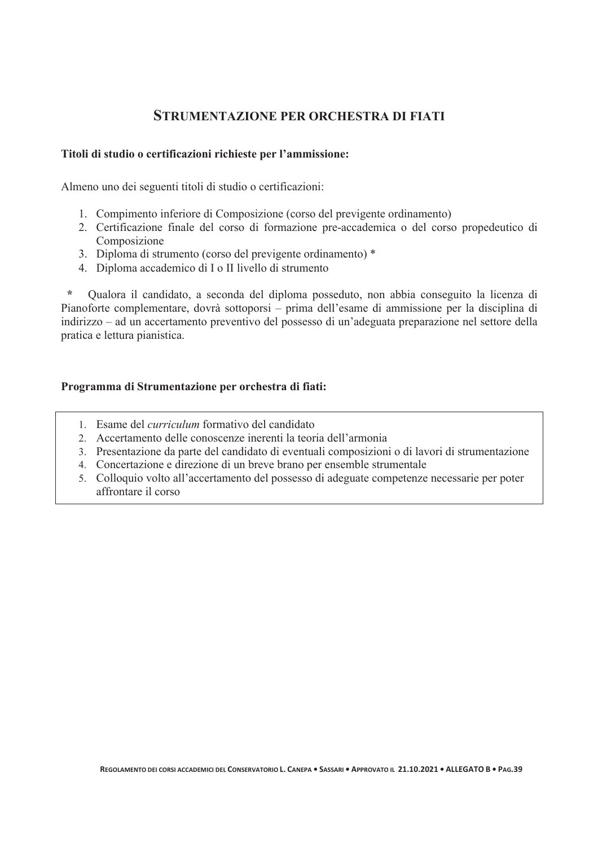## **STRUMENTAZIONE PER ORCHESTRA DI FIATI**

#### **Titoli di studio o certificazioni richieste per l'ammissione:**

Almeno uno dei seguenti titoli di studio o certificazioni:

- 1. Compimento inferiore di Composizione (corso del previgente ordinamento)
- 2. Certificazione finale del corso di formazione pre-accademica o del corso propedeutico di Composizione
- 3. Diploma di strumento (corso del previgente ordinamento) \*
- 4. Diploma accademico di I o II livello di strumento

 **\*** Qualora il candidato, a seconda del diploma posseduto, non abbia conseguito la licenza di Pianoforte complementare, dovrà sottoporsi – prima dell'esame di ammissione per la disciplina di indirizzo – ad un accertamento preventivo del possesso di un'adeguata preparazione nel settore della pratica e lettura pianistica.

#### **Programma di Strumentazione per orchestra di fiati:**

- 1. Esame del *curriculum* formativo del candidato
- 2. Accertamento delle conoscenze inerenti la teoria dell'armonia
- 3. Presentazione da parte del candidato di eventuali composizioni o di lavori di strumentazione
- 4. Concertazione e direzione di un breve brano per ensemble strumentale
- 5. Colloquio volto all'accertamento del possesso di adeguate competenze necessarie per poter affrontare il corso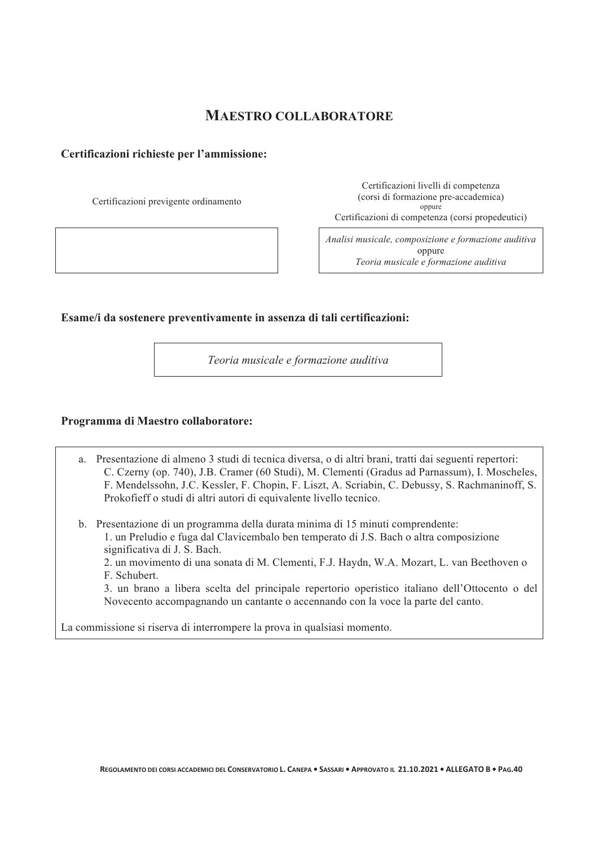## **MAESTRO COLLABORATORE**

#### **Certificazioni richieste per l'ammissione:**

Certificazioni previgente ordinamento

Certificazioni livelli di competenza (corsi di formazione pre-accademica) oppure Certificazioni di competenza (corsi propedeutici)

*Analisi musicale, composizione e formazione auditiva*  oppure *Teoria musicale e formazione auditiva*

#### **Esame/i da sostenere preventivamente in assenza di tali certificazioni:**

*Teoria musicale e formazione auditiva* 

#### **Programma di Maestro collaboratore:**

- a. Presentazione di almeno 3 studi di tecnica diversa, o di altri brani, tratti dai seguenti repertori: C. Czerny (op. 740), J.B. Cramer (60 Studi), M. Clementi (Gradus ad Parnassum), I. Moscheles, F. Mendelssohn, J.C. Kessler, F. Chopin, F. Liszt, A. Scriabin, C. Debussy, S. Rachmaninoff, S. Prokofieff o studi di altri autori di equivalente livello tecnico.
- b. Presentazione di un programma della durata minima di 15 minuti comprendente:
	- 1. un Preludio e fuga dal Clavicembalo ben temperato di J.S. Bach o altra composizione significativa di J. S. Bach.
	- 2. un movimento di una sonata di M. Clementi, F.J. Haydn, W.A. Mozart, L. van Beethoven o F. Schubert.

3. un brano a libera scelta del principale repertorio operistico italiano dell'Ottocento o del Novecento accompagnando un cantante o accennando con la voce la parte del canto.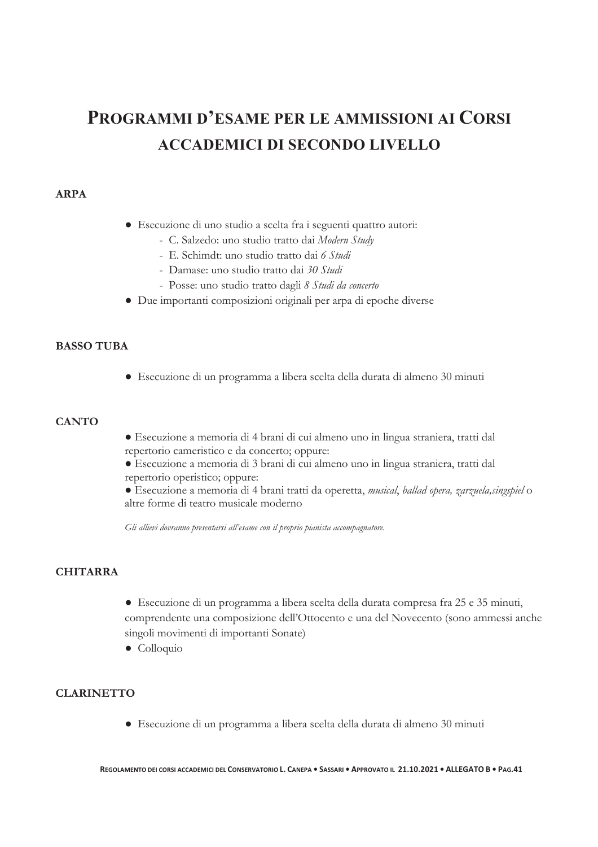## **PROGRAMMI D'ESAME PER LE AMMISSIONI AI CORSI ACCADEMICI DI SECONDO LIVELLO**

#### **ARPA**

- Esecuzione di uno studio a scelta fra i seguenti quattro autori:
	- C. Salzedo: uno studio tratto dai *Modern Study*
	- E. Schimdt: uno studio tratto dai *6 Studi*
	- Damase: uno studio tratto dai *30 Studi*
	- Posse: uno studio tratto dagli *8 Studi da concerto*
- Due importanti composizioni originali per arpa di epoche diverse

#### **BASSO TUBA**

● Esecuzione di un programma a libera scelta della durata di almeno 30 minuti

#### **CANTO**

- Esecuzione a memoria di 4 brani di cui almeno uno in lingua straniera, tratti dal repertorio cameristico e da concerto; oppure:
- Esecuzione a memoria di 3 brani di cui almeno uno in lingua straniera, tratti dal repertorio operistico; oppure:
- Esecuzione a memoria di 4 brani tratti da operetta, *musical*, *ballad opera, zarzuela,singspiel* o altre forme di teatro musicale moderno

*Gli allievi dovranno presentarsi all'esame con il proprio pianista accompagnatore.*

#### **CHITARRA**

● Esecuzione di un programma a libera scelta della durata compresa fra 25 e 35 minuti, comprendente una composizione dell'Ottocento e una del Novecento (sono ammessi anche singoli movimenti di importanti Sonate)

● Colloquio

#### **CLARINETTO**

● Esecuzione di un programma a libera scelta della durata di almeno 30 minuti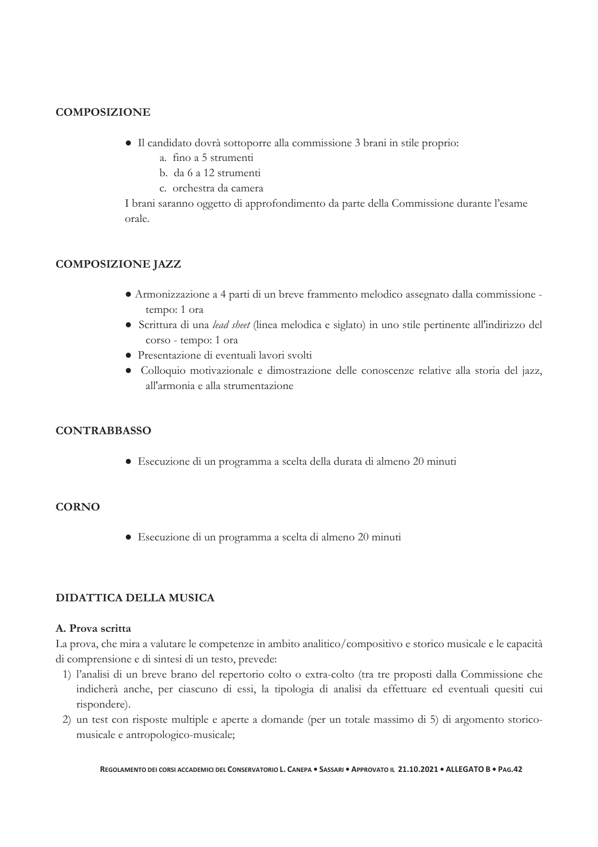#### **COMPOSIZIONE**

- Il candidato dovrà sottoporre alla commissione 3 brani in stile proprio:
	- a. fino a 5 strumenti
	- b. da 6 a 12 strumenti
	- c. orchestra da camera

I brani saranno oggetto di approfondimento da parte della Commissione durante l'esame orale.

#### **COMPOSIZIONE JAZZ**

- Armonizzazione a 4 parti di un breve frammento melodico assegnato dalla commissione tempo: 1 ora
- Scrittura di una *lead sheet* (linea melodica e siglato) in uno stile pertinente all'indirizzo del corso - tempo: 1 ora
- Presentazione di eventuali lavori svolti
- Colloquio motivazionale e dimostrazione delle conoscenze relative alla storia del jazz, all'armonia e alla strumentazione

#### **CONTRABBASSO**

● Esecuzione di un programma a scelta della durata di almeno 20 minuti

#### **CORNO**

● Esecuzione di un programma a scelta di almeno 20 minuti

#### **DIDATTICA DELLA MUSICA**

#### **A. Prova scritta**

La prova, che mira a valutare le competenze in ambito analitico/compositivo e storico musicale e le capacità di comprensione e di sintesi di un testo, prevede:

- 1) l'analisi di un breve brano del repertorio colto o extra-colto (tra tre proposti dalla Commissione che indicherà anche, per ciascuno di essi, la tipologia di analisi da effettuare ed eventuali quesiti cui rispondere).
- 2) un test con risposte multiple e aperte a domande (per un totale massimo di 5) di argomento storicomusicale e antropologico-musicale;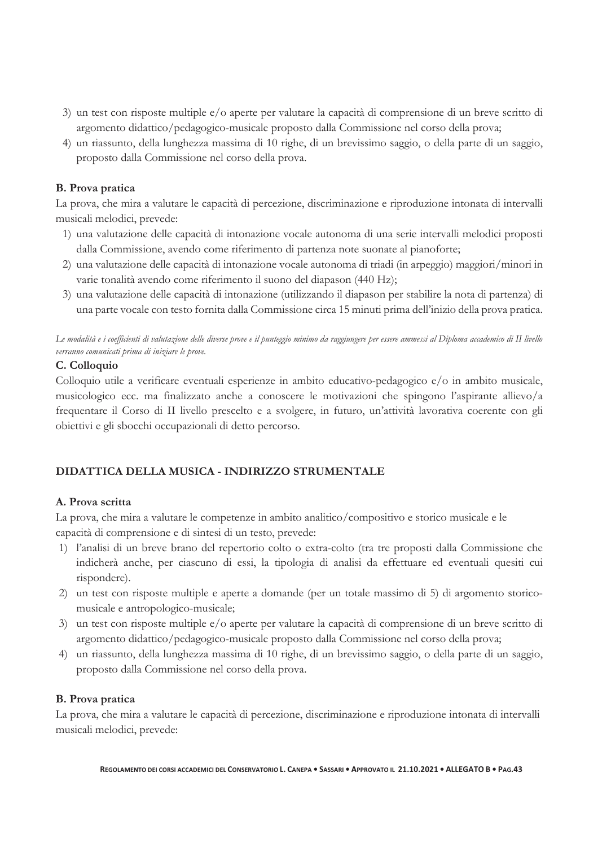- 3) un test con risposte multiple e/o aperte per valutare la capacità di comprensione di un breve scritto di argomento didattico/pedagogico-musicale proposto dalla Commissione nel corso della prova;
- 4) un riassunto, della lunghezza massima di 10 righe, di un brevissimo saggio, o della parte di un saggio, proposto dalla Commissione nel corso della prova.

#### **B. Prova pratica**

La prova, che mira a valutare le capacità di percezione, discriminazione e riproduzione intonata di intervalli musicali melodici, prevede:

- 1) una valutazione delle capacità di intonazione vocale autonoma di una serie intervalli melodici proposti dalla Commissione, avendo come riferimento di partenza note suonate al pianoforte;
- 2) una valutazione delle capacità di intonazione vocale autonoma di triadi (in arpeggio) maggiori/minori in varie tonalità avendo come riferimento il suono del diapason (440 Hz);
- 3) una valutazione delle capacità di intonazione (utilizzando il diapason per stabilire la nota di partenza) di una parte vocale con testo fornita dalla Commissione circa 15 minuti prima dell'inizio della prova pratica.

*Le modalità e i coefficienti di valutazione delle diverse prove e il punteggio minimo da raggiungere per essere ammessi al Diploma accademico di II livello verranno comunicati prima di iniziare le prove.* 

#### **C. Colloquio**

Colloquio utile a verificare eventuali esperienze in ambito educativo-pedagogico e/o in ambito musicale, musicologico ecc. ma finalizzato anche a conoscere le motivazioni che spingono l'aspirante allievo/a frequentare il Corso di II livello prescelto e a svolgere, in futuro, un'attività lavorativa coerente con gli obiettivi e gli sbocchi occupazionali di detto percorso.

#### **DIDATTICA DELLA MUSICA - INDIRIZZO STRUMENTALE**

#### **A. Prova scritta**

La prova, che mira a valutare le competenze in ambito analitico/compositivo e storico musicale e le capacità di comprensione e di sintesi di un testo, prevede:

- 1) l'analisi di un breve brano del repertorio colto o extra-colto (tra tre proposti dalla Commissione che indicherà anche, per ciascuno di essi, la tipologia di analisi da effettuare ed eventuali quesiti cui rispondere).
- 2) un test con risposte multiple e aperte a domande (per un totale massimo di 5) di argomento storicomusicale e antropologico-musicale;
- 3) un test con risposte multiple e/o aperte per valutare la capacità di comprensione di un breve scritto di argomento didattico/pedagogico-musicale proposto dalla Commissione nel corso della prova;
- 4) un riassunto, della lunghezza massima di 10 righe, di un brevissimo saggio, o della parte di un saggio, proposto dalla Commissione nel corso della prova.

#### **B. Prova pratica**

La prova, che mira a valutare le capacità di percezione, discriminazione e riproduzione intonata di intervalli musicali melodici, prevede: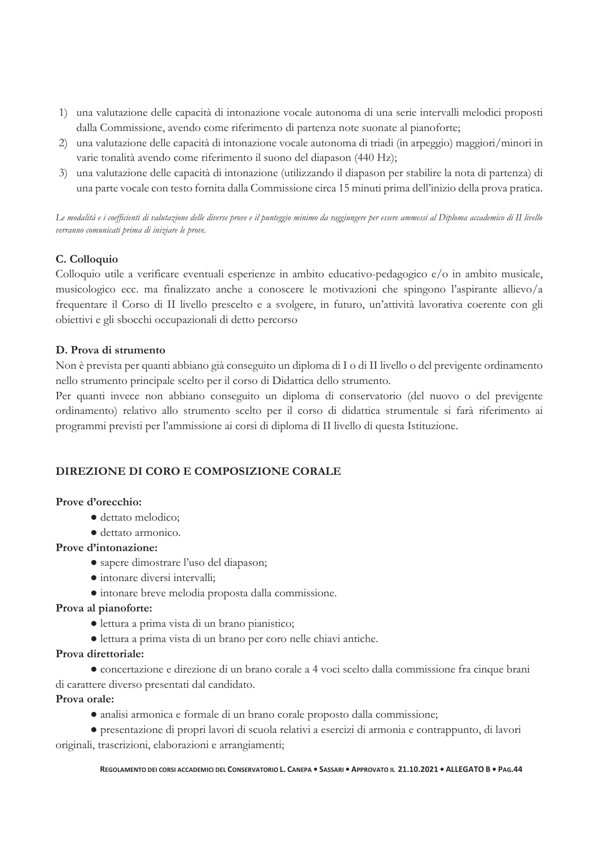- 1) una valutazione delle capacità di intonazione vocale autonoma di una serie intervalli melodici proposti dalla Commissione, avendo come riferimento di partenza note suonate al pianoforte;
- 2) una valutazione delle capacità di intonazione vocale autonoma di triadi (in arpeggio) maggiori/minori in varie tonalità avendo come riferimento il suono del diapason (440 Hz);
- 3) una valutazione delle capacità di intonazione (utilizzando il diapason per stabilire la nota di partenza) di una parte vocale con testo fornita dalla Commissione circa 15 minuti prima dell'inizio della prova pratica.

*Le modalità e i coefficienti di valutazione delle diverse prove e il punteggio minimo da raggiungere per essere ammessi al Diploma accademico di II livello verranno comunicati prima di iniziare le prove.* 

#### **C. Colloquio**

Colloquio utile a verificare eventuali esperienze in ambito educativo-pedagogico e/o in ambito musicale, musicologico ecc. ma finalizzato anche a conoscere le motivazioni che spingono l'aspirante allievo/a frequentare il Corso di II livello prescelto e a svolgere, in futuro, un'attività lavorativa coerente con gli obiettivi e gli sbocchi occupazionali di detto percorso

#### **D. Prova di strumento**

Non è prevista per quanti abbiano già conseguito un diploma di I o di II livello o del previgente ordinamento nello strumento principale scelto per il corso di Didattica dello strumento.

Per quanti invece non abbiano conseguito un diploma di conservatorio (del nuovo o del previgente ordinamento) relativo allo strumento scelto per il corso di didattica strumentale si farà riferimento ai programmi previsti per l'ammissione ai corsi di diploma di II livello di questa Istituzione.

#### **DIREZIONE DI CORO E COMPOSIZIONE CORALE**

#### **Prove d'orecchio:**

- dettato melodico;
- dettato armonico.

#### **Prove d'intonazione:**

- sapere dimostrare l'uso del diapason;
- intonare diversi intervalli;
- intonare breve melodia proposta dalla commissione.

#### **Prova al pianoforte:**

- lettura a prima vista di un brano pianistico;
- lettura a prima vista di un brano per coro nelle chiavi antiche.

#### **Prova direttoriale:**

● concertazione e direzione di un brano corale a 4 voci scelto dalla commissione fra cinque brani di carattere diverso presentati dal candidato.

#### **Prova orale:**

● analisi armonica e formale di un brano corale proposto dalla commissione;

● presentazione di propri lavori di scuola relativi a esercizi di armonia e contrappunto, di lavori originali, trascrizioni, elaborazioni e arrangiamenti;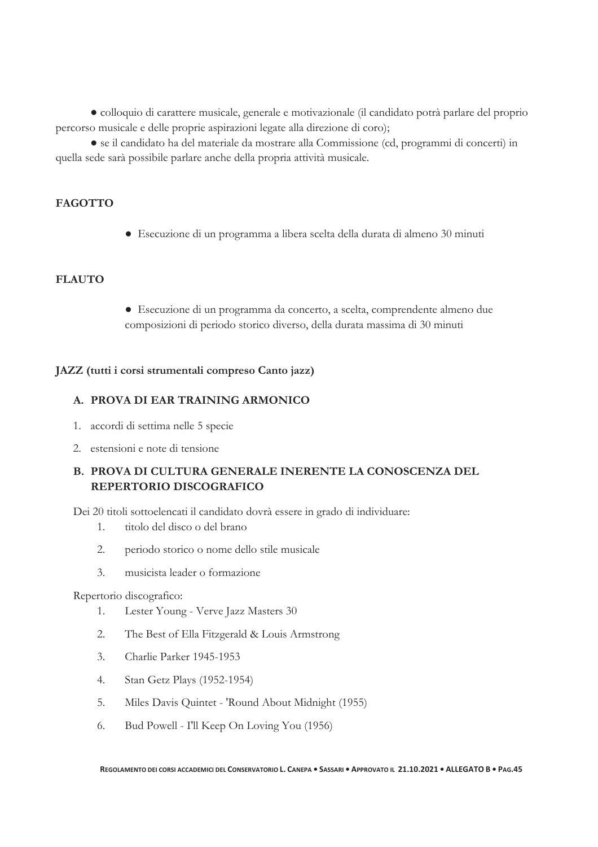● colloquio di carattere musicale, generale e motivazionale (il candidato potrà parlare del proprio percorso musicale e delle proprie aspirazioni legate alla direzione di coro);

● se il candidato ha del materiale da mostrare alla Commissione (cd, programmi di concerti) in quella sede sarà possibile parlare anche della propria attività musicale.

#### **FAGOTTO**

● Esecuzione di un programma a libera scelta della durata di almeno 30 minuti

#### **FLAUTO**

● Esecuzione di un programma da concerto, a scelta, comprendente almeno due composizioni di periodo storico diverso, della durata massima di 30 minuti

#### **JAZZ (tutti i corsi strumentali compreso Canto jazz)**

#### **A. PROVA DI EAR TRAINING ARMONICO**

- 1. accordi di settima nelle 5 specie
- 2. estensioni e note di tensione

#### **B. PROVA DI CULTURA GENERALE INERENTE LA CONOSCENZA DEL REPERTORIO DISCOGRAFICO**

Dei 20 titoli sottoelencati il candidato dovrà essere in grado di individuare:

- 1. titolo del disco o del brano
- 2. periodo storico o nome dello stile musicale
- 3. musicista leader o formazione

#### Repertorio discografico:

- 1. Lester Young Verve Jazz Masters 30
- 2. The Best of Ella Fitzgerald & Louis Armstrong
- 3. Charlie Parker 1945-1953
- 4. Stan Getz Plays (1952-1954)
- 5. Miles Davis Quintet 'Round About Midnight (1955)
- 6. Bud Powell I'll Keep On Loving You (1956)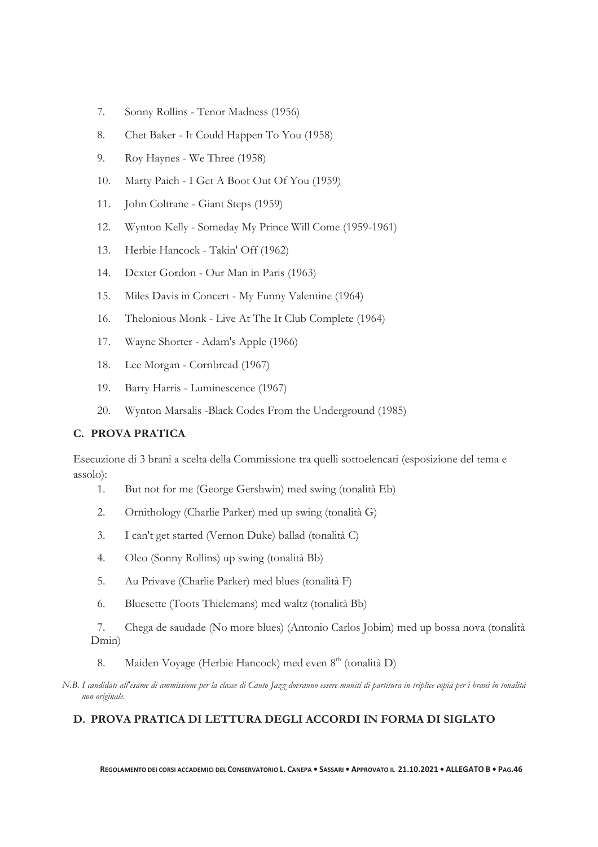- 7. Sonny Rollins Tenor Madness (1956)
- 8. Chet Baker It Could Happen To You (1958)
- 9. Roy Haynes We Three (1958)
- 10. Marty Paich I Get A Boot Out Of You (1959)
- 11. John Coltrane Giant Steps (1959)
- 12. Wynton Kelly Someday My Prince Will Come (1959-1961)
- 13. Herbie Hancock Takin' Off (1962)
- 14. Dexter Gordon Our Man in Paris (1963)
- 15. Miles Davis in Concert My Funny Valentine (1964)
- 16. Thelonious Monk Live At The It Club Complete (1964)
- 17. Wayne Shorter Adam's Apple (1966)
- 18. Lee Morgan Cornbread (1967)
- 19. Barry Harris Luminescence (1967)
- 20. Wynton Marsalis -Black Codes From the Underground (1985)

#### **C. PROVA PRATICA**

Esecuzione di 3 brani a scelta della Commissione tra quelli sottoelencati (esposizione del tema e assolo):

- 1. But not for me (George Gershwin) med swing (tonalità Eb)
- 2. Ornithology (Charlie Parker) med up swing (tonalità G)
- 3. I can't get started (Vernon Duke) ballad (tonalità C)
- 4. Oleo (Sonny Rollins) up swing (tonalità Bb)
- 5. Au Privave (Charlie Parker) med blues (tonalità F)
- 6. Bluesette (Toots Thielemans) med waltz (tonalità Bb)

7. Chega de saudade (No more blues) (Antonio Carlos Jobim) med up bossa nova (tonalità Dmin)

- 8. Maiden Voyage (Herbie Hancock) med even 8<sup>th</sup> (tonalità D)
- *N.B. I candidati all'esame di ammissione per la classe di Canto Jazz dovranno essere muniti di partitura in triplice copia per i brani in tonalità non originale.*

#### **D. PROVA PRATICA DI LETTURA DEGLI ACCORDI IN FORMA DI SIGLATO**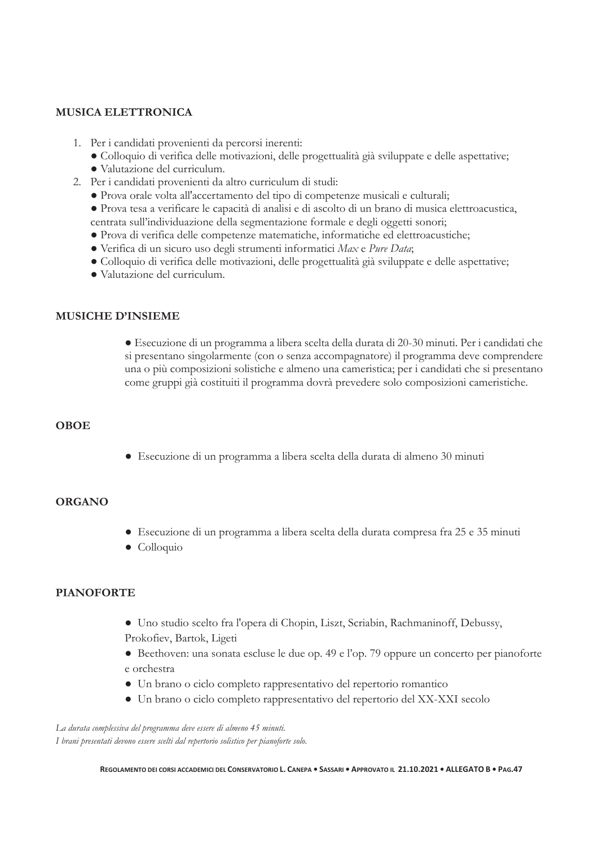#### **MUSICA ELETTRONICA**

- 1. Per i candidati provenienti da percorsi inerenti:
	- Colloquio di verifica delle motivazioni, delle progettualità già sviluppate e delle aspettative;
	- Valutazione del curriculum.
- 2. Per i candidati provenienti da altro curriculum di studi:
	- Prova orale volta all'accertamento del tipo di competenze musicali e culturali;
	- Prova tesa a verificare le capacità di analisi e di ascolto di un brano di musica elettroacustica,
	- centrata sull'individuazione della segmentazione formale e degli oggetti sonori;
	- Prova di verifica delle competenze matematiche, informatiche ed elettroacustiche;
	- Verifica di un sicuro uso degli strumenti informatici *Max* e *Pure Data*;
	- Colloquio di verifica delle motivazioni, delle progettualità già sviluppate e delle aspettative;
	- Valutazione del curriculum.

#### **MUSICHE D'INSIEME**

● Esecuzione di un programma a libera scelta della durata di 20-30 minuti. Per i candidati che si presentano singolarmente (con o senza accompagnatore) il programma deve comprendere una o più composizioni solistiche e almeno una cameristica; per i candidati che si presentano come gruppi già costituiti il programma dovrà prevedere solo composizioni cameristiche.

#### **OBOE**

● Esecuzione di un programma a libera scelta della durata di almeno 30 minuti

#### **ORGANO**

- Esecuzione di un programma a libera scelta della durata compresa fra 25 e 35 minuti
- Colloquio

#### **PIANOFORTE**

- Uno studio scelto fra l'opera di Chopin, Liszt, Scriabin, Rachmaninoff, Debussy, Prokofiev, Bartok, Ligeti
- Beethoven: una sonata escluse le due op. 49 e l'op. 79 oppure un concerto per pianoforte e orchestra
- Un brano o ciclo completo rappresentativo del repertorio romantico
- Un brano o ciclo completo rappresentativo del repertorio del XX-XXI secolo

*La durata complessiva del programma deve essere di almeno 45 minuti. I brani presentati devono essere scelti dal repertorio solistico per pianoforte solo.*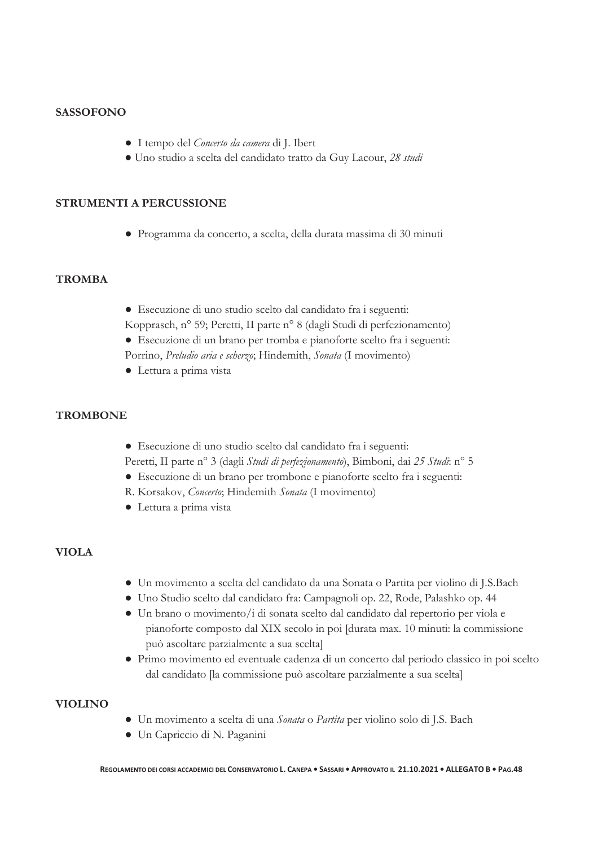#### **SASSOFONO**

- I tempo del *Concerto da camera* di J. Ibert
- Uno studio a scelta del candidato tratto da Guy Lacour, *28 studi*

#### **STRUMENTI A PERCUSSIONE**

● Programma da concerto, a scelta, della durata massima di 30 minuti

#### **TROMBA**

- Esecuzione di uno studio scelto dal candidato fra i seguenti: Kopprasch, n° 59; Peretti, II parte n° 8 (dagli Studi di perfezionamento)
- Esecuzione di un brano per tromba e pianoforte scelto fra i seguenti: Porrino, *Preludio aria e scherzo*; Hindemith, *Sonata* (I movimento)
- Lettura a prima vista

#### **TROMBONE**

- Esecuzione di uno studio scelto dal candidato fra i seguenti:
- Peretti, II parte n° 3 (dagli *Studi di perfezionamento*), Bimboni, dai *25 Studi*: n° 5
- Esecuzione di un brano per trombone e pianoforte scelto fra i seguenti:
- R. Korsakov, *Concerto*; Hindemith *Sonata* (I movimento)
- Lettura a prima vista

#### **VIOLA**

- Un movimento a scelta del candidato da una Sonata o Partita per violino di J.S.Bach
- Uno Studio scelto dal candidato fra: Campagnoli op. 22, Rode, Palashko op. 44
- Un brano o movimento/i di sonata scelto dal candidato dal repertorio per viola e pianoforte composto dal XIX secolo in poi [durata max. 10 minuti: la commissione può ascoltare parzialmente a sua scelta]
- Primo movimento ed eventuale cadenza di un concerto dal periodo classico in poi scelto dal candidato [la commissione può ascoltare parzialmente a sua scelta]

#### **VIOLINO**

- Un movimento a scelta di una *Sonata* o *Partita* per violino solo di J.S. Bach
- Un Capriccio di N. Paganini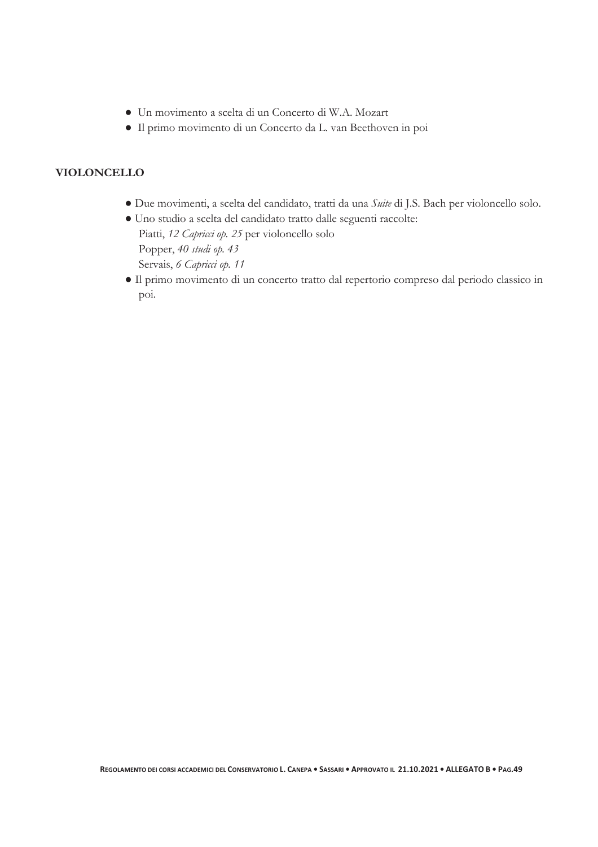- Un movimento a scelta di un Concerto di W.A. Mozart
- Il primo movimento di un Concerto da L. van Beethoven in poi

#### **VIOLONCELLO**

- Due movimenti, a scelta del candidato, tratti da una *Suite* di J.S. Bach per violoncello solo.
- Uno studio a scelta del candidato tratto dalle seguenti raccolte: Piatti, *12 Capricci op. 25* per violoncello solo Popper, *40 studi op. 43*  Servais, *6 Capricci op. 11*
- Il primo movimento di un concerto tratto dal repertorio compreso dal periodo classico in poi.